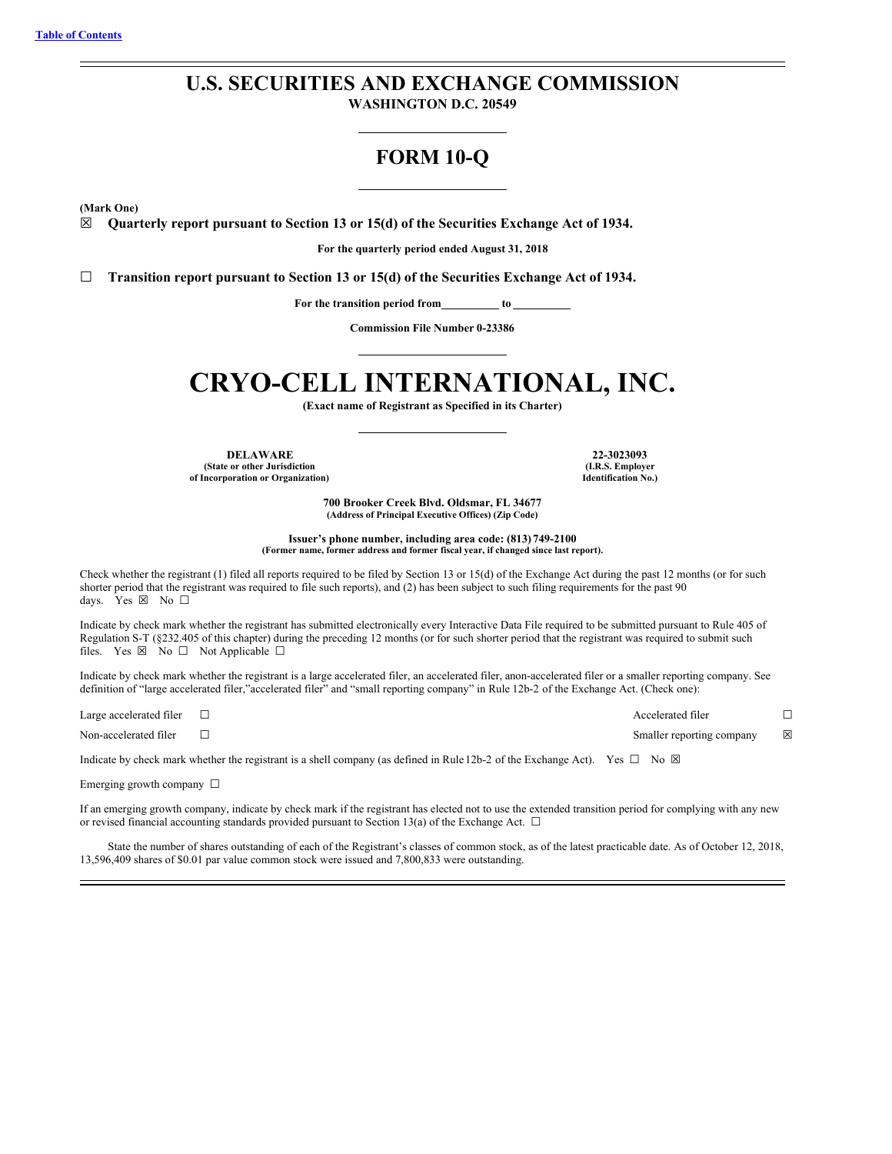# **U.S. SECURITIES AND EXCHANGE COMMISSION WASHINGTON D.C. 20549**

# **FORM 10-Q**

**(Mark One)**

☒ **Quarterly report pursuant to Section 13 or 15(d) of the Securities Exchange Act of 1934.**

**For the quarterly period ended August 31, 2018**

☐ **Transition report pursuant to Section 13 or 15(d) of the Securities Exchange Act of 1934.**

**For the transition period from to**

**Commission File Number 0-23386**

# **CRYO-CELL INTERNATIONAL, INC.**

**(Exact name of Registrant as Specified in its Charter)**

**DELAWARE 22-3023093 (State or other Jurisdiction of Incorporation or Organization)**

**(I.R.S. Employer Identification No.)**

**700 Brooker Creek Blvd. Oldsmar, FL 34677 (Address of Principal Executive Offices) (Zip Code)**

**Issuer's phone number, including area code: (813) 749-2100 (Former name, former address and former fiscal year, if changed since last report).**

Check whether the registrant (1) filed all reports required to be filed by Section 13 or 15(d) of the Exchange Act during the past 12 months (or for such shorter period that the registrant was required to file such reports), and (2) has been subject to such filing requirements for the past 90 days. Yes  $\boxtimes$  No  $\square$ 

Indicate by check mark whether the registrant has submitted electronically every Interactive Data File required to be submitted pursuant to Rule 405 of Regulation S-T (§232.405 of this chapter) during the preceding 12 months (or for such shorter period that the registrant was required to submit such files. Yes  $\boxtimes$  No  $\Box$  Not Applicable  $\Box$ 

Indicate by check mark whether the registrant is a large accelerated filer, an accelerated filer, anon-accelerated filer or a smaller reporting company. See definition of "large accelerated filer,"accelerated filer" and "small reporting company" in Rule 12b-2 of the Exchange Act. (Check one):

Large accelerated filer ☐ Accelerated filer ☐ Non-accelerated filer <del>□</del>

Indicate by check mark whether the registrant is a shell company (as defined in Rule 12b-2 of the Exchange Act). Yes  $\Box$  No  $\boxtimes$ 

Emerging growth company  $\ \Box$ 

If an emerging growth company, indicate by check mark if the registrant has elected not to use the extended transition period for complying with any new or revised financial accounting standards provided pursuant to Section 13(a) of the Exchange Act.  $\Box$ 

State the number of shares outstanding of each of the Registrant's classes of common stock, as of the latest practicable date. As of October 12, 2018, 13,596,409 shares of \$0.01 par value common stock were issued and 7,800,833 were outstanding.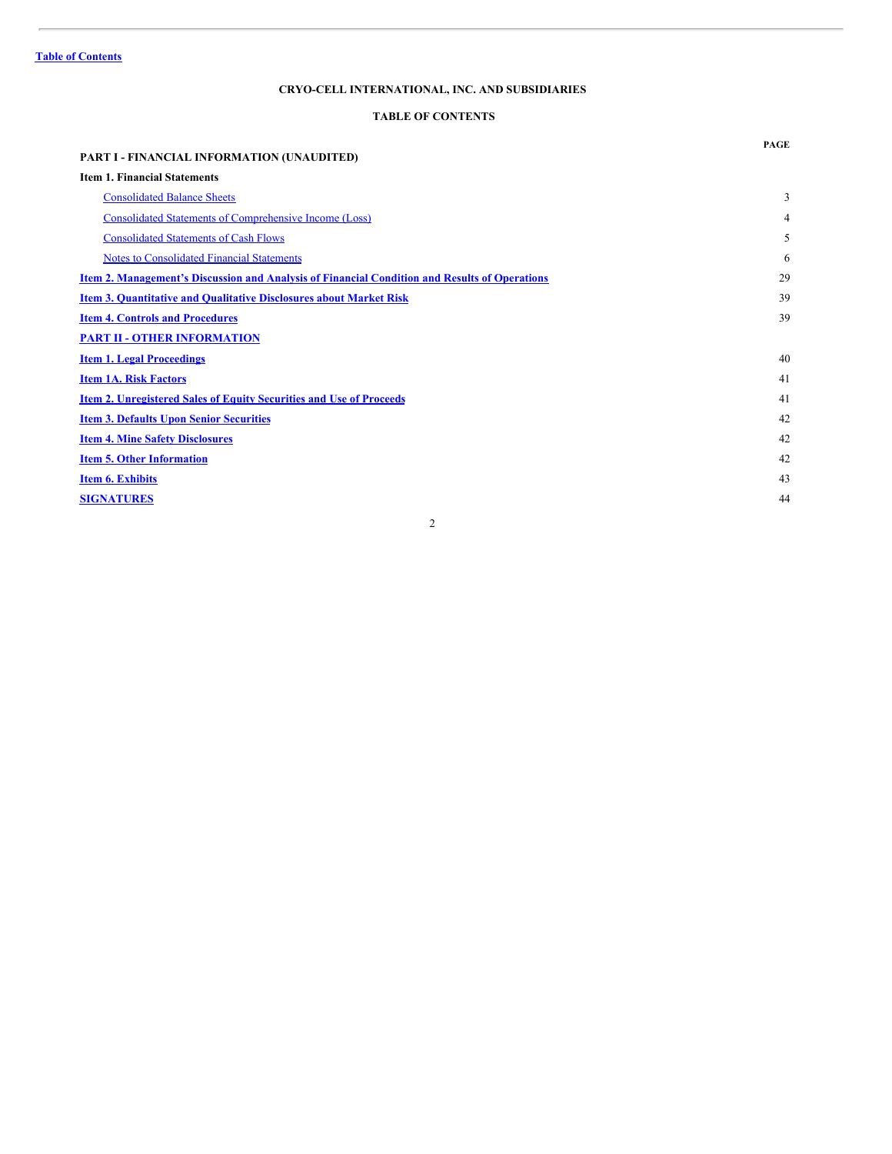# **CRYO-CELL INTERNATIONAL, INC. AND SUBSIDIARIES**

### <span id="page-1-0"></span>**TABLE OF CONTENTS**

|                                                                                                      | <b>PAGE</b> |
|------------------------------------------------------------------------------------------------------|-------------|
| PART I - FINANCIAL INFORMATION (UNAUDITED)                                                           |             |
| <b>Item 1. Financial Statements</b>                                                                  |             |
| <b>Consolidated Balance Sheets</b>                                                                   | 3           |
| <b>Consolidated Statements of Comprehensive Income (Loss)</b>                                        | 4           |
| <b>Consolidated Statements of Cash Flows</b>                                                         | 5           |
| <b>Notes to Consolidated Financial Statements</b>                                                    | 6           |
| <u>Item 2. Management's Discussion and Analysis of Financial Condition and Results of Operations</u> | 29          |
| <b>Item 3. Quantitative and Qualitative Disclosures about Market Risk</b>                            | 39          |
| <b>Item 4. Controls and Procedures</b>                                                               | 39          |
| <b>PART II - OTHER INFORMATION</b>                                                                   |             |
| <b>Item 1. Legal Proceedings</b>                                                                     | 40          |
| <b>Item 1A. Risk Factors</b>                                                                         | 41          |
| <b>Item 2. Unregistered Sales of Equity Securities and Use of Proceeds</b>                           | 41          |
| <b>Item 3. Defaults Upon Senior Securities</b>                                                       | 42          |
| <b>Item 4. Mine Safety Disclosures</b>                                                               | 42          |
| <b>Item 5. Other Information</b>                                                                     | 42          |
| <b>Item 6. Exhibits</b>                                                                              | 43          |
| <b>SIGNATURES</b>                                                                                    | 44          |
|                                                                                                      |             |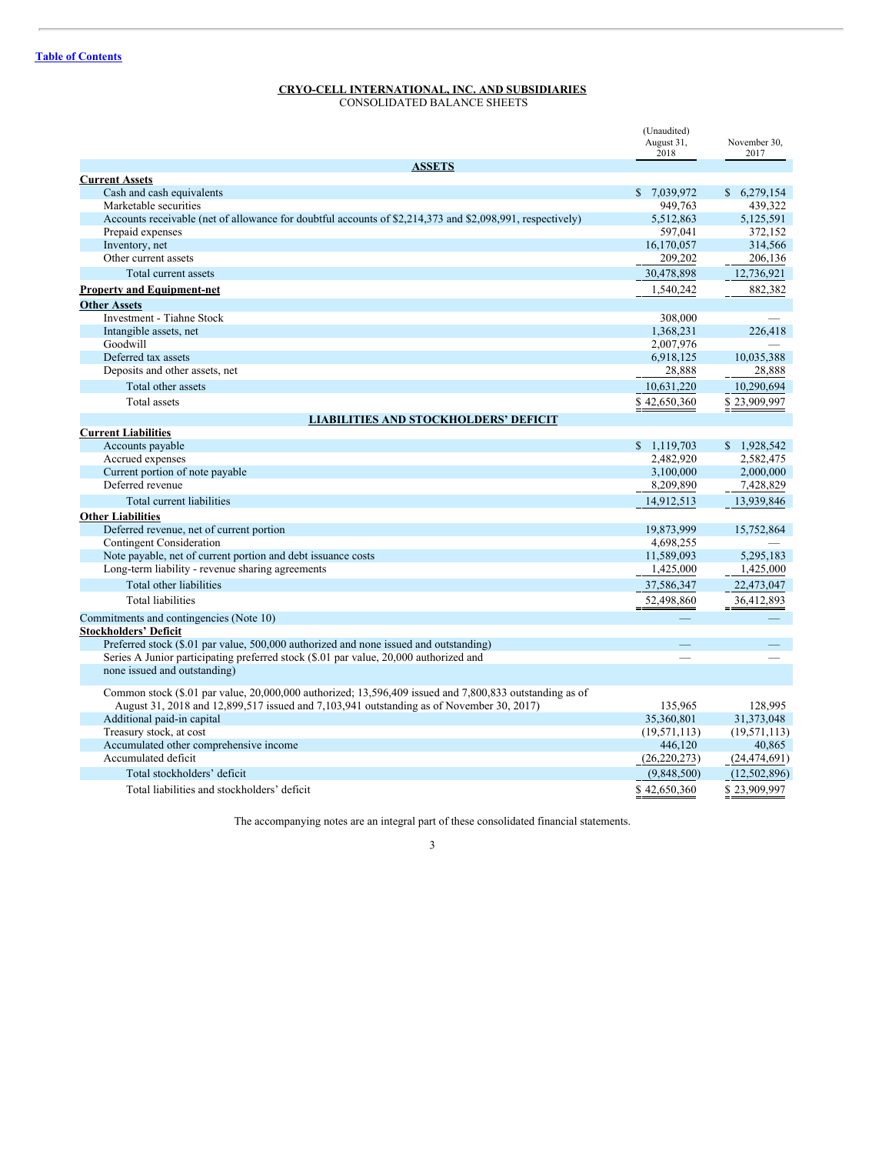#### <span id="page-2-0"></span>**CRYO-CELL INTERNATIONAL, INC. AND SUBSIDIARIES** CONSOLIDATED BALANCE SHEETS

|                                                                                                             | (Unaudited)<br>August 31,<br>2018 | November 30,<br>2017 |
|-------------------------------------------------------------------------------------------------------------|-----------------------------------|----------------------|
| <b>ASSETS</b>                                                                                               |                                   |                      |
| <b>Current Assets</b>                                                                                       |                                   |                      |
| Cash and cash equivalents                                                                                   | \$ 7,039,972                      | \$6,279,154          |
| Marketable securities                                                                                       | 949,763                           | 439,322              |
| Accounts receivable (net of allowance for doubtful accounts of \$2,214,373 and \$2,098,991, respectively)   | 5,512,863                         | 5,125,591            |
| Prepaid expenses                                                                                            | 597,041                           | 372,152              |
| Inventory, net                                                                                              | 16,170,057                        | 314,566              |
| Other current assets                                                                                        | 209,202                           | 206,136              |
| Total current assets                                                                                        | 30.478.898                        | 12,736,921           |
| <b>Property and Equipment-net</b>                                                                           | 1,540,242                         | 882,382              |
| <b>Other Assets</b>                                                                                         |                                   |                      |
| <b>Investment - Tiahne Stock</b>                                                                            | 308,000                           |                      |
| Intangible assets, net                                                                                      | 1,368,231                         | 226,418              |
| Goodwill                                                                                                    | 2,007,976                         |                      |
| Deferred tax assets                                                                                         | 6,918,125                         | 10,035,388           |
| Deposits and other assets, net                                                                              | 28,888                            | 28,888               |
| Total other assets                                                                                          | 10,631,220                        | 10,290,694           |
| Total assets                                                                                                | \$42,650,360                      | \$23,909,997         |
| <b>LIABILITIES AND STOCKHOLDERS' DEFICIT</b>                                                                |                                   |                      |
| <b>Current Liabilities</b>                                                                                  |                                   |                      |
| Accounts payable                                                                                            | \$1,119,703                       | \$1,928,542          |
| Accrued expenses                                                                                            | 2,482,920                         | 2,582,475            |
| Current portion of note payable                                                                             | 3,100,000                         | 2,000,000            |
| Deferred revenue                                                                                            | 8,209,890                         | 7,428,829            |
| Total current liabilities                                                                                   | 14,912,513                        | 13,939,846           |
| <b>Other Liabilities</b>                                                                                    |                                   |                      |
| Deferred revenue, net of current portion                                                                    | 19,873,999                        | 15,752,864           |
| <b>Contingent Consideration</b>                                                                             | 4,698,255                         |                      |
| Note payable, net of current portion and debt issuance costs                                                | 11,589,093                        | 5,295,183            |
| Long-term liability - revenue sharing agreements                                                            | 1,425,000                         | 1,425,000            |
| Total other liabilities                                                                                     | 37,586,347                        | 22,473,047           |
| <b>Total liabilities</b>                                                                                    | 52,498,860                        | 36,412,893           |
|                                                                                                             |                                   |                      |
| Commitments and contingencies (Note 10)                                                                     |                                   |                      |
| <b>Stockholders' Deficit</b>                                                                                |                                   |                      |
| Preferred stock (\$.01 par value, 500,000 authorized and none issued and outstanding)                       |                                   |                      |
| Series A Junior participating preferred stock (\$.01 par value, 20,000 authorized and                       |                                   |                      |
| none issued and outstanding)                                                                                |                                   |                      |
| Common stock $(\$.01$ par value, $20,000,000$ authorized; 13,596,409 issued and 7,800,833 outstanding as of |                                   |                      |
| August 31, 2018 and 12,899,517 issued and 7,103,941 outstanding as of November 30, 2017)                    | 135,965                           | 128,995              |
| Additional paid-in capital                                                                                  | 35,360,801                        | 31,373,048           |
| Treasury stock, at cost                                                                                     | (19, 571, 113)                    | (19, 571, 113)       |
| Accumulated other comprehensive income                                                                      | 446,120                           | 40.865               |
| Accumulated deficit                                                                                         | (26, 220, 273)                    | (24, 474, 691)       |
| Total stockholders' deficit                                                                                 | (9,848,500)                       | (12, 502, 896)       |
| Total liabilities and stockholders' deficit                                                                 | \$42,650,360                      | \$23,909,997         |

The accompanying notes are an integral part of these consolidated financial statements.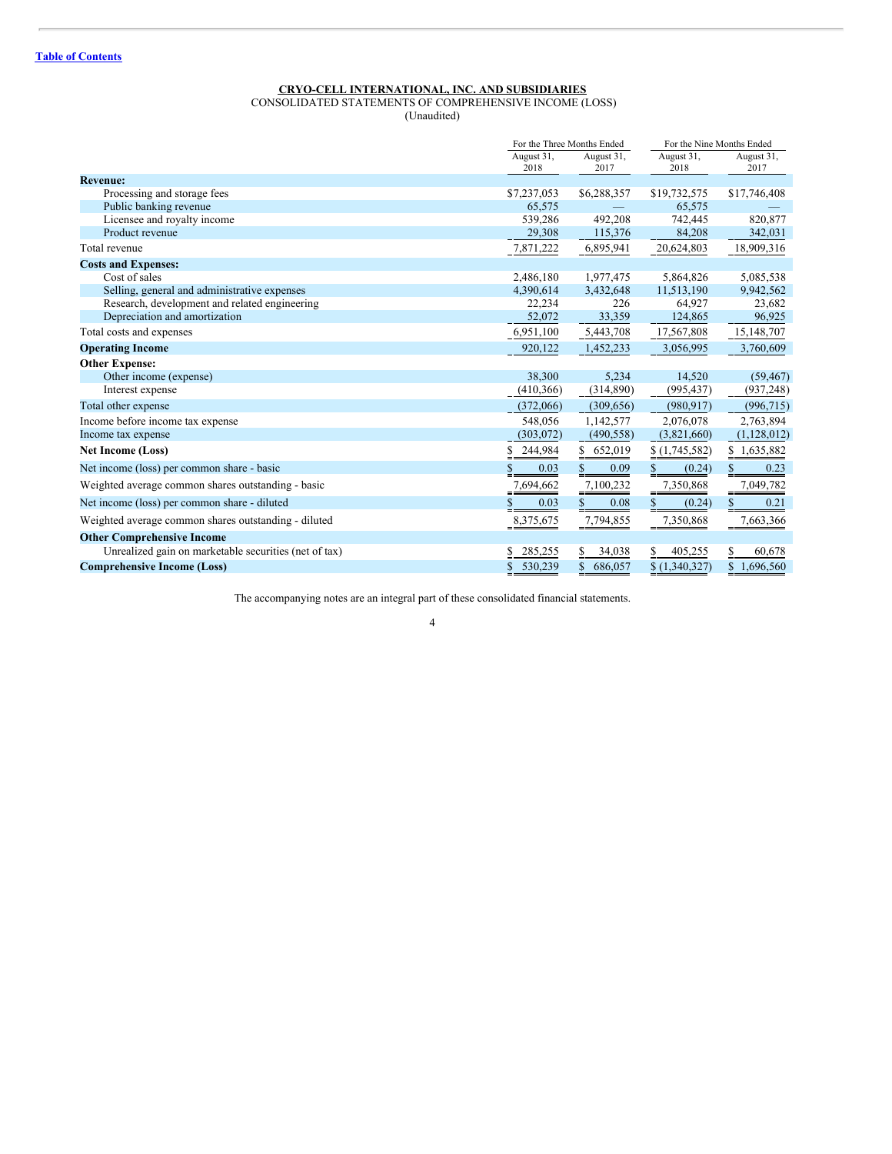### **CRYO-CELL INTERNATIONAL, INC. AND SUBSIDIARIES**

<span id="page-3-0"></span>CONSOLIDATED STATEMENTS OF COMPREHENSIVE INCOME (LOSS)

(Unaudited)

|                                                       |               | For the Three Months Ended |               | For the Nine Months Ended |
|-------------------------------------------------------|---------------|----------------------------|---------------|---------------------------|
|                                                       | August 31,    | August 31,                 | August 31,    | August 31,                |
|                                                       | 2018          | 2017                       | 2018          | 2017                      |
| <b>Revenue:</b>                                       |               |                            |               |                           |
| Processing and storage fees                           | \$7,237,053   | \$6,288,357                | \$19,732,575  | \$17,746,408              |
| Public banking revenue                                | 65,575        |                            | 65,575        |                           |
| Licensee and royalty income                           | 539,286       | 492,208                    | 742,445       | 820,877                   |
| Product revenue                                       | 29,308        | 115,376                    | 84,208        | 342,031                   |
| Total revenue                                         | 7,871,222     | 6,895,941                  | 20,624,803    | 18,909,316                |
| <b>Costs and Expenses:</b>                            |               |                            |               |                           |
| Cost of sales                                         | 2,486,180     | 1,977,475                  | 5,864,826     | 5,085,538                 |
| Selling, general and administrative expenses          | 4,390,614     | 3,432,648                  | 11,513,190    | 9,942,562                 |
| Research, development and related engineering         | 22,234        | 226                        | 64.927        | 23,682                    |
| Depreciation and amortization                         | 52,072        | 33,359                     | 124,865       | 96,925                    |
| Total costs and expenses                              | 6,951,100     | 5,443,708                  | 17,567,808    | 15,148,707                |
| <b>Operating Income</b>                               | 920,122       | 1,452,233                  | 3,056,995     | 3,760,609                 |
| <b>Other Expense:</b>                                 |               |                            |               |                           |
| Other income (expense)                                | 38,300        | 5,234                      | 14,520        | (59, 467)                 |
| Interest expense                                      | (410, 366)    | (314,890)                  | (995, 437)    | (937, 248)                |
| Total other expense                                   | (372,066)     | (309, 656)                 | (980.917)     | (996, 715)                |
| Income before income tax expense                      | 548,056       | 1,142,577                  | 2,076,078     | 2,763,894                 |
| Income tax expense                                    | (303, 072)    | (490, 558)                 | (3,821,660)   | (1,128,012)               |
| <b>Net Income (Loss)</b>                              | 244,984       | 652,019<br>S.              | \$(1,745,582) | \$1,635,882               |
| Net income (loss) per common share - basic            | 0.03          | S<br>0.09                  | S<br>(0.24)   | \$<br>0.23                |
| Weighted average common shares outstanding - basic    | 7,694,662     | 7,100,232                  | 7,350,868     | 7,049,782                 |
| Net income (loss) per common share - diluted          | 0.03          | S.<br>0.08                 | S<br>(0.24)   | $\mathbb{S}$<br>0.21      |
| Weighted average common shares outstanding - diluted  | 8,375,675     | 7,794,855                  | 7,350,868     | 7,663,366                 |
| <b>Other Comprehensive Income</b>                     |               |                            |               |                           |
| Unrealized gain on marketable securities (net of tax) | 285,255       | 34,038                     | S<br>405,255  | \$<br>60,678              |
| <b>Comprehensive Income (Loss)</b>                    | 530,239<br>\$ | 686,057<br>\$              | \$(1,340,327) | \$1,696,560               |
|                                                       |               |                            |               |                           |

The accompanying notes are an integral part of these consolidated financial statements.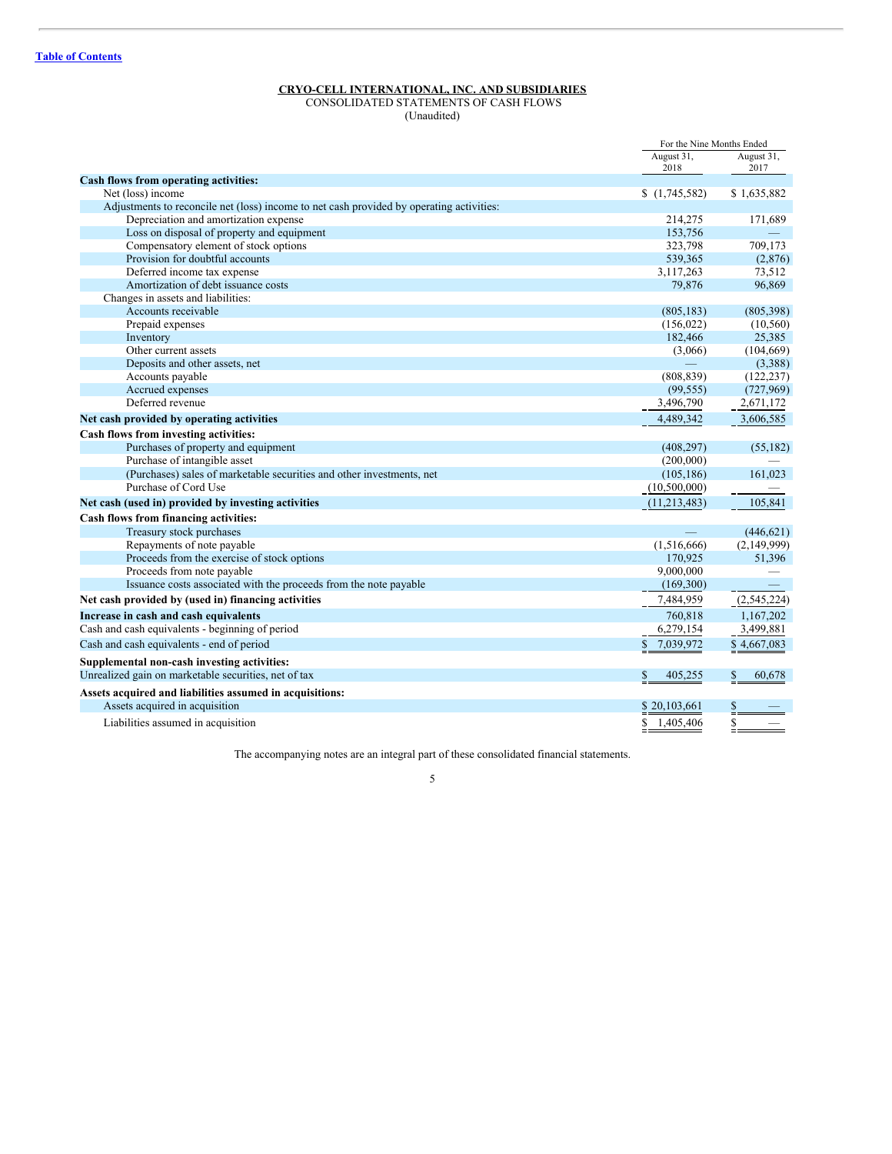#### **CRYO-CELL INTERNATIONAL, INC. AND SUBSIDIARIES**

<span id="page-4-0"></span>CONSOLIDATED STATEMENTS OF CASH FLOWS (Unaudited)

|                                                                                            | For the Nine Months Ended |                          |  |
|--------------------------------------------------------------------------------------------|---------------------------|--------------------------|--|
|                                                                                            | August 31,<br>2018        | August 31,<br>2017       |  |
| Cash flows from operating activities:                                                      |                           |                          |  |
| Net (loss) income                                                                          | (1,745,582)               | \$1,635,882              |  |
| Adjustments to reconcile net (loss) income to net cash provided by operating activities:   |                           |                          |  |
| Depreciation and amortization expense                                                      | 214,275                   | 171,689                  |  |
| Loss on disposal of property and equipment                                                 | 153,756                   |                          |  |
| Compensatory element of stock options                                                      | 323,798                   | 709,173                  |  |
| Provision for doubtful accounts                                                            | 539,365                   | (2,876)                  |  |
| Deferred income tax expense                                                                | 3,117,263                 | 73,512                   |  |
| Amortization of debt issuance costs                                                        | 79,876                    | 96,869                   |  |
| Changes in assets and liabilities:                                                         |                           |                          |  |
| Accounts receivable                                                                        | (805, 183)                | (805,398)                |  |
| Prepaid expenses                                                                           | (156, 022)                | (10, 560)                |  |
| Inventory                                                                                  | 182,466                   | 25,385                   |  |
| Other current assets                                                                       | (3,066)                   | (104, 669)               |  |
| Deposits and other assets, net                                                             |                           | (3,388)                  |  |
| Accounts payable                                                                           | (808, 839)                | (122, 237)               |  |
| Accrued expenses                                                                           | (99, 555)                 | (727,969)                |  |
| Deferred revenue                                                                           | 3,496,790                 | 2,671,172                |  |
| Net cash provided by operating activities                                                  | 4,489,342                 | 3,606,585                |  |
| Cash flows from investing activities:                                                      |                           |                          |  |
| Purchases of property and equipment                                                        | (408, 297)                | (55, 182)                |  |
| Purchase of intangible asset                                                               | (200,000)                 |                          |  |
| (Purchases) sales of marketable securities and other investments, net                      | (105, 186)                | 161,023                  |  |
| Purchase of Cord Use                                                                       | (10,500,000)              |                          |  |
| Net cash (used in) provided by investing activities                                        | (11, 213, 483)            | 105,841                  |  |
| Cash flows from financing activities:                                                      |                           |                          |  |
| Treasury stock purchases                                                                   |                           | (446, 621)               |  |
| Repayments of note payable                                                                 | (1,516,666)               | (2,149,999)              |  |
| Proceeds from the exercise of stock options                                                | 170,925                   | 51,396                   |  |
| Proceeds from note payable                                                                 | 9,000,000                 |                          |  |
| Issuance costs associated with the proceeds from the note payable                          | (169,300)                 | $\overline{\phantom{m}}$ |  |
| Net cash provided by (used in) financing activities                                        | 7,484,959                 | (2, 545, 224)            |  |
| Increase in cash and cash equivalents                                                      | 760,818                   | 1,167,202                |  |
| Cash and cash equivalents - beginning of period                                            | 6,279,154                 | 3,499,881                |  |
| Cash and cash equivalents - end of period                                                  | 7,039,972                 | \$4,667,083              |  |
| Supplemental non-cash investing activities:                                                |                           |                          |  |
| Unrealized gain on marketable securities, net of tax                                       | \$<br>405,255             | $\frac{1}{2}$<br>60,678  |  |
|                                                                                            |                           |                          |  |
| Assets acquired and liabilities assumed in acquisitions:<br>Assets acquired in acquisition | \$20,103,661              | \$                       |  |
|                                                                                            |                           |                          |  |
| Liabilities assumed in acquisition                                                         | \$<br>1.405.406           | $\mathbb{S}$             |  |

The accompanying notes are an integral part of these consolidated financial statements.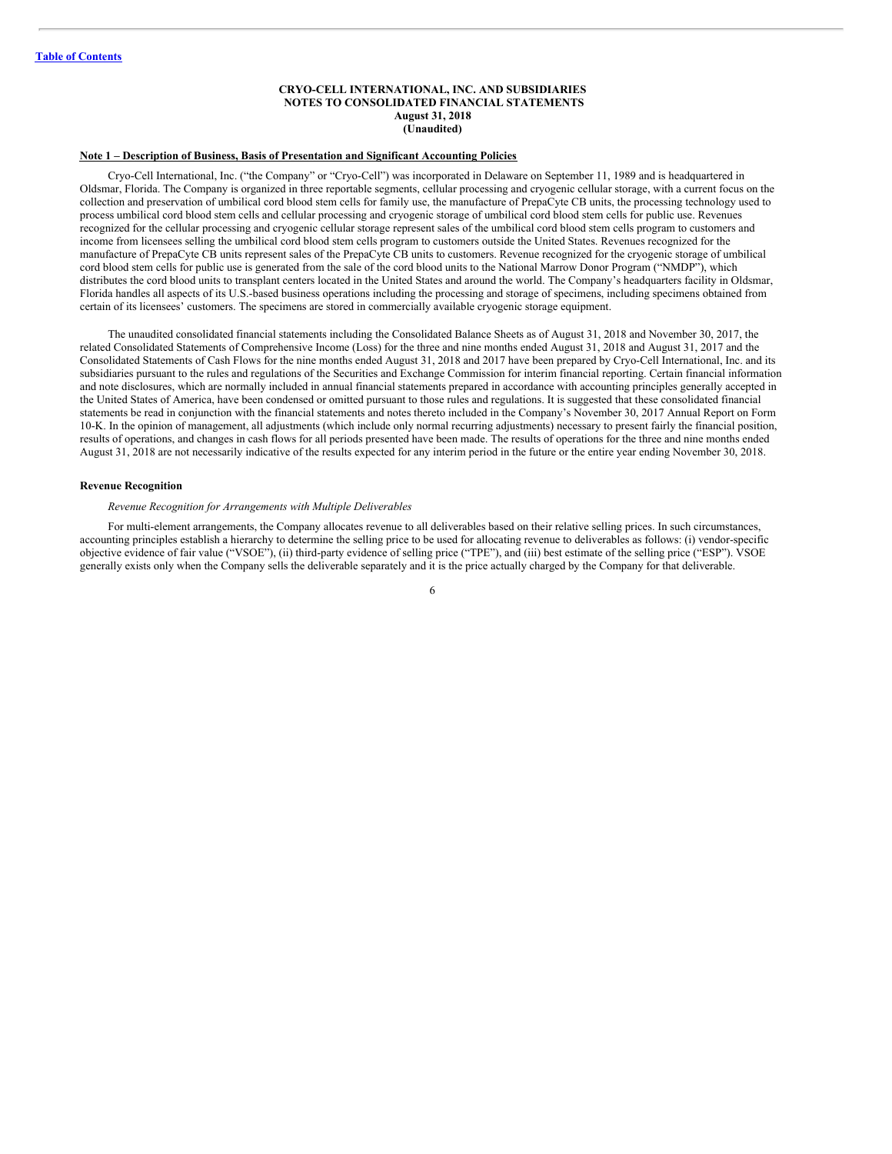#### <span id="page-5-0"></span>**CRYO-CELL INTERNATIONAL, INC. AND SUBSIDIARIES NOTES TO CONSOLIDATED FINANCIAL STATEMENTS August 31, 2018 (Unaudited)**

#### **Note 1 – Description of Business, Basis of Presentation and Significant Accounting Policies**

Cryo-Cell International, Inc. ("the Company" or "Cryo-Cell") was incorporated in Delaware on September 11, 1989 and is headquartered in Oldsmar, Florida. The Company is organized in three reportable segments, cellular processing and cryogenic cellular storage, with a current focus on the collection and preservation of umbilical cord blood stem cells for family use, the manufacture of PrepaCyte CB units, the processing technology used to process umbilical cord blood stem cells and cellular processing and cryogenic storage of umbilical cord blood stem cells for public use. Revenues recognized for the cellular processing and cryogenic cellular storage represent sales of the umbilical cord blood stem cells program to customers and income from licensees selling the umbilical cord blood stem cells program to customers outside the United States. Revenues recognized for the manufacture of PrepaCyte CB units represent sales of the PrepaCyte CB units to customers. Revenue recognized for the cryogenic storage of umbilical cord blood stem cells for public use is generated from the sale of the cord blood units to the National Marrow Donor Program ("NMDP"), which distributes the cord blood units to transplant centers located in the United States and around the world. The Company's headquarters facility in Oldsmar, Florida handles all aspects of its U.S.-based business operations including the processing and storage of specimens, including specimens obtained from certain of its licensees' customers. The specimens are stored in commercially available cryogenic storage equipment.

The unaudited consolidated financial statements including the Consolidated Balance Sheets as of August 31, 2018 and November 30, 2017, the related Consolidated Statements of Comprehensive Income (Loss) for the three and nine months ended August 31, 2018 and August 31, 2017 and the Consolidated Statements of Cash Flows for the nine months ended August 31, 2018 and 2017 have been prepared by Cryo-Cell International, Inc. and its subsidiaries pursuant to the rules and regulations of the Securities and Exchange Commission for interim financial reporting. Certain financial information and note disclosures, which are normally included in annual financial statements prepared in accordance with accounting principles generally accepted in the United States of America, have been condensed or omitted pursuant to those rules and regulations. It is suggested that these consolidated financial statements be read in conjunction with the financial statements and notes thereto included in the Company's November 30, 2017 Annual Report on Form 10-K. In the opinion of management, all adjustments (which include only normal recurring adjustments) necessary to present fairly the financial position, results of operations, and changes in cash flows for all periods presented have been made. The results of operations for the three and nine months ended August 31, 2018 are not necessarily indicative of the results expected for any interim period in the future or the entire year ending November 30, 2018.

#### **Revenue Recognition**

#### *Revenue Recognition for Arrangements with Multiple Deliverables*

For multi-element arrangements, the Company allocates revenue to all deliverables based on their relative selling prices. In such circumstances, accounting principles establish a hierarchy to determine the selling price to be used for allocating revenue to deliverables as follows: (i) vendor-specific objective evidence of fair value ("VSOE"), (ii) third-party evidence of selling price ("TPE"), and (iii) best estimate of the selling price ("ESP"). VSOE generally exists only when the Company sells the deliverable separately and it is the price actually charged by the Company for that deliverable.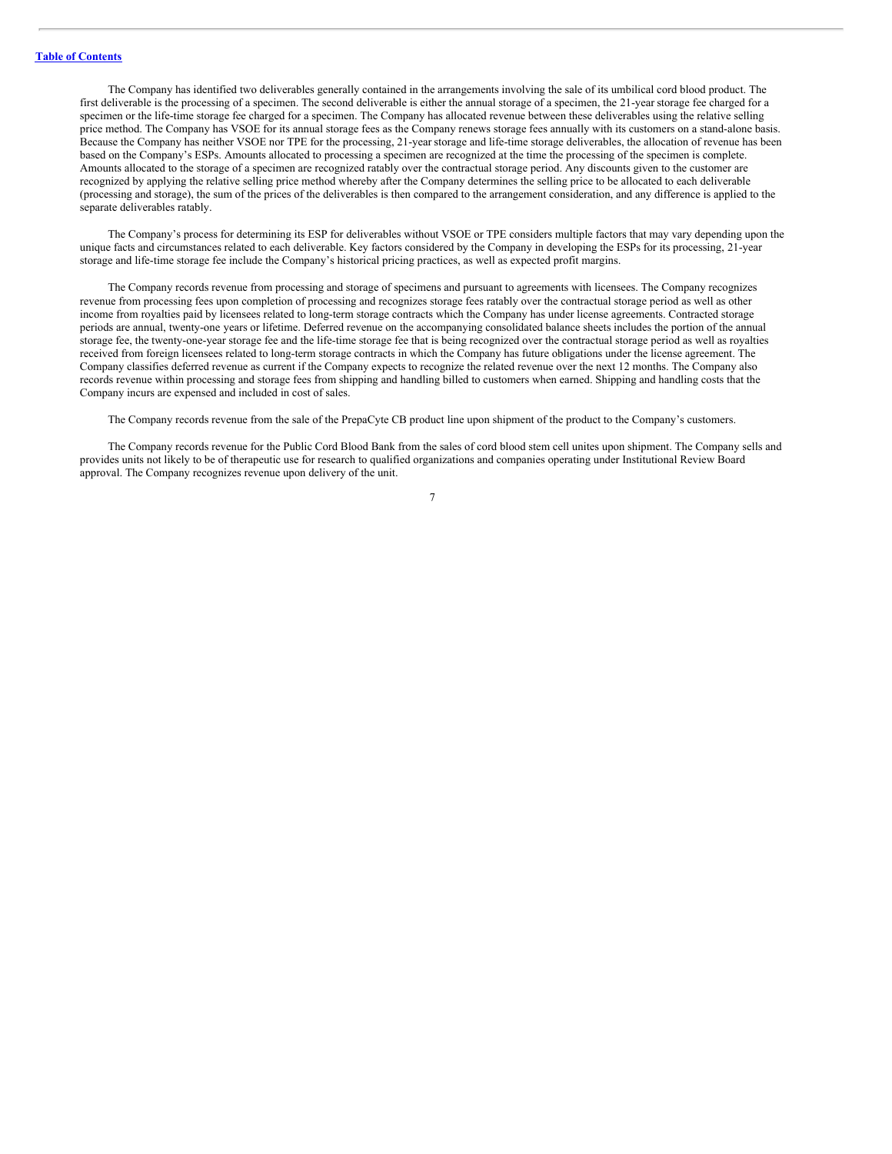The Company has identified two deliverables generally contained in the arrangements involving the sale of its umbilical cord blood product. The first deliverable is the processing of a specimen. The second deliverable is either the annual storage of a specimen, the 21-year storage fee charged for a specimen or the life-time storage fee charged for a specimen. The Company has allocated revenue between these deliverables using the relative selling price method. The Company has VSOE for its annual storage fees as the Company renews storage fees annually with its customers on a stand-alone basis. Because the Company has neither VSOE nor TPE for the processing, 21-year storage and life-time storage deliverables, the allocation of revenue has been based on the Company's ESPs. Amounts allocated to processing a specimen are recognized at the time the processing of the specimen is complete. Amounts allocated to the storage of a specimen are recognized ratably over the contractual storage period. Any discounts given to the customer are recognized by applying the relative selling price method whereby after the Company determines the selling price to be allocated to each deliverable (processing and storage), the sum of the prices of the deliverables is then compared to the arrangement consideration, and any difference is applied to the separate deliverables ratably.

The Company's process for determining its ESP for deliverables without VSOE or TPE considers multiple factors that may vary depending upon the unique facts and circumstances related to each deliverable. Key factors considered by the Company in developing the ESPs for its processing, 21-year storage and life-time storage fee include the Company's historical pricing practices, as well as expected profit margins.

The Company records revenue from processing and storage of specimens and pursuant to agreements with licensees. The Company recognizes revenue from processing fees upon completion of processing and recognizes storage fees ratably over the contractual storage period as well as other income from royalties paid by licensees related to long-term storage contracts which the Company has under license agreements. Contracted storage periods are annual, twenty-one years or lifetime. Deferred revenue on the accompanying consolidated balance sheets includes the portion of the annual storage fee, the twenty-one-year storage fee and the life-time storage fee that is being recognized over the contractual storage period as well as royalties received from foreign licensees related to long-term storage contracts in which the Company has future obligations under the license agreement. The Company classifies deferred revenue as current if the Company expects to recognize the related revenue over the next 12 months. The Company also records revenue within processing and storage fees from shipping and handling billed to customers when earned. Shipping and handling costs that the Company incurs are expensed and included in cost of sales.

The Company records revenue from the sale of the PrepaCyte CB product line upon shipment of the product to the Company's customers.

The Company records revenue for the Public Cord Blood Bank from the sales of cord blood stem cell unites upon shipment. The Company sells and provides units not likely to be of therapeutic use for research to qualified organizations and companies operating under Institutional Review Board approval. The Company recognizes revenue upon delivery of the unit.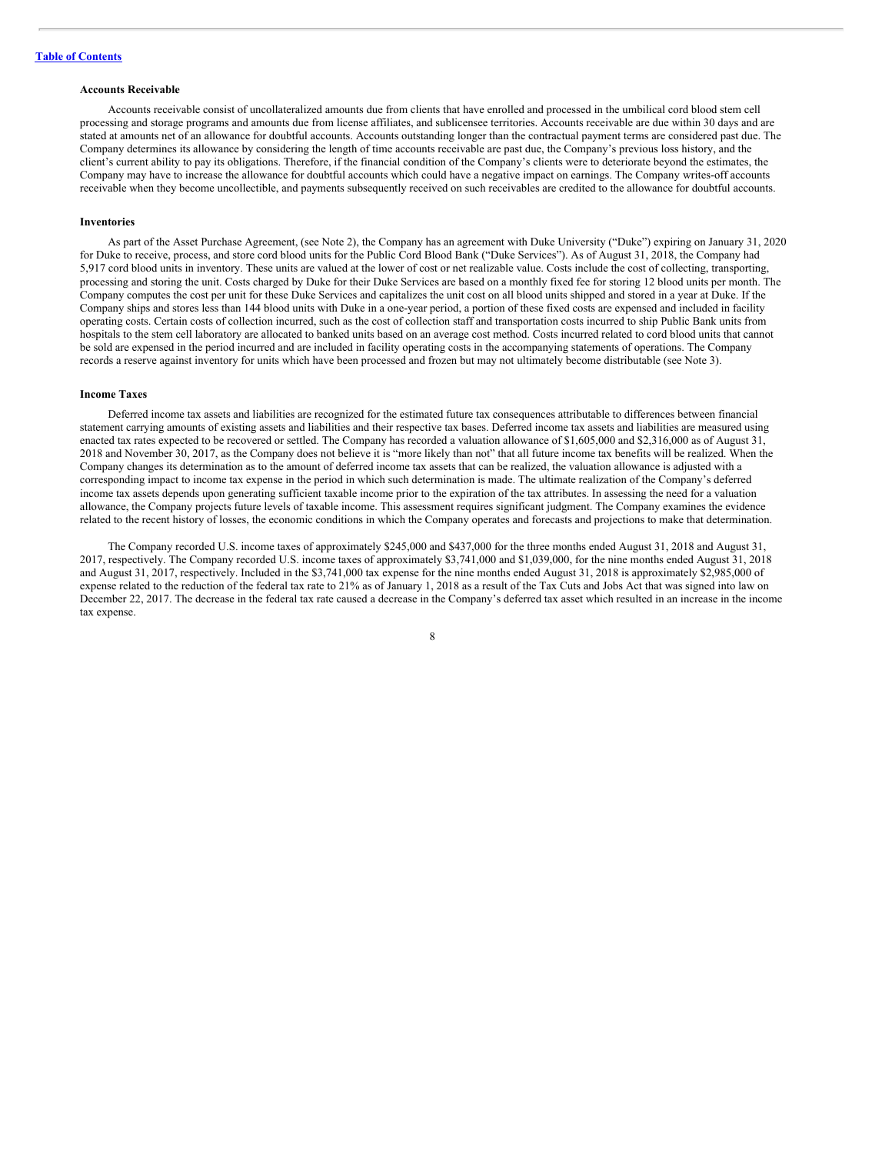### **Accounts Receivable**

Accounts receivable consist of uncollateralized amounts due from clients that have enrolled and processed in the umbilical cord blood stem cell processing and storage programs and amounts due from license affiliates, and sublicensee territories. Accounts receivable are due within 30 days and are stated at amounts net of an allowance for doubtful accounts. Accounts outstanding longer than the contractual payment terms are considered past due. The Company determines its allowance by considering the length of time accounts receivable are past due, the Company's previous loss history, and the client's current ability to pay its obligations. Therefore, if the financial condition of the Company's clients were to deteriorate beyond the estimates, the Company may have to increase the allowance for doubtful accounts which could have a negative impact on earnings. The Company writes-off accounts receivable when they become uncollectible, and payments subsequently received on such receivables are credited to the allowance for doubtful accounts.

### **Inventories**

As part of the Asset Purchase Agreement, (see Note 2), the Company has an agreement with Duke University ("Duke") expiring on January 31, 2020 for Duke to receive, process, and store cord blood units for the Public Cord Blood Bank ("Duke Services"). As of August 31, 2018, the Company had 5,917 cord blood units in inventory. These units are valued at the lower of cost or net realizable value. Costs include the cost of collecting, transporting, processing and storing the unit. Costs charged by Duke for their Duke Services are based on a monthly fixed fee for storing 12 blood units per month. The Company computes the cost per unit for these Duke Services and capitalizes the unit cost on all blood units shipped and stored in a year at Duke. If the Company ships and stores less than 144 blood units with Duke in a one-year period, a portion of these fixed costs are expensed and included in facility operating costs. Certain costs of collection incurred, such as the cost of collection staff and transportation costs incurred to ship Public Bank units from hospitals to the stem cell laboratory are allocated to banked units based on an average cost method. Costs incurred related to cord blood units that cannot be sold are expensed in the period incurred and are included in facility operating costs in the accompanying statements of operations. The Company records a reserve against inventory for units which have been processed and frozen but may not ultimately become distributable (see Note 3).

#### **Income Taxes**

Deferred income tax assets and liabilities are recognized for the estimated future tax consequences attributable to differences between financial statement carrying amounts of existing assets and liabilities and their respective tax bases. Deferred income tax assets and liabilities are measured using enacted tax rates expected to be recovered or settled. The Company has recorded a valuation allowance of \$1,605,000 and \$2,316,000 as of August 31, 2018 and November 30, 2017, as the Company does not believe it is "more likely than not" that all future income tax benefits will be realized. When the Company changes its determination as to the amount of deferred income tax assets that can be realized, the valuation allowance is adjusted with a corresponding impact to income tax expense in the period in which such determination is made. The ultimate realization of the Company's deferred income tax assets depends upon generating sufficient taxable income prior to the expiration of the tax attributes. In assessing the need for a valuation allowance, the Company projects future levels of taxable income. This assessment requires significant judgment. The Company examines the evidence related to the recent history of losses, the economic conditions in which the Company operates and forecasts and projections to make that determination.

The Company recorded U.S. income taxes of approximately \$245,000 and \$437,000 for the three months ended August 31, 2018 and August 31, 2017, respectively. The Company recorded U.S. income taxes of approximately \$3,741,000 and \$1,039,000, for the nine months ended August 31, 2018 and August 31, 2017, respectively. Included in the \$3,741,000 tax expense for the nine months ended August 31, 2018 is approximately \$2,985,000 of expense related to the reduction of the federal tax rate to 21% as of January 1, 2018 as a result of the Tax Cuts and Jobs Act that was signed into law on December 22, 2017. The decrease in the federal tax rate caused a decrease in the Company's deferred tax asset which resulted in an increase in the income tax expense.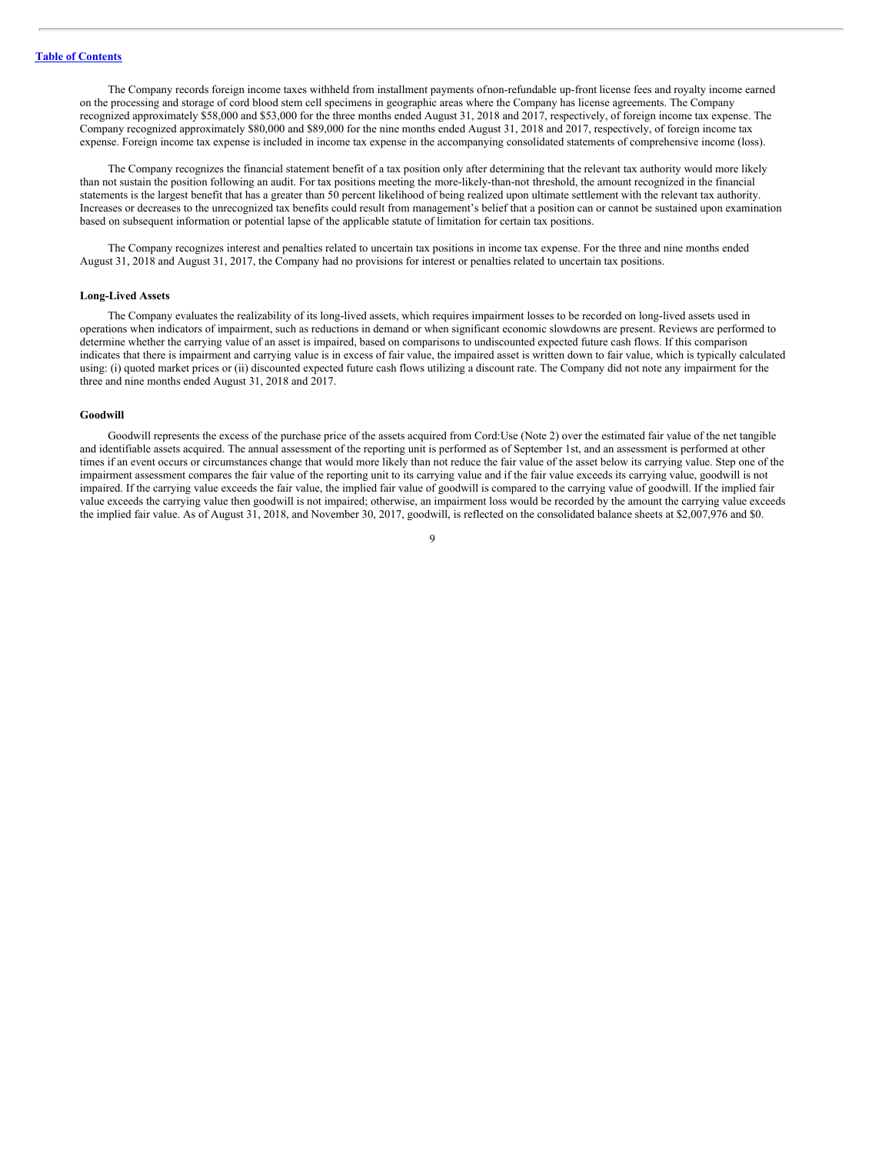The Company records foreign income taxes withheld from installment payments ofnon-refundable up-front license fees and royalty income earned on the processing and storage of cord blood stem cell specimens in geographic areas where the Company has license agreements. The Company recognized approximately \$58,000 and \$53,000 for the three months ended August 31, 2018 and 2017, respectively, of foreign income tax expense. The Company recognized approximately \$80,000 and \$89,000 for the nine months ended August 31, 2018 and 2017, respectively, of foreign income tax expense. Foreign income tax expense is included in income tax expense in the accompanying consolidated statements of comprehensive income (loss).

The Company recognizes the financial statement benefit of a tax position only after determining that the relevant tax authority would more likely than not sustain the position following an audit. For tax positions meeting the more-likely-than-not threshold, the amount recognized in the financial statements is the largest benefit that has a greater than 50 percent likelihood of being realized upon ultimate settlement with the relevant tax authority. Increases or decreases to the unrecognized tax benefits could result from management's belief that a position can or cannot be sustained upon examination based on subsequent information or potential lapse of the applicable statute of limitation for certain tax positions.

The Company recognizes interest and penalties related to uncertain tax positions in income tax expense. For the three and nine months ended August 31, 2018 and August 31, 2017, the Company had no provisions for interest or penalties related to uncertain tax positions.

### **Long-Lived Assets**

The Company evaluates the realizability of its long-lived assets, which requires impairment losses to be recorded on long-lived assets used in operations when indicators of impairment, such as reductions in demand or when significant economic slowdowns are present. Reviews are performed to determine whether the carrying value of an asset is impaired, based on comparisons to undiscounted expected future cash flows. If this comparison indicates that there is impairment and carrying value is in excess of fair value, the impaired asset is written down to fair value, which is typically calculated using: (i) quoted market prices or (ii) discounted expected future cash flows utilizing a discount rate. The Company did not note any impairment for the three and nine months ended August 31, 2018 and 2017.

#### **Goodwill**

Goodwill represents the excess of the purchase price of the assets acquired from Cord:Use (Note 2) over the estimated fair value of the net tangible and identifiable assets acquired. The annual assessment of the reporting unit is performed as of September 1st, and an assessment is performed at other times if an event occurs or circumstances change that would more likely than not reduce the fair value of the asset below its carrying value. Step one of the impairment assessment compares the fair value of the reporting unit to its carrying value and if the fair value exceeds its carrying value, goodwill is not impaired. If the carrying value exceeds the fair value, the implied fair value of goodwill is compared to the carrying value of goodwill. If the implied fair value exceeds the carrying value then goodwill is not impaired; otherwise, an impairment loss would be recorded by the amount the carrying value exceeds the implied fair value. As of August 31, 2018, and November 30, 2017, goodwill, is reflected on the consolidated balance sheets at \$2,007,976 and \$0.

 $\Omega$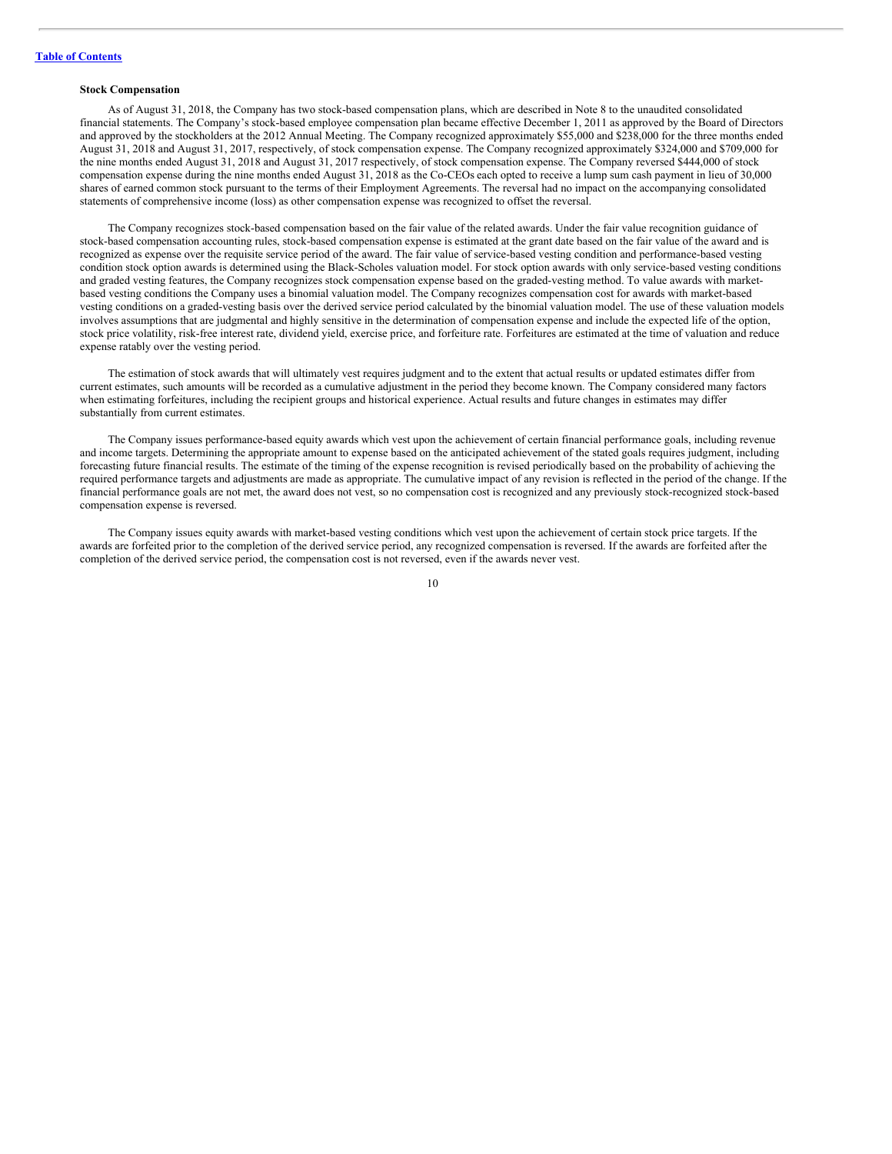### **Stock Compensation**

As of August 31, 2018, the Company has two stock-based compensation plans, which are described in Note 8 to the unaudited consolidated financial statements. The Company's stock-based employee compensation plan became effective December 1, 2011 as approved by the Board of Directors and approved by the stockholders at the 2012 Annual Meeting. The Company recognized approximately \$55,000 and \$238,000 for the three months ended August 31, 2018 and August 31, 2017, respectively, of stock compensation expense. The Company recognized approximately \$324,000 and \$709,000 for the nine months ended August 31, 2018 and August 31, 2017 respectively, of stock compensation expense. The Company reversed \$444,000 of stock compensation expense during the nine months ended August 31, 2018 as the Co-CEOs each opted to receive a lump sum cash payment in lieu of 30,000 shares of earned common stock pursuant to the terms of their Employment Agreements. The reversal had no impact on the accompanying consolidated statements of comprehensive income (loss) as other compensation expense was recognized to offset the reversal.

The Company recognizes stock-based compensation based on the fair value of the related awards. Under the fair value recognition guidance of stock-based compensation accounting rules, stock-based compensation expense is estimated at the grant date based on the fair value of the award and is recognized as expense over the requisite service period of the award. The fair value of service-based vesting condition and performance-based vesting condition stock option awards is determined using the Black-Scholes valuation model. For stock option awards with only service-based vesting conditions and graded vesting features, the Company recognizes stock compensation expense based on the graded-vesting method. To value awards with marketbased vesting conditions the Company uses a binomial valuation model. The Company recognizes compensation cost for awards with market-based vesting conditions on a graded-vesting basis over the derived service period calculated by the binomial valuation model. The use of these valuation models involves assumptions that are judgmental and highly sensitive in the determination of compensation expense and include the expected life of the option, stock price volatility, risk-free interest rate, dividend yield, exercise price, and forfeiture rate. Forfeitures are estimated at the time of valuation and reduce expense ratably over the vesting period.

The estimation of stock awards that will ultimately vest requires judgment and to the extent that actual results or updated estimates differ from current estimates, such amounts will be recorded as a cumulative adjustment in the period they become known. The Company considered many factors when estimating forfeitures, including the recipient groups and historical experience. Actual results and future changes in estimates may differ substantially from current estimates.

The Company issues performance-based equity awards which vest upon the achievement of certain financial performance goals, including revenue and income targets. Determining the appropriate amount to expense based on the anticipated achievement of the stated goals requires judgment, including forecasting future financial results. The estimate of the timing of the expense recognition is revised periodically based on the probability of achieving the required performance targets and adjustments are made as appropriate. The cumulative impact of any revision is reflected in the period of the change. If the financial performance goals are not met, the award does not vest, so no compensation cost is recognized and any previously stock-recognized stock-based compensation expense is reversed.

The Company issues equity awards with market-based vesting conditions which vest upon the achievement of certain stock price targets. If the awards are forfeited prior to the completion of the derived service period, any recognized compensation is reversed. If the awards are forfeited after the completion of the derived service period, the compensation cost is not reversed, even if the awards never vest.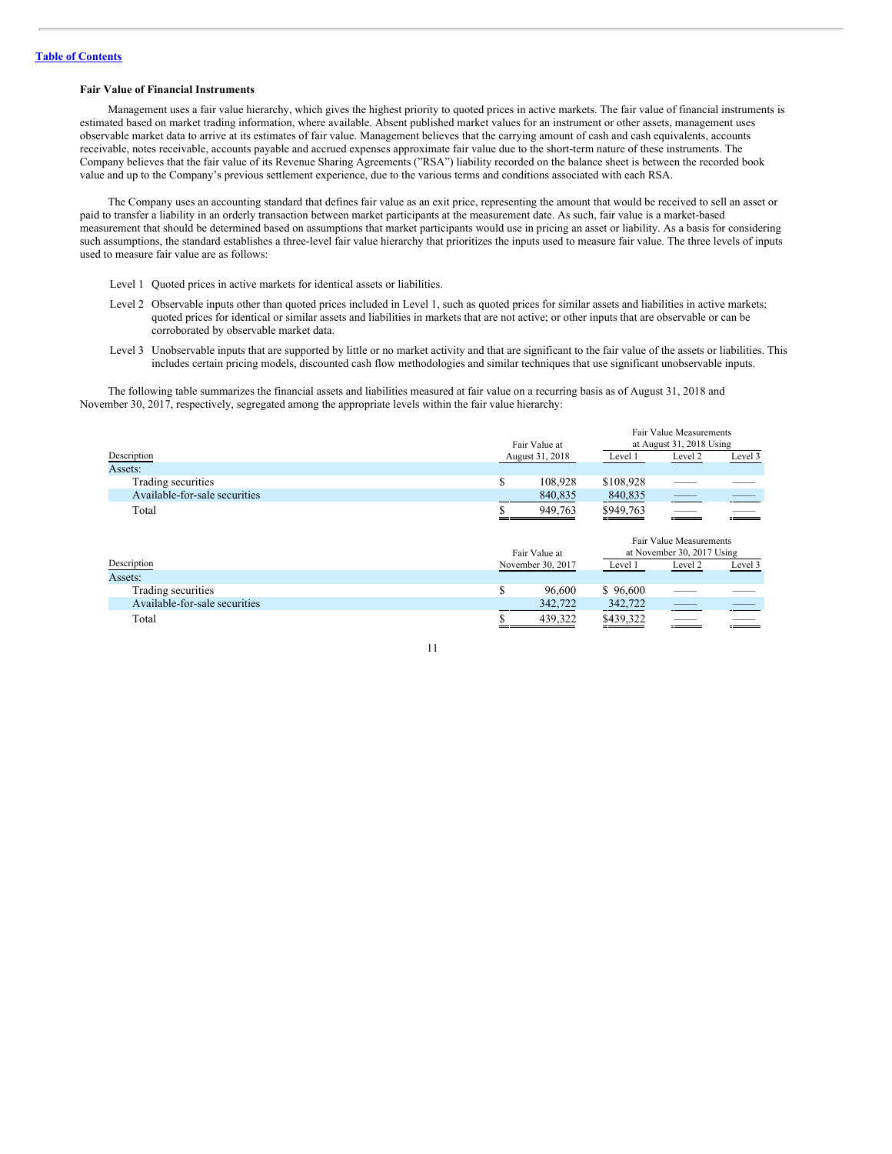### **Fair Value of Financial Instruments**

Management uses a fair value hierarchy, which gives the highest priority to quoted prices in active markets. The fair value of financial instruments is estimated based on market trading information, where available. Absent published market values for an instrument or other assets, management uses observable market data to arrive at its estimates of fair value. Management believes that the carrying amount of cash and cash equivalents, accounts receivable, notes receivable, accounts payable and accrued expenses approximate fair value due to the short-term nature of these instruments. The Company believes that the fair value of its Revenue Sharing Agreements ("RSA") liability recorded on the balance sheet is between the recorded book value and up to the Company's previous settlement experience, due to the various terms and conditions associated with each RSA.

The Company uses an accounting standard that defines fair value as an exit price, representing the amount that would be received to sell an asset or paid to transfer a liability in an orderly transaction between market participants at the measurement date. As such, fair value is a market-based measurement that should be determined based on assumptions that market participants would use in pricing an asset or liability. As a basis for considering such assumptions, the standard establishes a three-level fair value hierarchy that prioritizes the inputs used to measure fair value. The three levels of inputs used to measure fair value are as follows:

- Level 1 Quoted prices in active markets for identical assets or liabilities.
- Level 2 Observable inputs other than quoted prices included in Level 1, such as quoted prices for similar assets and liabilities in active markets; quoted prices for identical or similar assets and liabilities in markets that are not active; or other inputs that are observable or can be corroborated by observable market data.
- Level 3 Unobservable inputs that are supported by little or no market activity and that are significant to the fair value of the assets or liabilities. This includes certain pricing models, discounted cash flow methodologies and similar techniques that use significant unobservable inputs.

The following table summarizes the financial assets and liabilities measured at fair value on a recurring basis as of August 31, 2018 and November 30, 2017, respectively, segregated among the appropriate levels within the fair value hierarchy:

|                               |   | Fair Value at     |           | Fair Value Measurements<br>at August 31, 2018 Using   |         |  |  |
|-------------------------------|---|-------------------|-----------|-------------------------------------------------------|---------|--|--|
| Description                   |   | August 31, 2018   | Level 1   | Level 2                                               | Level 3 |  |  |
| Assets:                       |   |                   |           |                                                       |         |  |  |
| Trading securities            | S | 108,928           | \$108,928 |                                                       |         |  |  |
| Available-for-sale securities |   | 840,835           | 840,835   | سن                                                    |         |  |  |
| Total                         |   | 949,763           | \$949,763 | $\overline{\phantom{a}}$                              |         |  |  |
|                               |   | Fair Value at     |           | Fair Value Measurements<br>at November 30, 2017 Using |         |  |  |
| Description                   |   | November 30, 2017 | Level 1   | Level 2                                               | Level 3 |  |  |
| Assets:                       |   |                   |           |                                                       |         |  |  |
| Trading securities            | S | 96,600            | \$96,600  |                                                       |         |  |  |
| Available-for-sale securities |   | 342,722           | 342,722   |                                                       |         |  |  |
| Total                         |   | 439.322           | \$439,322 |                                                       |         |  |  |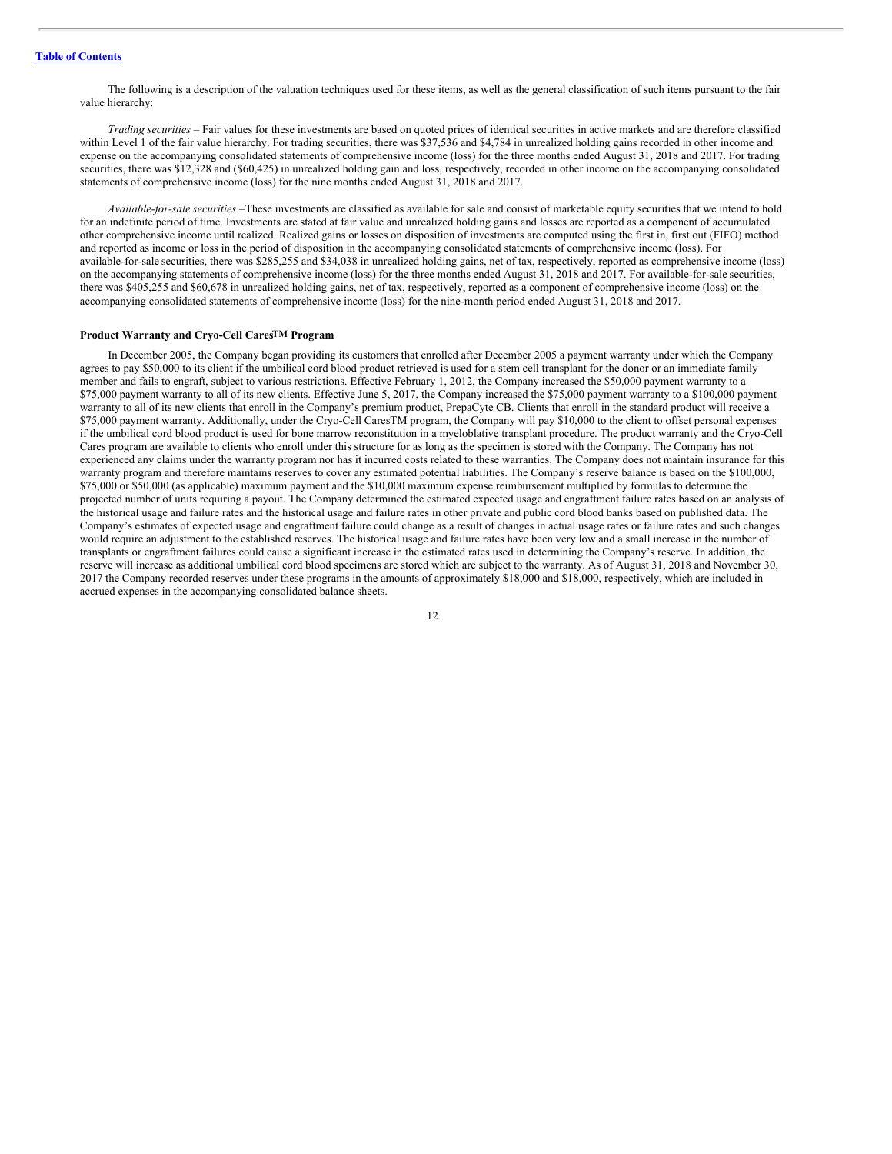The following is a description of the valuation techniques used for these items, as well as the general classification of such items pursuant to the fair value hierarchy:

*Trading securities –* Fair values for these investments are based on quoted prices of identical securities in active markets and are therefore classified within Level 1 of the fair value hierarchy. For trading securities, there was \$37,536 and \$4,784 in unrealized holding gains recorded in other income and expense on the accompanying consolidated statements of comprehensive income (loss) for the three months ended August 31, 2018 and 2017. For trading securities, there was \$12,328 and (\$60,425) in unrealized holding gain and loss, respectively, recorded in other income on the accompanying consolidated statements of comprehensive income (loss) for the nine months ended August 31, 2018 and 2017.

*Available-for-sale securities –*These investments are classified as available for sale and consist of marketable equity securities that we intend to hold for an indefinite period of time. Investments are stated at fair value and unrealized holding gains and losses are reported as a component of accumulated other comprehensive income until realized. Realized gains or losses on disposition of investments are computed using the first in, first out (FIFO) method and reported as income or loss in the period of disposition in the accompanying consolidated statements of comprehensive income (loss). For available-for-sale securities, there was \$285,255 and \$34,038 in unrealized holding gains, net of tax, respectively, reported as comprehensive income (loss) on the accompanying statements of comprehensive income (loss) for the three months ended August 31, 2018 and 2017. For available-for-sale securities, there was \$405,255 and \$60,678 in unrealized holding gains, net of tax, respectively, reported as a component of comprehensive income (loss) on the accompanying consolidated statements of comprehensive income (loss) for the nine-month period ended August 31, 2018 and 2017.

### **Product Warranty and Cryo-Cell CaresTM Program**

In December 2005, the Company began providing its customers that enrolled after December 2005 a payment warranty under which the Company agrees to pay \$50,000 to its client if the umbilical cord blood product retrieved is used for a stem cell transplant for the donor or an immediate family member and fails to engraft, subject to various restrictions. Effective February 1, 2012, the Company increased the \$50,000 payment warranty to a \$75,000 payment warranty to all of its new clients. Effective June 5, 2017, the Company increased the \$75,000 payment warranty to a \$100,000 payment warranty to all of its new clients that enroll in the Company's premium product, PrepaCyte CB. Clients that enroll in the standard product will receive a \$75,000 payment warranty. Additionally, under the Cryo-Cell CaresTM program, the Company will pay \$10,000 to the client to offset personal expenses if the umbilical cord blood product is used for bone marrow reconstitution in a myeloblative transplant procedure. The product warranty and the Cryo-Cell Cares program are available to clients who enroll under this structure for as long as the specimen is stored with the Company. The Company has not experienced any claims under the warranty program nor has it incurred costs related to these warranties. The Company does not maintain insurance for this warranty program and therefore maintains reserves to cover any estimated potential liabilities. The Company's reserve balance is based on the \$100,000, \$75,000 or \$50,000 (as applicable) maximum payment and the \$10,000 maximum expense reimbursement multiplied by formulas to determine the projected number of units requiring a payout. The Company determined the estimated expected usage and engraftment failure rates based on an analysis of the historical usage and failure rates and the historical usage and failure rates in other private and public cord blood banks based on published data. The Company's estimates of expected usage and engraftment failure could change as a result of changes in actual usage rates or failure rates and such changes would require an adjustment to the established reserves. The historical usage and failure rates have been very low and a small increase in the number of transplants or engraftment failures could cause a significant increase in the estimated rates used in determining the Company's reserve. In addition, the reserve will increase as additional umbilical cord blood specimens are stored which are subject to the warranty. As of August 31, 2018 and November 30, 2017 the Company recorded reserves under these programs in the amounts of approximately \$18,000 and \$18,000, respectively, which are included in accrued expenses in the accompanying consolidated balance sheets.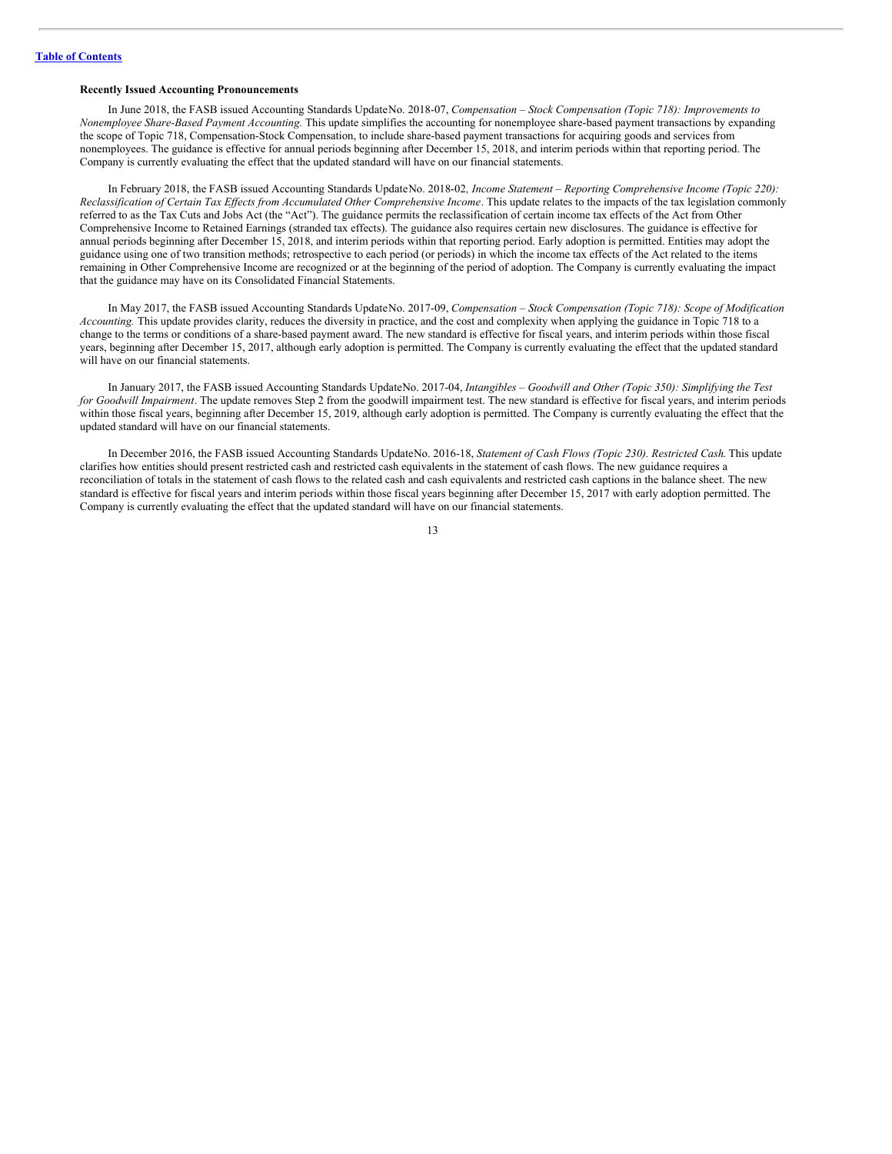### **Recently Issued Accounting Pronouncements**

In June 2018, the FASB issued Accounting Standards UpdateNo. 2018-07, *Compensation – Stock Compensation (Topic 718): Improvements to Nonemployee Share-Based Payment Accounting.* This update simplifies the accounting for nonemployee share-based payment transactions by expanding the scope of Topic 718, Compensation-Stock Compensation, to include share-based payment transactions for acquiring goods and services from nonemployees. The guidance is effective for annual periods beginning after December 15, 2018, and interim periods within that reporting period. The Company is currently evaluating the effect that the updated standard will have on our financial statements.

In February 2018, the FASB issued Accounting Standards UpdateNo. 2018-02*, Income Statement – Reporting Comprehensive Income (Topic 220):* Reclassification of Certain Tax Effects from Accumulated Other Comprehensive Income. This update relates to the impacts of the tax legislation commonly referred to as the Tax Cuts and Jobs Act (the "Act"). The guidance permits the reclassification of certain income tax effects of the Act from Other Comprehensive Income to Retained Earnings (stranded tax effects). The guidance also requires certain new disclosures. The guidance is effective for annual periods beginning after December 15, 2018, and interim periods within that reporting period. Early adoption is permitted. Entities may adopt the guidance using one of two transition methods; retrospective to each period (or periods) in which the income tax effects of the Act related to the items remaining in Other Comprehensive Income are recognized or at the beginning of the period of adoption. The Company is currently evaluating the impact that the guidance may have on its Consolidated Financial Statements.

In May 2017, the FASB issued Accounting Standards UpdateNo. 2017-09, *Compensation – Stock Compensation (Topic 718): Scope of Modification Accounting.* This update provides clarity, reduces the diversity in practice, and the cost and complexity when applying the guidance in Topic 718 to a change to the terms or conditions of a share-based payment award. The new standard is effective for fiscal years, and interim periods within those fiscal years, beginning after December 15, 2017, although early adoption is permitted. The Company is currently evaluating the effect that the updated standard will have on our financial statements.

In January 2017, the FASB issued Accounting Standards UpdateNo. 2017-04, *Intangibles – Goodwill and Other (Topic 350): Simplifying the Test for Goodwill Impairment*. The update removes Step 2 from the goodwill impairment test. The new standard is effective for fiscal years, and interim periods within those fiscal years, beginning after December 15, 2019, although early adoption is permitted. The Company is currently evaluating the effect that the updated standard will have on our financial statements.

In December 2016, the FASB issued Accounting Standards UpdateNo. 2016-18, *Statement of Cash Flows (Topic 230). Restricted Cash*. This update clarifies how entities should present restricted cash and restricted cash equivalents in the statement of cash flows. The new guidance requires a reconciliation of totals in the statement of cash flows to the related cash and cash equivalents and restricted cash captions in the balance sheet. The new standard is effective for fiscal years and interim periods within those fiscal years beginning after December 15, 2017 with early adoption permitted. The Company is currently evaluating the effect that the updated standard will have on our financial statements.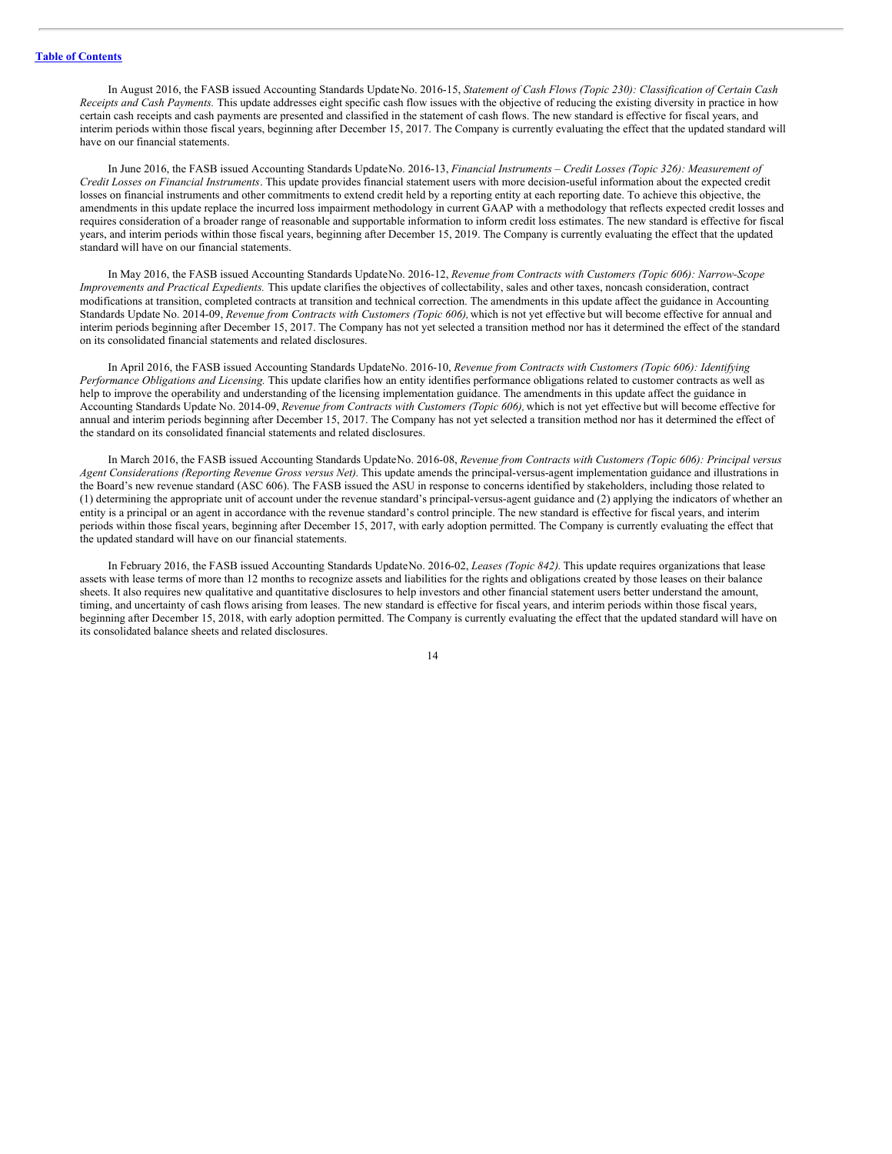In August 2016, the FASB issued Accounting Standards UpdateNo. 2016-15, *Statement of Cash Flows (Topic 230): Classification of Certain Cash Receipts and Cash Payments.* This update addresses eight specific cash flow issues with the objective of reducing the existing diversity in practice in how certain cash receipts and cash payments are presented and classified in the statement of cash flows. The new standard is effective for fiscal years, and interim periods within those fiscal years, beginning after December 15, 2017. The Company is currently evaluating the effect that the updated standard will have on our financial statements.

In June 2016, the FASB issued Accounting Standards UpdateNo. 2016-13, *Financial Instruments – Credit Losses (Topic 326): Measurement of Credit Losses on Financial Instruments*. This update provides financial statement users with more decision-useful information about the expected credit losses on financial instruments and other commitments to extend credit held by a reporting entity at each reporting date. To achieve this objective, the amendments in this update replace the incurred loss impairment methodology in current GAAP with a methodology that reflects expected credit losses and requires consideration of a broader range of reasonable and supportable information to inform credit loss estimates. The new standard is effective for fiscal years, and interim periods within those fiscal years, beginning after December 15, 2019. The Company is currently evaluating the effect that the updated standard will have on our financial statements.

In May 2016, the FASB issued Accounting Standards UpdateNo. 2016-12, *Revenue from Contracts with Customers (Topic 606): Narrow-Scope Improvements and Practical Expedients.* This update clarifies the objectives of collectability, sales and other taxes, noncash consideration, contract modifications at transition, completed contracts at transition and technical correction. The amendments in this update affect the guidance in Accounting Standards Update No. 2014-09, *Revenue from Contracts with Customers (Topic 606),*which is not yet effective but will become effective for annual and interim periods beginning after December 15, 2017. The Company has not yet selected a transition method nor has it determined the effect of the standard on its consolidated financial statements and related disclosures.

In April 2016, the FASB issued Accounting Standards UpdateNo. 2016-10, *Revenue from Contracts with Customers (Topic 606): Identifying Performance Obligations and Licensing.* This update clarifies how an entity identifies performance obligations related to customer contracts as well as help to improve the operability and understanding of the licensing implementation guidance. The amendments in this update affect the guidance in Accounting Standards Update No. 2014-09, *Revenue from Contracts with Customers (Topic 606),*which is not yet effective but will become effective for annual and interim periods beginning after December 15, 2017. The Company has not yet selected a transition method nor has it determined the effect of the standard on its consolidated financial statements and related disclosures.

In March 2016, the FASB issued Accounting Standards UpdateNo. 2016-08, *Revenue from Contracts with Customers (Topic 606): Principal versus Agent Considerations (Reporting Revenue Gross versus Net).* This update amends the principal-versus-agent implementation guidance and illustrations in the Board's new revenue standard (ASC 606). The FASB issued the ASU in response to concerns identified by stakeholders, including those related to (1) determining the appropriate unit of account under the revenue standard's principal-versus-agent guidance and (2) applying the indicators of whether an entity is a principal or an agent in accordance with the revenue standard's control principle. The new standard is effective for fiscal years, and interim periods within those fiscal years, beginning after December 15, 2017, with early adoption permitted. The Company is currently evaluating the effect that the updated standard will have on our financial statements.

In February 2016, the FASB issued Accounting Standards UpdateNo. 2016-02, *Leases (Topic 842).* This update requires organizations that lease assets with lease terms of more than 12 months to recognize assets and liabilities for the rights and obligations created by those leases on their balance sheets. It also requires new qualitative and quantitative disclosures to help investors and other financial statement users better understand the amount, timing, and uncertainty of cash flows arising from leases. The new standard is effective for fiscal years, and interim periods within those fiscal years, beginning after December 15, 2018, with early adoption permitted. The Company is currently evaluating the effect that the updated standard will have on its consolidated balance sheets and related disclosures.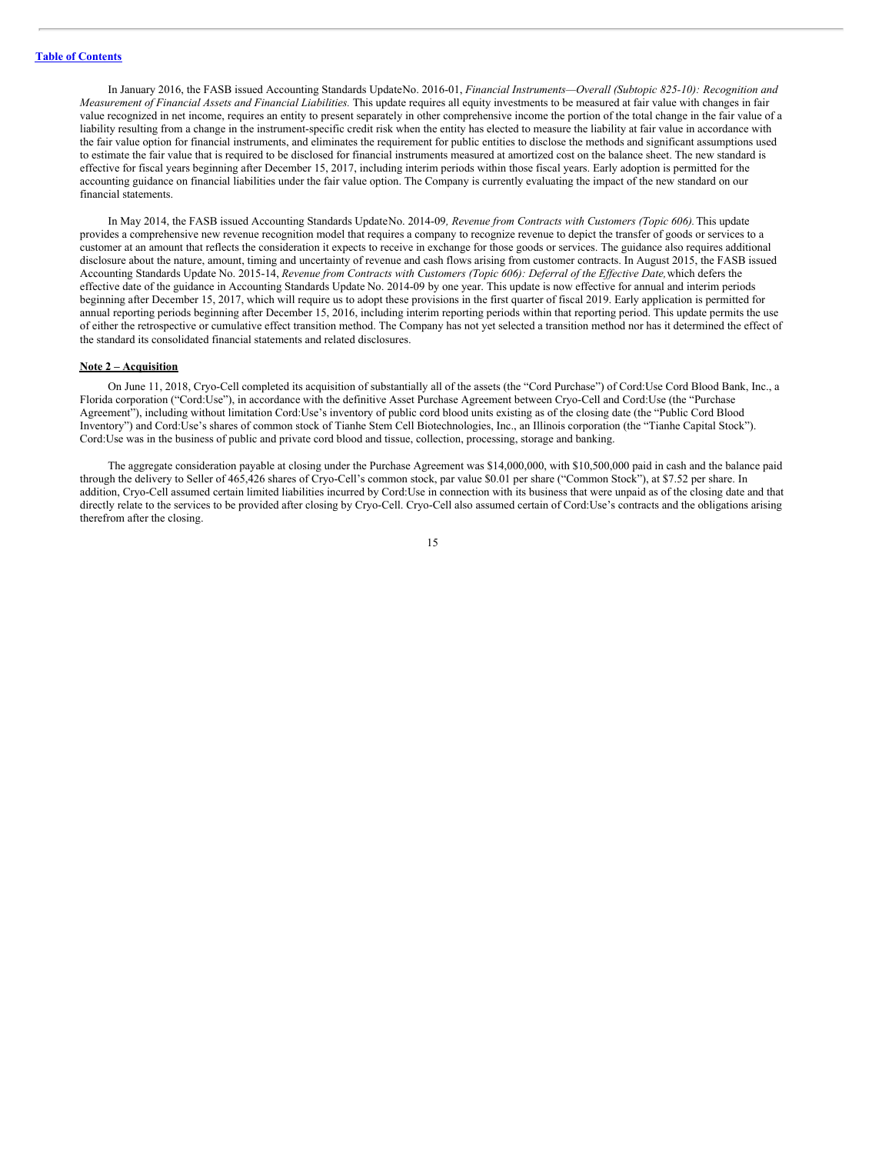In January 2016, the FASB issued Accounting Standards UpdateNo. 2016-01, *Financial Instruments—Overall (Subtopic 825-10): Recognition and Measurement of Financial Assets and Financial Liabilities.* This update requires all equity investments to be measured at fair value with changes in fair value recognized in net income, requires an entity to present separately in other comprehensive income the portion of the total change in the fair value of a liability resulting from a change in the instrument-specific credit risk when the entity has elected to measure the liability at fair value in accordance with the fair value option for financial instruments, and eliminates the requirement for public entities to disclose the methods and significant assumptions used to estimate the fair value that is required to be disclosed for financial instruments measured at amortized cost on the balance sheet. The new standard is effective for fiscal years beginning after December 15, 2017, including interim periods within those fiscal years. Early adoption is permitted for the accounting guidance on financial liabilities under the fair value option. The Company is currently evaluating the impact of the new standard on our financial statements.

In May 2014, the FASB issued Accounting Standards UpdateNo. 2014-09*, Revenue from Contracts with Customers (Topic 606).*This update provides a comprehensive new revenue recognition model that requires a company to recognize revenue to depict the transfer of goods or services to a customer at an amount that reflects the consideration it expects to receive in exchange for those goods or services. The guidance also requires additional disclosure about the nature, amount, timing and uncertainty of revenue and cash flows arising from customer contracts. In August 2015, the FASB issued Accounting Standards Update No. 2015-14, Revenue from Contracts with Customers (Topic 606): Deferral of the Effective Date, which defers the effective date of the guidance in Accounting Standards Update No. 2014-09 by one year. This update is now effective for annual and interim periods beginning after December 15, 2017, which will require us to adopt these provisions in the first quarter of fiscal 2019. Early application is permitted for annual reporting periods beginning after December 15, 2016, including interim reporting periods within that reporting period. This update permits the use of either the retrospective or cumulative effect transition method. The Company has not yet selected a transition method nor has it determined the effect of the standard its consolidated financial statements and related disclosures.

### **Note 2 – Acquisition**

On June 11, 2018, Cryo-Cell completed its acquisition of substantially all of the assets (the "Cord Purchase") of Cord:Use Cord Blood Bank, Inc., a Florida corporation ("Cord:Use"), in accordance with the definitive Asset Purchase Agreement between Cryo-Cell and Cord:Use (the "Purchase Agreement"), including without limitation Cord:Use's inventory of public cord blood units existing as of the closing date (the "Public Cord Blood Inventory") and Cord:Use's shares of common stock of Tianhe Stem Cell Biotechnologies, Inc., an Illinois corporation (the "Tianhe Capital Stock"). Cord:Use was in the business of public and private cord blood and tissue, collection, processing, storage and banking.

The aggregate consideration payable at closing under the Purchase Agreement was \$14,000,000, with \$10,500,000 paid in cash and the balance paid through the delivery to Seller of 465,426 shares of Cryo-Cell's common stock, par value \$0.01 per share ("Common Stock"), at \$7.52 per share. In addition, Cryo-Cell assumed certain limited liabilities incurred by Cord:Use in connection with its business that were unpaid as of the closing date and that directly relate to the services to be provided after closing by Cryo-Cell. Cryo-Cell also assumed certain of Cord:Use's contracts and the obligations arising therefrom after the closing.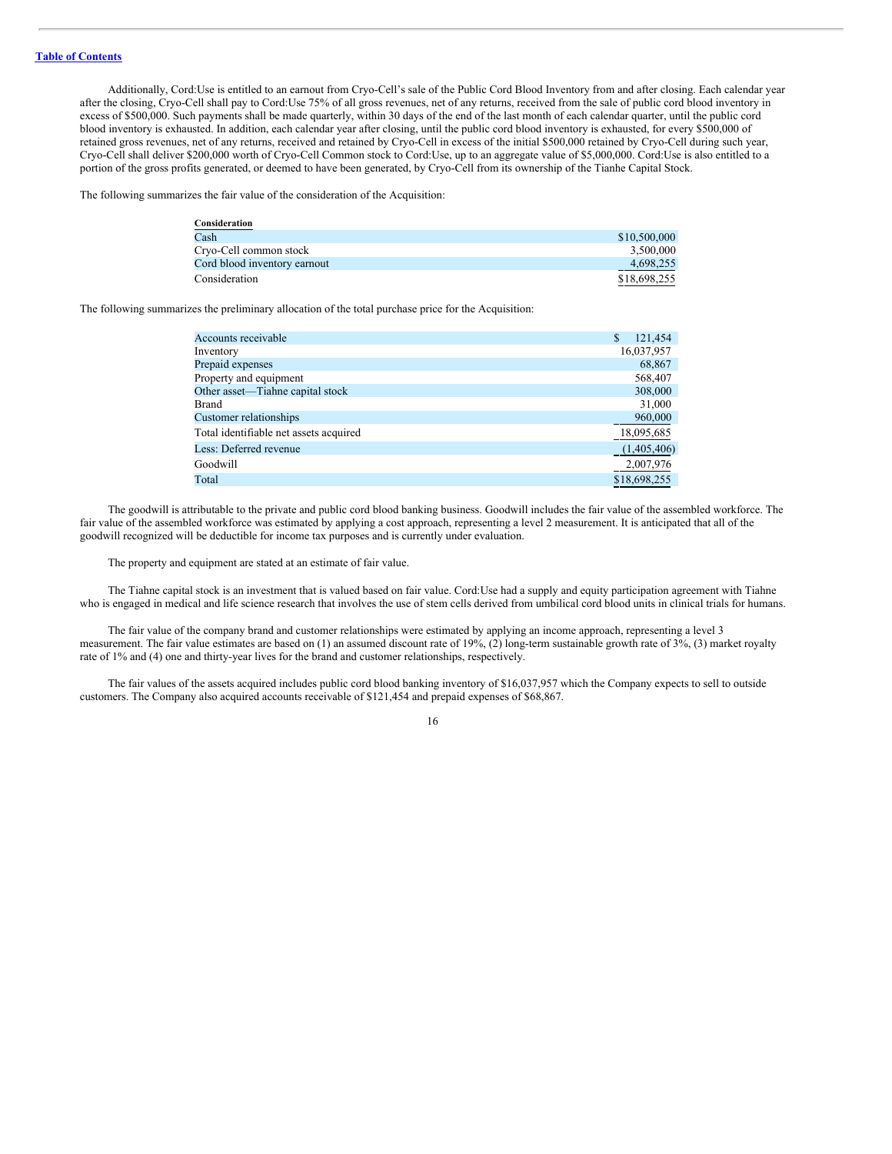Additionally, Cord:Use is entitled to an earnout from Cryo-Cell's sale of the Public Cord Blood Inventory from and after closing. Each calendar year after the closing, Cryo-Cell shall pay to Cord:Use 75% of all gross revenues, net of any returns, received from the sale of public cord blood inventory in excess of \$500,000. Such payments shall be made quarterly, within 30 days of the end of the last month of each calendar quarter, until the public cord blood inventory is exhausted. In addition, each calendar year after closing, until the public cord blood inventory is exhausted, for every \$500,000 of retained gross revenues, net of any returns, received and retained by Cryo-Cell in excess of the initial \$500,000 retained by Cryo-Cell during such year, Cryo-Cell shall deliver \$200,000 worth of Cryo-Cell Common stock to Cord:Use, up to an aggregate value of \$5,000,000. Cord:Use is also entitled to a portion of the gross profits generated, or deemed to have been generated, by Cryo-Cell from its ownership of the Tianhe Capital Stock.

The following summarizes the fair value of the consideration of the Acquisition:

| Consideration                |              |
|------------------------------|--------------|
| Cash                         | \$10,500,000 |
| Cryo-Cell common stock       | 3.500,000    |
| Cord blood inventory earnout | 4,698,255    |
| Consideration                | \$18,698,255 |

The following summarizes the preliminary allocation of the total purchase price for the Acquisition:

| Accounts receivable                    | S | 121,454      |
|----------------------------------------|---|--------------|
| Inventory                              |   | 16,037,957   |
| Prepaid expenses                       |   | 68,867       |
| Property and equipment                 |   | 568,407      |
| Other asset—Tiahne capital stock       |   | 308,000      |
| <b>Brand</b>                           |   | 31,000       |
| Customer relationships                 |   | 960,000      |
| Total identifiable net assets acquired |   | 18,095,685   |
| Less: Deferred revenue                 |   | (1,405,406)  |
| Goodwill                               |   | 2,007,976    |
| Total                                  |   | \$18,698,255 |

The goodwill is attributable to the private and public cord blood banking business. Goodwill includes the fair value of the assembled workforce. The fair value of the assembled workforce was estimated by applying a cost approach, representing a level 2 measurement. It is anticipated that all of the goodwill recognized will be deductible for income tax purposes and is currently under evaluation.

The property and equipment are stated at an estimate of fair value.

The Tiahne capital stock is an investment that is valued based on fair value. Cord:Use had a supply and equity participation agreement with Tiahne who is engaged in medical and life science research that involves the use of stem cells derived from umbilical cord blood units in clinical trials for humans.

The fair value of the company brand and customer relationships were estimated by applying an income approach, representing a level 3 measurement. The fair value estimates are based on (1) an assumed discount rate of 19%, (2) long-term sustainable growth rate of 3%, (3) market royalty rate of 1% and (4) one and thirty-year lives for the brand and customer relationships, respectively.

The fair values of the assets acquired includes public cord blood banking inventory of \$16,037,957 which the Company expects to sell to outside customers. The Company also acquired accounts receivable of \$121,454 and prepaid expenses of \$68,867.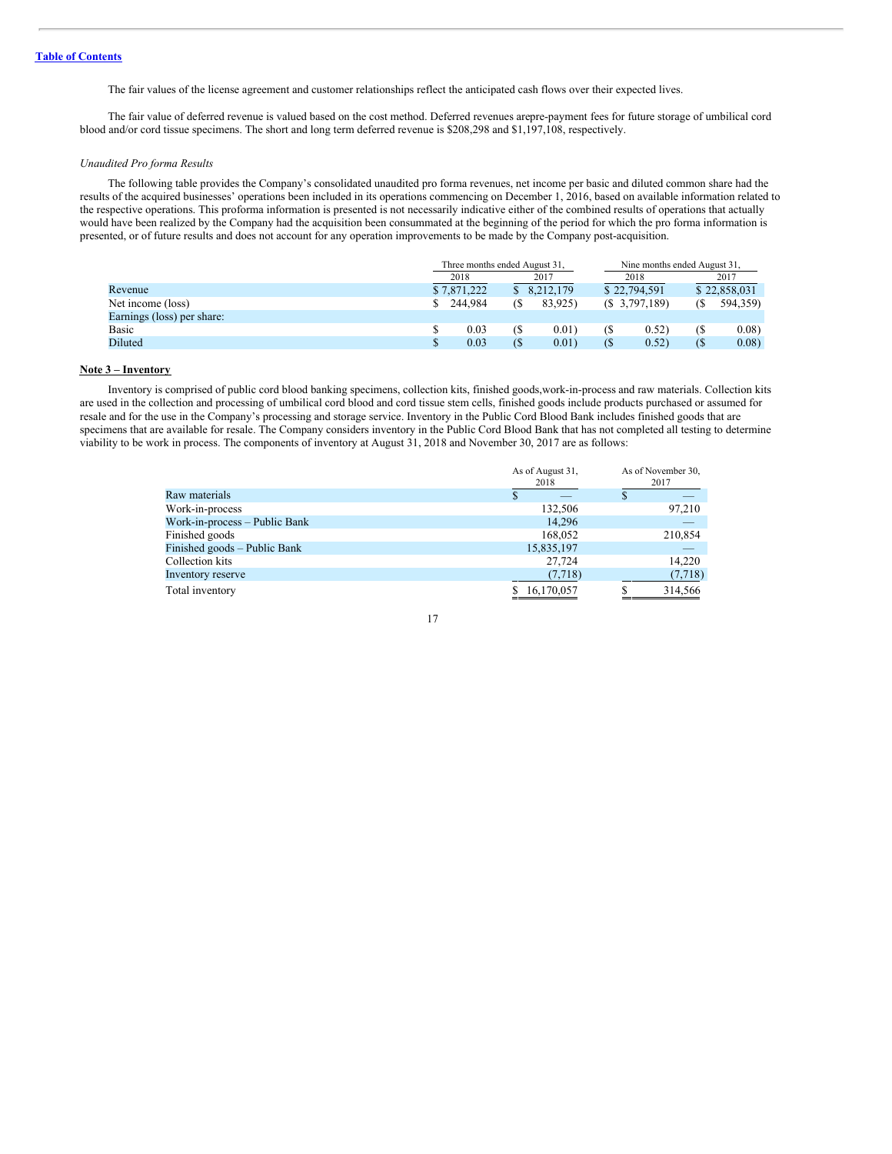The fair values of the license agreement and customer relationships reflect the anticipated cash flows over their expected lives.

The fair value of deferred revenue is valued based on the cost method. Deferred revenues arepre-payment fees for future storage of umbilical cord blood and/or cord tissue specimens. The short and long term deferred revenue is \$208,298 and \$1,197,108, respectively.

#### *Unaudited Pro forma Results*

The following table provides the Company's consolidated unaudited pro forma revenues, net income per basic and diluted common share had the results of the acquired businesses' operations been included in its operations commencing on December 1, 2016, based on available information related to the respective operations. This proforma information is presented is not necessarily indicative either of the combined results of operations that actually would have been realized by the Company had the acquisition been consummated at the beginning of the period for which the pro forma information is presented, or of future results and does not account for any operation improvements to be made by the Company post-acquisition.

|                            | Three months ended August 31, |             |     | Nine months ended August 31, |  |                |    |              |
|----------------------------|-------------------------------|-------------|-----|------------------------------|--|----------------|----|--------------|
|                            |                               | 2018        |     | 2017                         |  | 2018           |    | 2017         |
| Revenue                    |                               | \$7,871,222 |     | 8.212.179                    |  | \$22,794.591   |    | \$22,858,031 |
| Net income (loss)          | S.                            | 244.984     | (S  | 83.925)                      |  | (S, 3,797,189) |    | 594,359)     |
| Earnings (loss) per share: |                               |             |     |                              |  |                |    |              |
| Basic                      |                               | 0.03        | (\$ | $0.01^{\circ}$               |  | 0.52)          | (S | 0.08)        |
| Diluted                    |                               | 0.03        | (   | 0.01)                        |  | 0.52)          | (S | 0.08)        |

### **Note 3 – Inventory**

Inventory is comprised of public cord blood banking specimens, collection kits, finished goods,work-in-process and raw materials. Collection kits are used in the collection and processing of umbilical cord blood and cord tissue stem cells, finished goods include products purchased or assumed for resale and for the use in the Company's processing and storage service. Inventory in the Public Cord Blood Bank includes finished goods that are specimens that are available for resale. The Company considers inventory in the Public Cord Blood Bank that has not completed all testing to determine viability to be work in process. The components of inventory at August 31, 2018 and November 30, 2017 are as follows:

|                               | As of August 31,<br>2018 |   | As of November 30,<br>2017 |
|-------------------------------|--------------------------|---|----------------------------|
| Raw materials                 | S                        | ъ |                            |
| Work-in-process               | 132,506                  |   | 97,210                     |
| Work-in-process - Public Bank | 14.296                   |   |                            |
| Finished goods                | 168,052                  |   | 210,854                    |
| Finished goods – Public Bank  | 15,835,197               |   |                            |
| Collection kits               | 27,724                   |   | 14,220                     |
| Inventory reserve             | (7, 718)                 |   | (7,718)                    |
| Total inventory               | 16,170,057               |   | 314,566                    |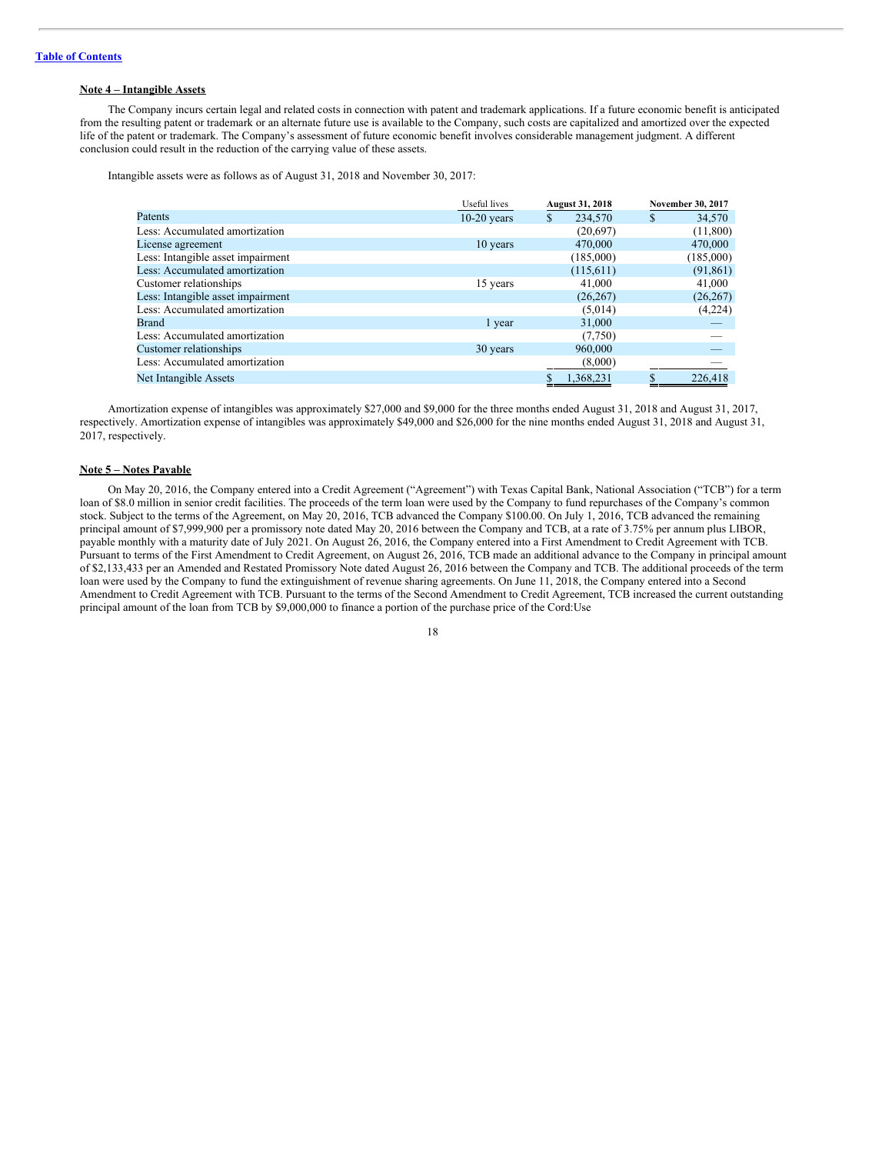### **Note 4 – Intangible Assets**

The Company incurs certain legal and related costs in connection with patent and trademark applications. If a future economic benefit is anticipated from the resulting patent or trademark or an alternate future use is available to the Company, such costs are capitalized and amortized over the expected life of the patent or trademark. The Company's assessment of future economic benefit involves considerable management judgment. A different conclusion could result in the reduction of the carrying value of these assets.

Intangible assets were as follows as of August 31, 2018 and November 30, 2017:

|                                   | Useful lives  | <b>August 31, 2018</b> | <b>November 30, 2017</b> |
|-----------------------------------|---------------|------------------------|--------------------------|
| Patents                           | $10-20$ years | 234,570<br>S           | 34,570<br>\$             |
| Less: Accumulated amortization    |               | (20,697)               | (11,800)                 |
| License agreement                 | 10 years      | 470,000                | 470,000                  |
| Less: Intangible asset impairment |               | (185,000)              | (185,000)                |
| Less: Accumulated amortization    |               | (115,611)              | (91, 861)                |
| Customer relationships            | 15 years      | 41,000                 | 41,000                   |
| Less: Intangible asset impairment |               | (26, 267)              | (26, 267)                |
| Less: Accumulated amortization    |               | (5,014)                | (4,224)                  |
| <b>Brand</b>                      | 1 year        | 31,000                 |                          |
| Less: Accumulated amortization    |               | (7,750)                |                          |
| Customer relationships            | 30 years      | 960,000                |                          |
| Less: Accumulated amortization    |               | (8,000)                |                          |
| Net Intangible Assets             |               | 1,368,231              | 226,418                  |

Amortization expense of intangibles was approximately \$27,000 and \$9,000 for the three months ended August 31, 2018 and August 31, 2017, respectively. Amortization expense of intangibles was approximately \$49,000 and \$26,000 for the nine months ended August 31, 2018 and August 31, 2017, respectively.

#### **Note 5 – Notes Payable**

On May 20, 2016, the Company entered into a Credit Agreement ("Agreement") with Texas Capital Bank, National Association ("TCB") for a term loan of \$8.0 million in senior credit facilities. The proceeds of the term loan were used by the Company to fund repurchases of the Company's common stock. Subject to the terms of the Agreement, on May 20, 2016, TCB advanced the Company \$100.00. On July 1, 2016, TCB advanced the remaining principal amount of \$7,999,900 per a promissory note dated May 20, 2016 between the Company and TCB, at a rate of 3.75% per annum plus LIBOR, payable monthly with a maturity date of July 2021. On August 26, 2016, the Company entered into a First Amendment to Credit Agreement with TCB. Pursuant to terms of the First Amendment to Credit Agreement, on August 26, 2016, TCB made an additional advance to the Company in principal amount of \$2,133,433 per an Amended and Restated Promissory Note dated August 26, 2016 between the Company and TCB. The additional proceeds of the term loan were used by the Company to fund the extinguishment of revenue sharing agreements. On June 11, 2018, the Company entered into a Second Amendment to Credit Agreement with TCB. Pursuant to the terms of the Second Amendment to Credit Agreement, TCB increased the current outstanding principal amount of the loan from TCB by \$9,000,000 to finance a portion of the purchase price of the Cord:Use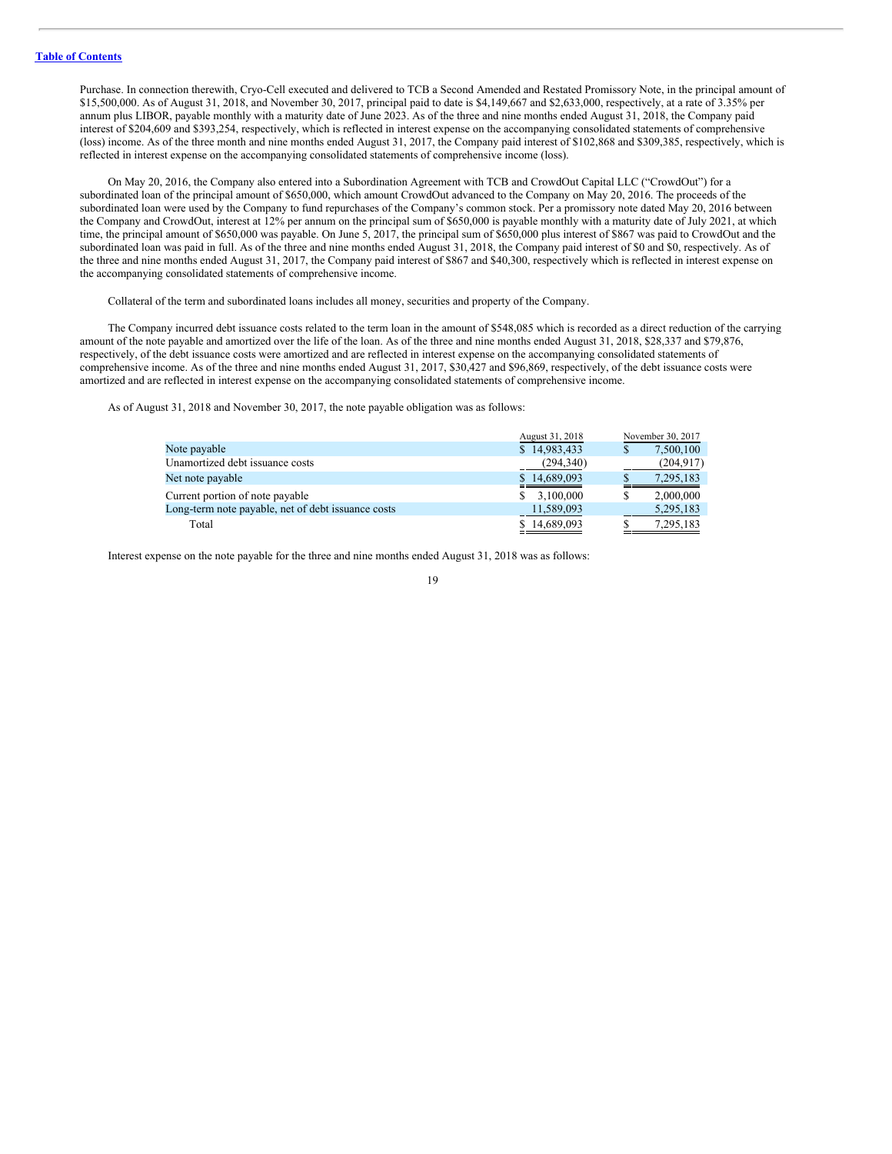Purchase. In connection therewith, Cryo-Cell executed and delivered to TCB a Second Amended and Restated Promissory Note, in the principal amount of \$15,500,000. As of August 31, 2018, and November 30, 2017, principal paid to date is \$4,149,667 and \$2,633,000, respectively, at a rate of 3.35% per annum plus LIBOR, payable monthly with a maturity date of June 2023. As of the three and nine months ended August 31, 2018, the Company paid interest of \$204,609 and \$393,254, respectively, which is reflected in interest expense on the accompanying consolidated statements of comprehensive (loss) income. As of the three month and nine months ended August 31, 2017, the Company paid interest of \$102,868 and \$309,385, respectively, which is reflected in interest expense on the accompanying consolidated statements of comprehensive income (loss).

On May 20, 2016, the Company also entered into a Subordination Agreement with TCB and CrowdOut Capital LLC ("CrowdOut") for a subordinated loan of the principal amount of \$650,000, which amount CrowdOut advanced to the Company on May 20, 2016. The proceeds of the subordinated loan were used by the Company to fund repurchases of the Company's common stock. Per a promissory note dated May 20, 2016 between the Company and CrowdOut, interest at 12% per annum on the principal sum of \$650,000 is payable monthly with a maturity date of July 2021, at which time, the principal amount of \$650,000 was payable. On June 5, 2017, the principal sum of \$650,000 plus interest of \$867 was paid to CrowdOut and the subordinated loan was paid in full. As of the three and nine months ended August 31, 2018, the Company paid interest of \$0 and \$0, respectively. As of the three and nine months ended August 31, 2017, the Company paid interest of \$867 and \$40,300, respectively which is reflected in interest expense on the accompanying consolidated statements of comprehensive income.

Collateral of the term and subordinated loans includes all money, securities and property of the Company.

The Company incurred debt issuance costs related to the term loan in the amount of \$548,085 which is recorded as a direct reduction of the carrying amount of the note payable and amortized over the life of the loan. As of the three and nine months ended August 31, 2018, \$28,337 and \$79,876, respectively, of the debt issuance costs were amortized and are reflected in interest expense on the accompanying consolidated statements of comprehensive income. As of the three and nine months ended August 31, 2017, \$30,427 and \$96,869, respectively, of the debt issuance costs were amortized and are reflected in interest expense on the accompanying consolidated statements of comprehensive income.

As of August 31, 2018 and November 30, 2017, the note payable obligation was as follows:

|                                                    | August 31, 2018 |   | November 30, 2017 |
|----------------------------------------------------|-----------------|---|-------------------|
| Note payable                                       | \$14,983,433    |   | 7,500,100         |
| Unamortized debt issuance costs                    | (294,340)       |   | (204, 917)        |
| Net note payable                                   | \$14,689,093    |   | 7,295,183         |
| Current portion of note payable                    | 3,100,000       | S | 2,000,000         |
| Long-term note payable, net of debt issuance costs | 11,589,093      |   | 5,295,183         |
| Total                                              | 14,689,093<br>S |   | 7,295,183         |

Interest expense on the note payable for the three and nine months ended August 31, 2018 was as follows: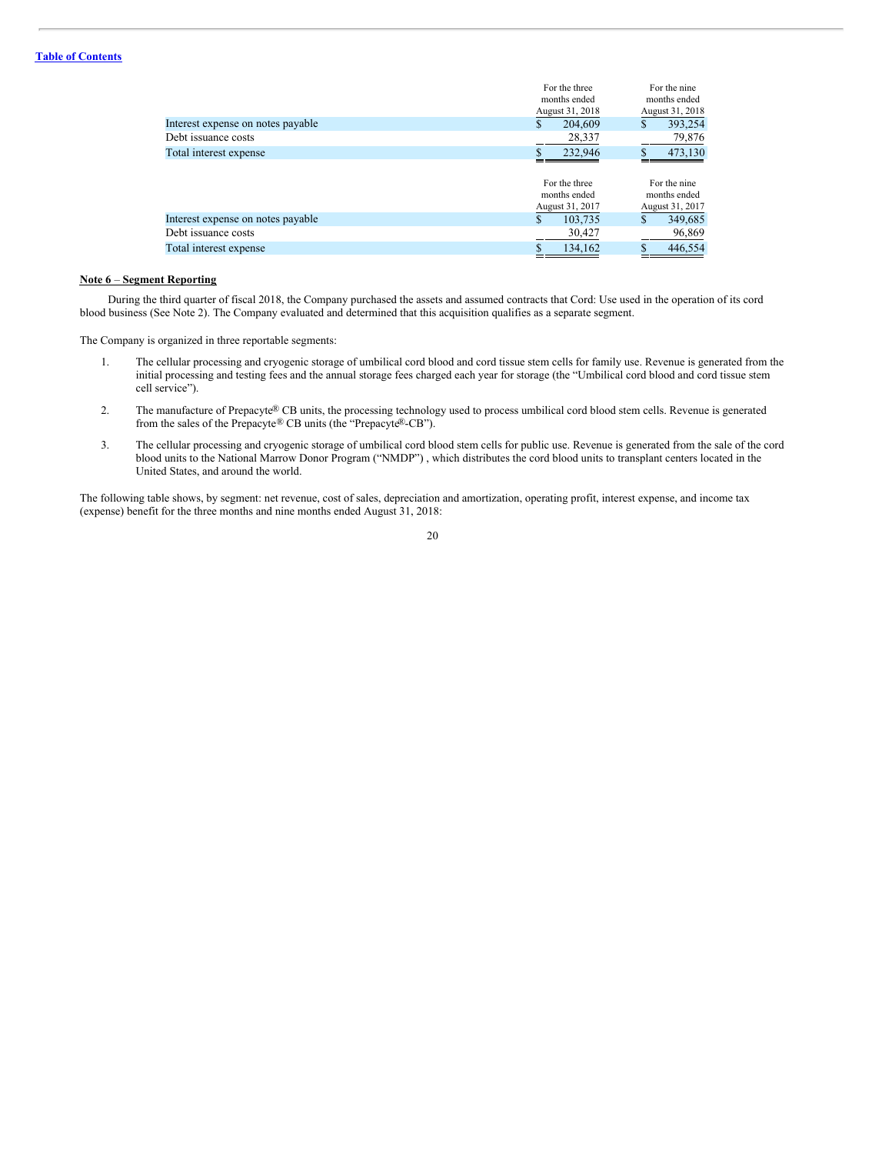|                                   | For the three<br>months ended<br>August 31, 2018 | For the nine<br>months ended<br>August 31, 2018 |
|-----------------------------------|--------------------------------------------------|-------------------------------------------------|
| Interest expense on notes payable | 204,609<br>S                                     | 393,254<br>\$                                   |
| Debt issuance costs               | 28,337                                           | 79,876                                          |
| Total interest expense            | 232,946                                          | 473,130                                         |
|                                   | For the three<br>months ended<br>August 31, 2017 | For the nine<br>months ended<br>August 31, 2017 |
| Interest expense on notes payable | 103,735<br>S                                     | 349,685<br>S                                    |
| Debt issuance costs               | 30,427                                           | 96,869                                          |
| Total interest expense            | 134,162                                          | 446,554                                         |

### **Note 6** – **Segment Reporting**

During the third quarter of fiscal 2018, the Company purchased the assets and assumed contracts that Cord: Use used in the operation of its cord blood business (See Note 2). The Company evaluated and determined that this acquisition qualifies as a separate segment.

The Company is organized in three reportable segments:

- 1. The cellular processing and cryogenic storage of umbilical cord blood and cord tissue stem cells for family use. Revenue is generated from the initial processing and testing fees and the annual storage fees charged each year for storage (the "Umbilical cord blood and cord tissue stem cell service").
- 2. The manufacture of Prepacyte® CB units, the processing technology used to process umbilical cord blood stem cells. Revenue is generated from the sales of the Prepacyte® CB units (the "Prepacyte®-CB").
- 3. The cellular processing and cryogenic storage of umbilical cord blood stem cells for public use. Revenue is generated from the sale of the cord blood units to the National Marrow Donor Program ("NMDP") , which distributes the cord blood units to transplant centers located in the United States, and around the world.

The following table shows, by segment: net revenue, cost of sales, depreciation and amortization, operating profit, interest expense, and income tax (expense) benefit for the three months and nine months ended August 31, 2018: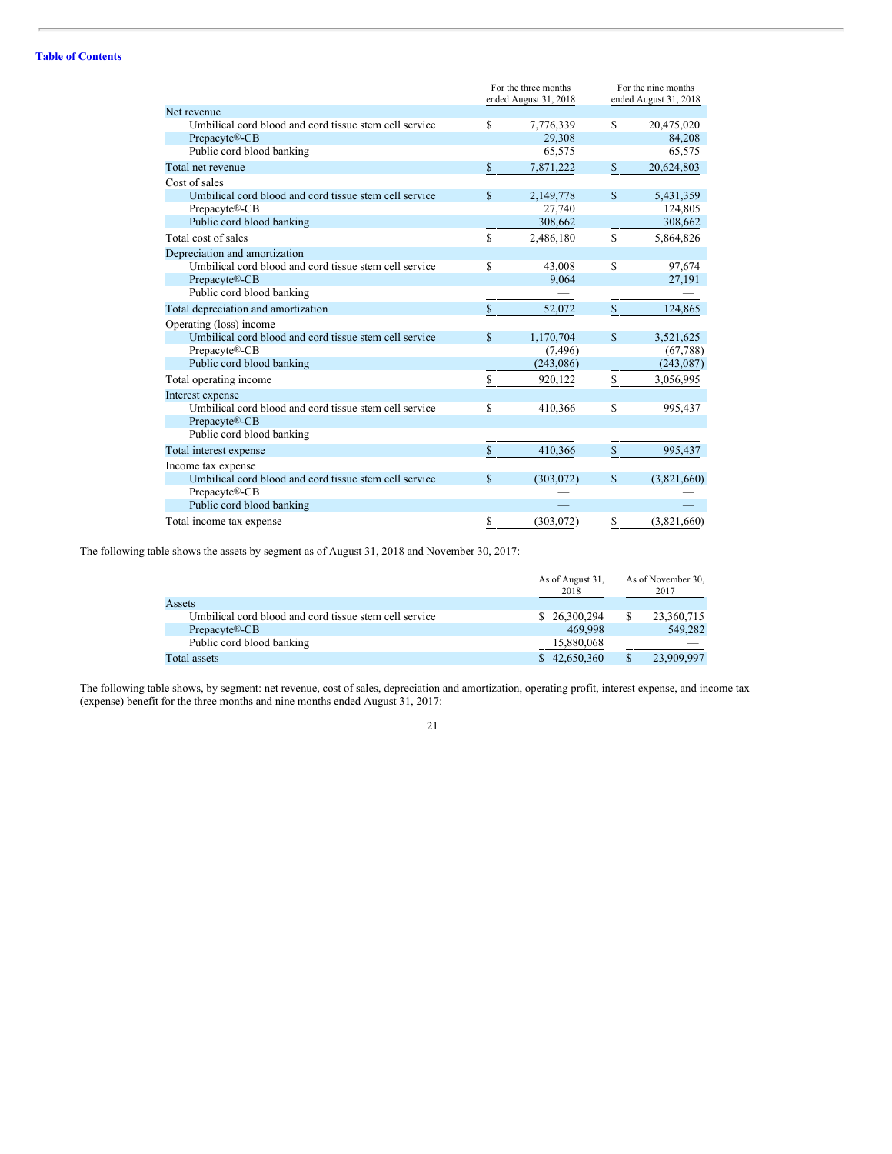|                                                        |              | For the three months<br>ended August 31, 2018 | For the nine months<br>ended August 31, 2018 |             |  |
|--------------------------------------------------------|--------------|-----------------------------------------------|----------------------------------------------|-------------|--|
| Net revenue                                            |              |                                               |                                              |             |  |
| Umbilical cord blood and cord tissue stem cell service | S            | 7,776,339                                     | S                                            | 20,475,020  |  |
| Prepacyte®-CB                                          |              | 29,308                                        |                                              | 84,208      |  |
| Public cord blood banking                              |              | 65,575                                        |                                              | 65,575      |  |
| Total net revenue                                      | \$           | 7,871,222                                     | \$                                           | 20,624,803  |  |
| Cost of sales                                          |              |                                               |                                              |             |  |
| Umbilical cord blood and cord tissue stem cell service | \$           | 2,149,778                                     | \$                                           | 5,431,359   |  |
| Prepacyte®-CB                                          |              | 27,740                                        |                                              | 124,805     |  |
| Public cord blood banking                              |              | 308,662                                       |                                              | 308,662     |  |
| Total cost of sales                                    | $\mathbb{S}$ | 2,486,180                                     | \$                                           | 5,864,826   |  |
| Depreciation and amortization                          |              |                                               |                                              |             |  |
| Umbilical cord blood and cord tissue stem cell service | \$           | 43,008                                        | S                                            | 97,674      |  |
| Prepacyte®-CB                                          |              | 9,064                                         |                                              | 27,191      |  |
| Public cord blood banking                              |              |                                               |                                              |             |  |
| Total depreciation and amortization                    | $\mathbf S$  | 52,072                                        | $\mathbb{S}$                                 | 124,865     |  |
| Operating (loss) income                                |              |                                               |                                              |             |  |
| Umbilical cord blood and cord tissue stem cell service | \$           | 1,170,704                                     | \$                                           | 3,521,625   |  |
| Prepacyte®-CB                                          |              | (7, 496)                                      |                                              | (67, 788)   |  |
| Public cord blood banking                              |              | (243,086)                                     |                                              | (243,087)   |  |
| Total operating income                                 | \$           | 920,122                                       | \$                                           | 3,056,995   |  |
| Interest expense                                       |              |                                               |                                              |             |  |
| Umbilical cord blood and cord tissue stem cell service | \$           | 410,366                                       | \$                                           | 995,437     |  |
| Prepacyte®-CB                                          |              |                                               |                                              |             |  |
| Public cord blood banking                              |              |                                               |                                              |             |  |
| Total interest expense                                 | \$           | 410,366                                       | \$                                           | 995,437     |  |
| Income tax expense                                     |              |                                               |                                              |             |  |
| Umbilical cord blood and cord tissue stem cell service | \$           | (303,072)                                     | \$                                           | (3,821,660) |  |
| Prepacyte®-CB                                          |              |                                               |                                              |             |  |
| Public cord blood banking                              |              |                                               |                                              |             |  |
| Total income tax expense                               | \$           | (303,072)                                     | \$                                           | (3,821,660) |  |

The following table shows the assets by segment as of August 31, 2018 and November 30, 2017:

|                                                        | As of August 31,<br>2018 | As of November 30,<br>2017 |
|--------------------------------------------------------|--------------------------|----------------------------|
| Assets                                                 |                          |                            |
| Umbilical cord blood and cord tissue stem cell service | \$ 26,300,294            | \$<br>23,360,715           |
| Prepacyte <sup>®</sup> -CB                             | 469,998                  | 549,282                    |
| Public cord blood banking                              | 15,880,068               |                            |
| Total assets                                           | 42,650,360               | 23,909,997                 |

The following table shows, by segment: net revenue, cost of sales, depreciation and amortization, operating profit, interest expense, and income tax (expense) benefit for the three months and nine months ended August 31, 2017: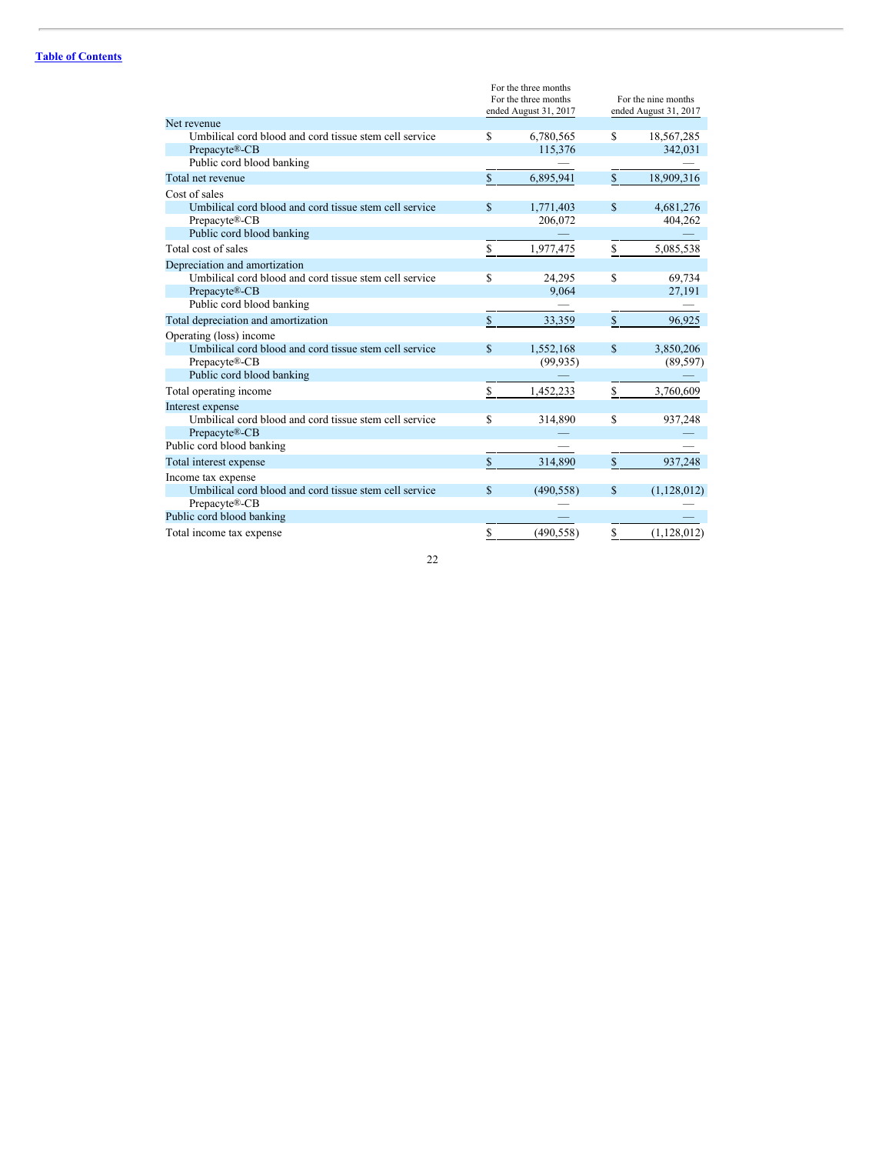|                                                        | For the three months<br>For the three months<br>ended August 31, 2017 |            |     | For the nine months<br>ended August 31, 2017 |
|--------------------------------------------------------|-----------------------------------------------------------------------|------------|-----|----------------------------------------------|
| Net revenue                                            |                                                                       |            |     |                                              |
| Umbilical cord blood and cord tissue stem cell service | \$                                                                    | 6,780,565  | S   | 18,567,285                                   |
| Prepacyte®-CB                                          |                                                                       | 115,376    |     | 342,031                                      |
| Public cord blood banking                              |                                                                       |            |     |                                              |
| Total net revenue                                      | \$                                                                    | 6,895,941  | \$. | 18,909,316                                   |
| Cost of sales                                          |                                                                       |            |     |                                              |
| Umbilical cord blood and cord tissue stem cell service | \$                                                                    | 1,771,403  | \$  | 4,681,276                                    |
| Prepacyte®-CB                                          |                                                                       | 206,072    |     | 404,262                                      |
| Public cord blood banking                              |                                                                       |            |     |                                              |
| Total cost of sales                                    | \$                                                                    | 1,977,475  | S.  | 5,085,538                                    |
| Depreciation and amortization                          |                                                                       |            |     |                                              |
| Umbilical cord blood and cord tissue stem cell service | \$                                                                    | 24,295     | S   | 69,734                                       |
| Prepacyte®-CB                                          |                                                                       | 9.064      |     | 27,191                                       |
| Public cord blood banking                              |                                                                       |            |     |                                              |
| Total depreciation and amortization                    | \$                                                                    | 33,359     | \$  | 96,925                                       |
| Operating (loss) income                                |                                                                       |            |     |                                              |
| Umbilical cord blood and cord tissue stem cell service | \$                                                                    | 1,552,168  | \$  | 3,850,206                                    |
| Prepacyte®-CB                                          |                                                                       | (99, 935)  |     | (89, 597)                                    |
| Public cord blood banking                              |                                                                       |            |     |                                              |
| Total operating income                                 | \$                                                                    | 1,452,233  | \$  | 3,760,609                                    |
| Interest expense                                       |                                                                       |            |     |                                              |
| Umbilical cord blood and cord tissue stem cell service | S                                                                     | 314,890    | S   | 937,248                                      |
| Prepacyte®-CB                                          |                                                                       |            |     |                                              |
| Public cord blood banking                              |                                                                       |            |     |                                              |
| Total interest expense                                 | \$                                                                    | 314,890    | \$  | 937,248                                      |
| Income tax expense                                     |                                                                       |            |     |                                              |
| Umbilical cord blood and cord tissue stem cell service | \$                                                                    | (490, 558) | S   | (1,128,012)                                  |
| Prepacyte®-CB                                          |                                                                       |            |     |                                              |
| Public cord blood banking                              |                                                                       |            |     |                                              |
| Total income tax expense                               | \$                                                                    | (490, 558) | S   | (1,128,012)                                  |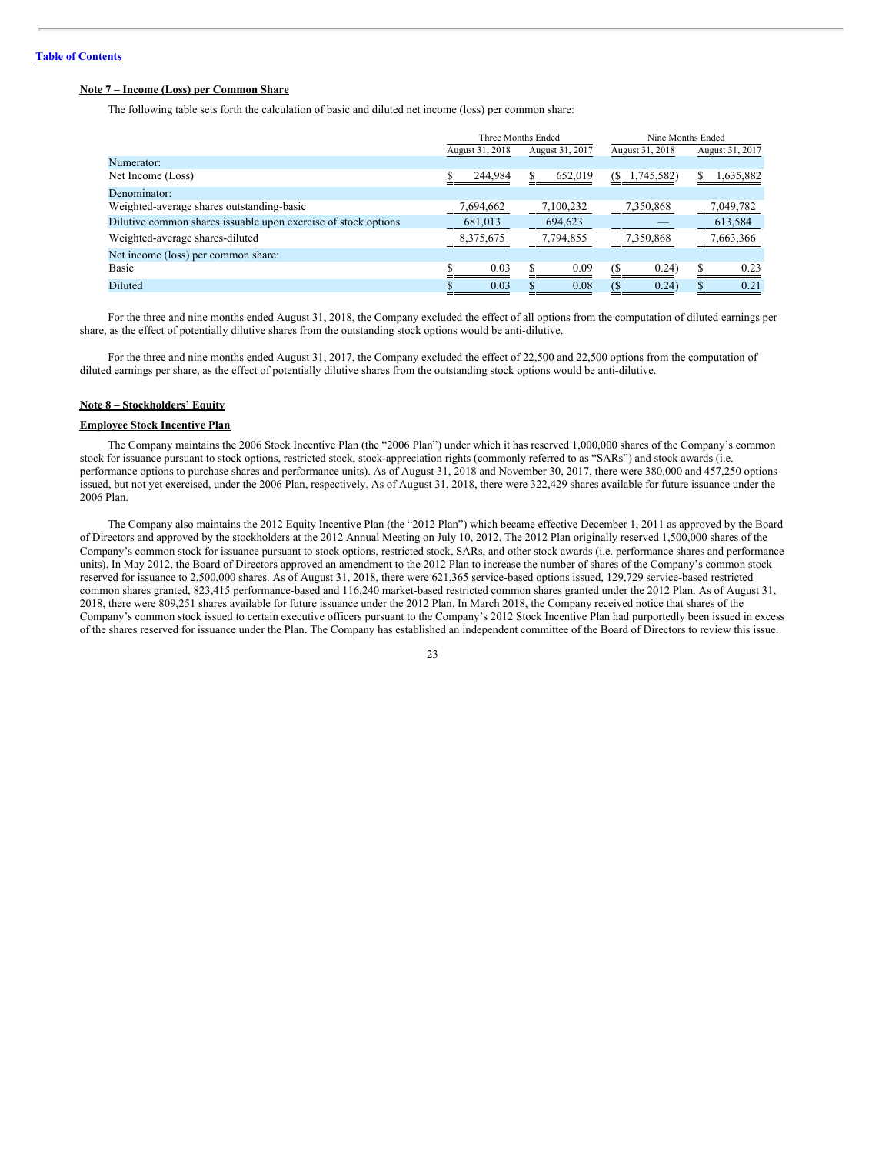### **Note 7 – Income (Loss) per Common Share**

The following table sets forth the calculation of basic and diluted net income (loss) per common share:

|                                                                |                 | Three Months Ended | Nine Months Ended |                 |  |
|----------------------------------------------------------------|-----------------|--------------------|-------------------|-----------------|--|
|                                                                | August 31, 2018 | August 31, 2017    | August 31, 2018   | August 31, 2017 |  |
| Numerator:                                                     |                 |                    |                   |                 |  |
| Net Income (Loss)                                              | 244,984         | 652,019            | 1,745,582)<br>(S  | 1,635,882       |  |
| Denominator:                                                   |                 |                    |                   |                 |  |
| Weighted-average shares outstanding-basic                      | 7,694,662       | 7,100,232          | 7,350,868         | 7,049,782       |  |
| Dilutive common shares issuable upon exercise of stock options | 681,013         | 694,623            |                   | 613,584         |  |
| Weighted-average shares-diluted                                | 8,375,675       | 7,794,855          | 7,350,868         | 7,663,366       |  |
| Net income (loss) per common share:                            |                 |                    |                   |                 |  |
| <b>Basic</b>                                                   | 0.03            | 0.09               | (S<br>0.24)       | 0.23            |  |
| Diluted                                                        | 0.03            | 0.08               | (S<br>0.24)       | 0.21            |  |

For the three and nine months ended August 31, 2018, the Company excluded the effect of all options from the computation of diluted earnings per share, as the effect of potentially dilutive shares from the outstanding stock options would be anti-dilutive.

For the three and nine months ended August 31, 2017, the Company excluded the effect of 22,500 and 22,500 options from the computation of diluted earnings per share, as the effect of potentially dilutive shares from the outstanding stock options would be anti-dilutive.

#### **Note 8 – Stockholders' Equity**

### **Employee Stock Incentive Plan**

The Company maintains the 2006 Stock Incentive Plan (the "2006 Plan") under which it has reserved 1,000,000 shares of the Company's common stock for issuance pursuant to stock options, restricted stock, stock-appreciation rights (commonly referred to as "SARs") and stock awards (i.e. performance options to purchase shares and performance units). As of August 31, 2018 and November 30, 2017, there were 380,000 and 457,250 options issued, but not yet exercised, under the 2006 Plan, respectively. As of August 31, 2018, there were 322,429 shares available for future issuance under the 2006 Plan.

The Company also maintains the 2012 Equity Incentive Plan (the "2012 Plan") which became effective December 1, 2011 as approved by the Board of Directors and approved by the stockholders at the 2012 Annual Meeting on July 10, 2012. The 2012 Plan originally reserved 1,500,000 shares of the Company's common stock for issuance pursuant to stock options, restricted stock, SARs, and other stock awards (i.e. performance shares and performance units). In May 2012, the Board of Directors approved an amendment to the 2012 Plan to increase the number of shares of the Company's common stock reserved for issuance to 2,500,000 shares. As of August 31, 2018, there were 621,365 service-based options issued, 129,729 service-based restricted common shares granted, 823,415 performance-based and 116,240 market-based restricted common shares granted under the 2012 Plan. As of August 31, 2018, there were 809,251 shares available for future issuance under the 2012 Plan. In March 2018, the Company received notice that shares of the Company's common stock issued to certain executive officers pursuant to the Company's 2012 Stock Incentive Plan had purportedly been issued in excess of the shares reserved for issuance under the Plan. The Company has established an independent committee of the Board of Directors to review this issue.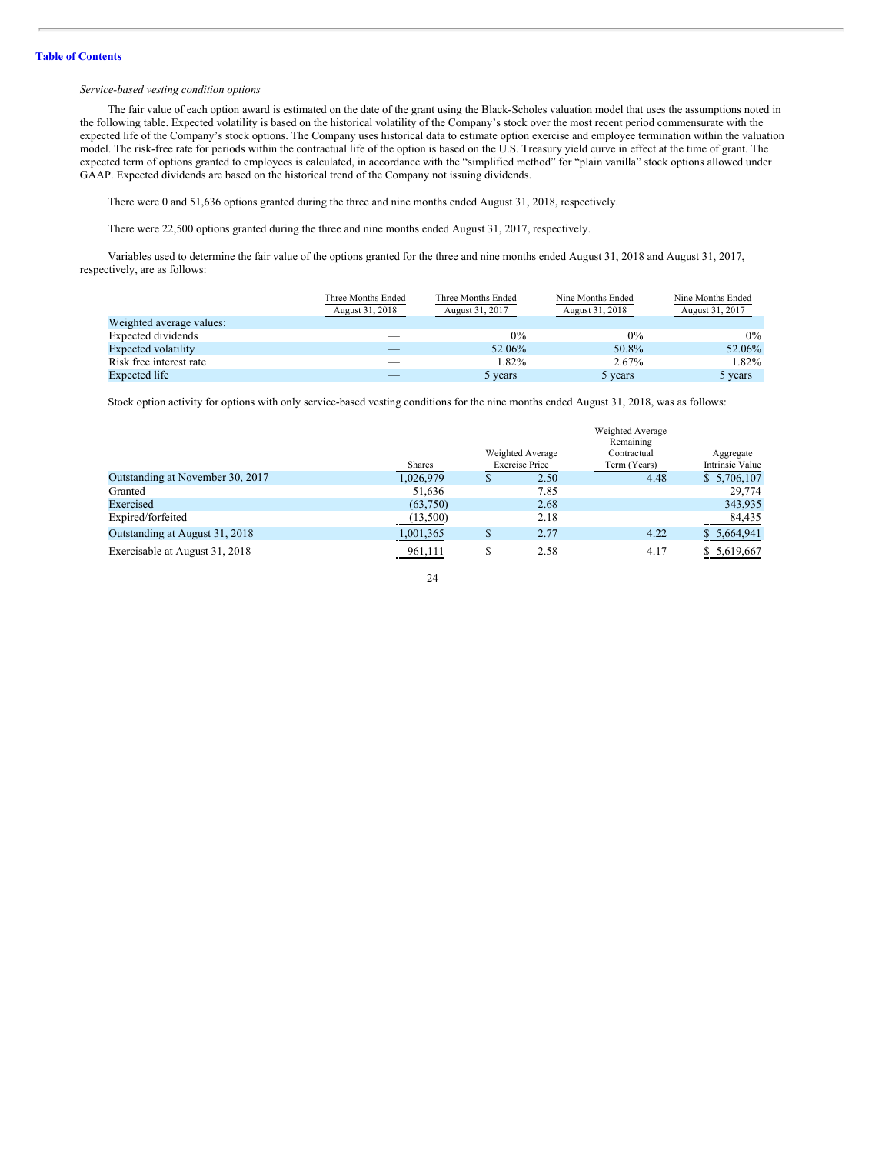### *Service-based vesting condition options*

The fair value of each option award is estimated on the date of the grant using the Black-Scholes valuation model that uses the assumptions noted in the following table. Expected volatility is based on the historical volatility of the Company's stock over the most recent period commensurate with the expected life of the Company's stock options. The Company uses historical data to estimate option exercise and employee termination within the valuation model. The risk-free rate for periods within the contractual life of the option is based on the U.S. Treasury yield curve in effect at the time of grant. The expected term of options granted to employees is calculated, in accordance with the "simplified method" for "plain vanilla" stock options allowed under GAAP. Expected dividends are based on the historical trend of the Company not issuing dividends.

There were 0 and 51,636 options granted during the three and nine months ended August 31, 2018, respectively.

There were 22,500 options granted during the three and nine months ended August 31, 2017, respectively.

Variables used to determine the fair value of the options granted for the three and nine months ended August 31, 2018 and August 31, 2017, respectively, are as follows:

|                            | Three Months Ended<br>August 31, 2018 | Three Months Ended<br>August 31, 2017 | Nine Months Ended<br>August 31, 2018 | Nine Months Ended<br>August 31, 2017 |
|----------------------------|---------------------------------------|---------------------------------------|--------------------------------------|--------------------------------------|
| Weighted average values:   |                                       |                                       |                                      |                                      |
| Expected dividends         | $\sim$                                | $0\%$                                 | $0\%$                                | $0\%$                                |
| <b>Expected volatility</b> | $\overline{\phantom{a}}$              | 52.06%                                | 50.8%                                | 52.06%                               |
| Risk free interest rate    | $\overline{\phantom{a}}$              | 1.82%                                 | 2.67%                                | 1.82%                                |
| Expected life              |                                       | 5 years                               | 5 years                              | 5 years                              |

Stock option activity for options with only service-based vesting conditions for the nine months ended August 31, 2018, was as follows:

|                                  |           |                       | Weighted Average<br>Remaining |                 |
|----------------------------------|-----------|-----------------------|-------------------------------|-----------------|
|                                  |           | Weighted Average      | Contractual                   | Aggregate       |
|                                  | Shares    | <b>Exercise Price</b> | Term (Years)                  | Intrinsic Value |
| Outstanding at November 30, 2017 | 1,026,979 | 2.50                  | 4.48                          | \$5,706,107     |
| Granted                          | 51,636    | 7.85                  |                               | 29,774          |
| Exercised                        | (63,750)  | 2.68                  |                               | 343,935         |
| Expired/forfeited                | (13,500)  | 2.18                  |                               | 84,435          |
| Outstanding at August 31, 2018   | 1,001,365 | \$<br>2.77            | 4.22                          | \$5,664,941     |
| Exercisable at August 31, 2018   | 961,111   | 2.58                  | 4.17                          | \$5,619,667     |

24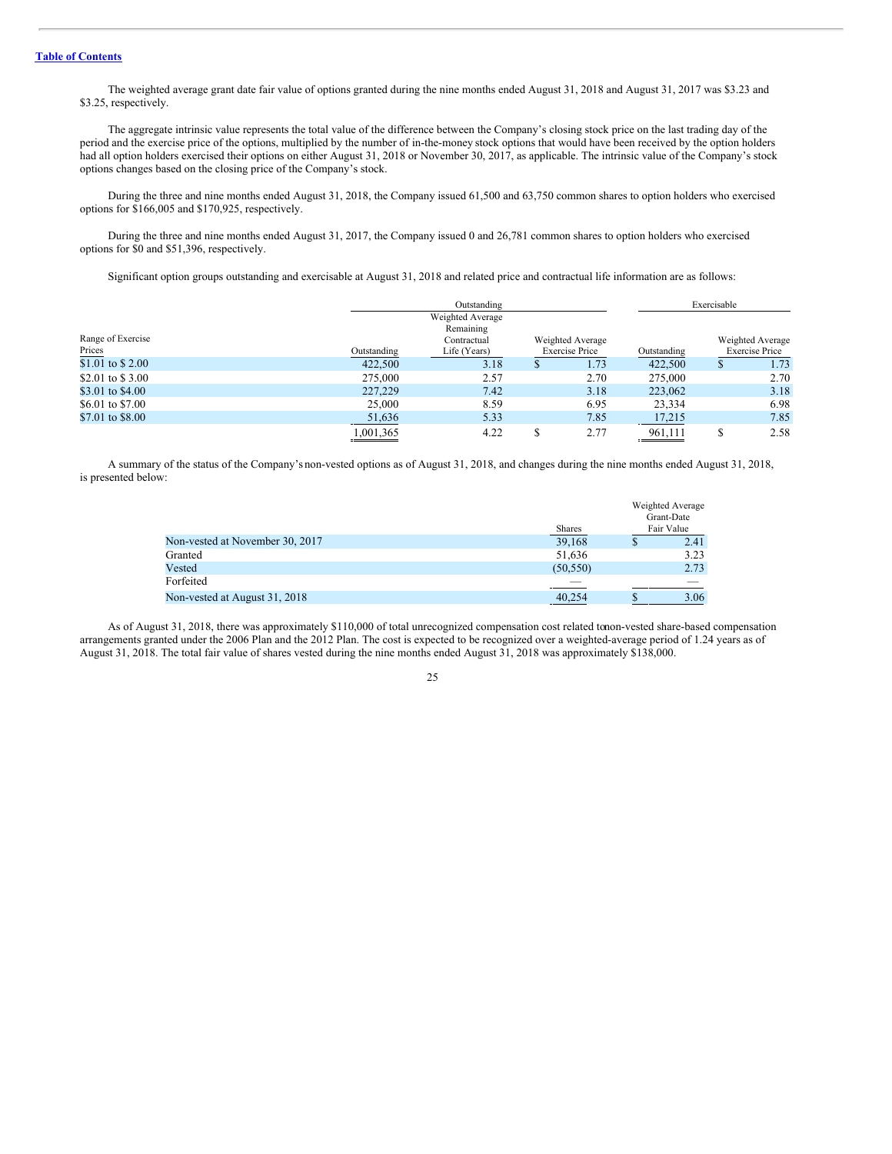The weighted average grant date fair value of options granted during the nine months ended August 31, 2018 and August 31, 2017 was \$3.23 and \$3.25, respectively.

The aggregate intrinsic value represents the total value of the difference between the Company's closing stock price on the last trading day of the period and the exercise price of the options, multiplied by the number of in-the-money stock options that would have been received by the option holders had all option holders exercised their options on either August 31, 2018 or November 30, 2017, as applicable. The intrinsic value of the Company's stock options changes based on the closing price of the Company's stock.

During the three and nine months ended August 31, 2018, the Company issued 61,500 and 63,750 common shares to option holders who exercised options for \$166,005 and \$170,925, respectively.

During the three and nine months ended August 31, 2017, the Company issued 0 and 26,781 common shares to option holders who exercised options for \$0 and \$51,396, respectively.

Significant option groups outstanding and exercisable at August 31, 2018 and related price and contractual life information are as follows:

|                   |             | Outstanding      |    |                       | Exercisable |   |                       |
|-------------------|-------------|------------------|----|-----------------------|-------------|---|-----------------------|
|                   |             | Weighted Average |    |                       |             |   |                       |
|                   |             | Remaining        |    |                       |             |   |                       |
| Range of Exercise |             | Contractual      |    | Weighted Average      |             |   | Weighted Average      |
| Prices            | Outstanding | Life (Years)     |    | <b>Exercise Price</b> | Outstanding |   | <b>Exercise Price</b> |
| \$1.01 to \$2.00  | 422,500     | 3.18             | S  | 1.73                  | 422,500     | S | 1.73                  |
| \$2.01 to \$3.00  | 275,000     | 2.57             |    | 2.70                  | 275,000     |   | 2.70                  |
| \$3.01 to \$4.00  | 227,229     | 7.42             |    | 3.18                  | 223,062     |   | 3.18                  |
| \$6.01 to \$7.00  | 25,000      | 8.59             |    | 6.95                  | 23,334      |   | 6.98                  |
| \$7.01 to \$8.00  | 51,636      | 5.33             |    | 7.85                  | 17,215      |   | 7.85                  |
|                   | 1,001,365   | 4.22             | \$ | 2.77                  | 961,111     |   | 2.58                  |

A summary of the status of the Company's non-vested options as of August 31, 2018, and changes during the nine months ended August 31, 2018, is presented below:

|                                 |           |   | Weighted Average<br>Grant-Date |
|---------------------------------|-----------|---|--------------------------------|
|                                 | Shares    |   | Fair Value                     |
| Non-vested at November 30, 2017 | 39,168    | S | 2.41                           |
| Granted                         | 51,636    |   | 3.23                           |
| Vested                          | (50, 550) |   | 2.73                           |
| Forfeited                       |           |   |                                |
| Non-vested at August 31, 2018   | 40.254    |   | 3.06                           |

As of August 31, 2018, there was approximately \$110,000 of total unrecognized compensation cost related tonon-vested share-based compensation arrangements granted under the 2006 Plan and the 2012 Plan. The cost is expected to be recognized over a weighted-average period of 1.24 years as of August 31, 2018. The total fair value of shares vested during the nine months ended August 31, 2018 was approximately \$138,000.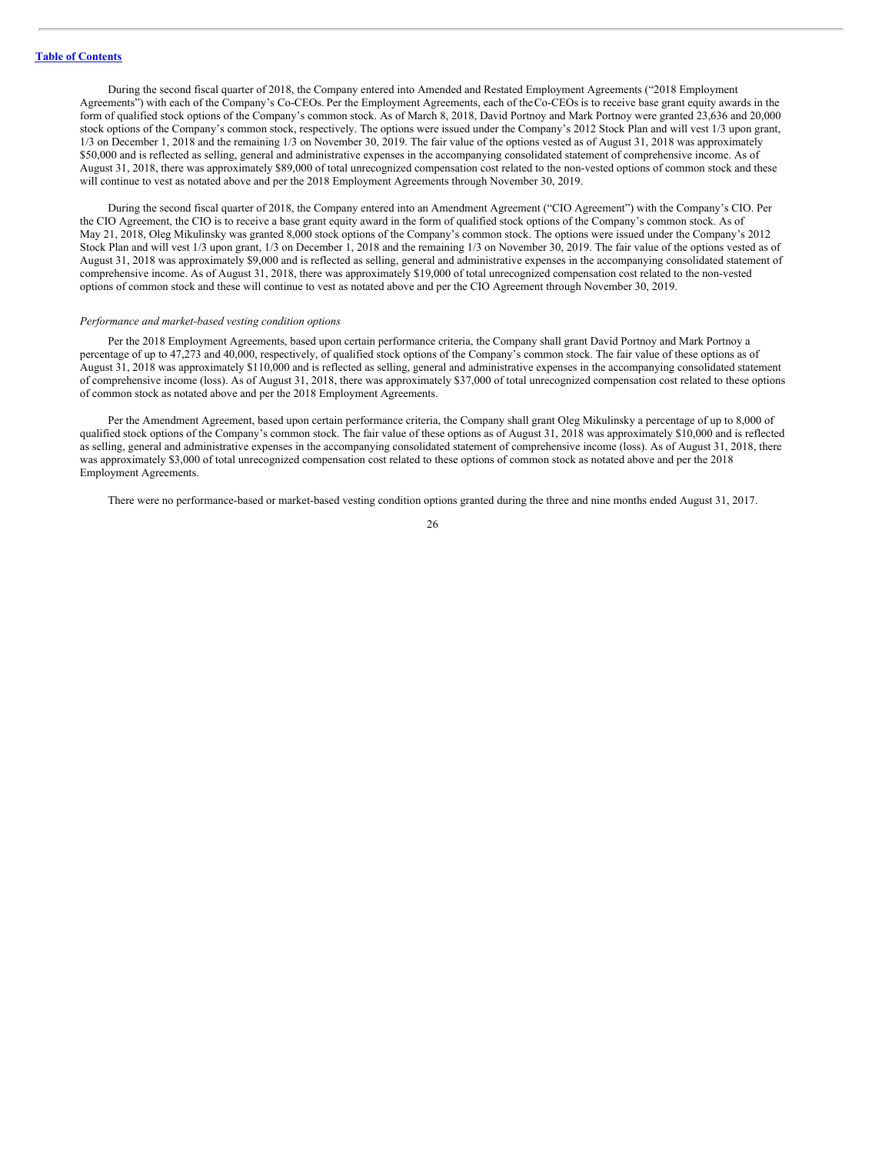During the second fiscal quarter of 2018, the Company entered into Amended and Restated Employment Agreements ("2018 Employment Agreements") with each of the Company's Co-CEOs. Per the Employment Agreements, each of theCo-CEOs is to receive base grant equity awards in the form of qualified stock options of the Company's common stock. As of March 8, 2018, David Portnoy and Mark Portnoy were granted 23,636 and 20,000 stock options of the Company's common stock, respectively. The options were issued under the Company's 2012 Stock Plan and will vest 1/3 upon grant, 1/3 on December 1, 2018 and the remaining 1/3 on November 30, 2019. The fair value of the options vested as of August 31, 2018 was approximately \$50,000 and is reflected as selling, general and administrative expenses in the accompanying consolidated statement of comprehensive income. As of August 31, 2018, there was approximately \$89,000 of total unrecognized compensation cost related to the non-vested options of common stock and these will continue to vest as notated above and per the 2018 Employment Agreements through November 30, 2019.

During the second fiscal quarter of 2018, the Company entered into an Amendment Agreement ("CIO Agreement") with the Company's CIO. Per the CIO Agreement, the CIO is to receive a base grant equity award in the form of qualified stock options of the Company's common stock. As of May 21, 2018, Oleg Mikulinsky was granted 8,000 stock options of the Company's common stock. The options were issued under the Company's 2012 Stock Plan and will vest 1/3 upon grant, 1/3 on December 1, 2018 and the remaining 1/3 on November 30, 2019. The fair value of the options vested as of August 31, 2018 was approximately \$9,000 and is reflected as selling, general and administrative expenses in the accompanying consolidated statement of comprehensive income. As of August 31, 2018, there was approximately \$19,000 of total unrecognized compensation cost related to the non-vested options of common stock and these will continue to vest as notated above and per the CIO Agreement through November 30, 2019.

#### *Performance and market-based vesting condition options*

Per the 2018 Employment Agreements, based upon certain performance criteria, the Company shall grant David Portnoy and Mark Portnoy a percentage of up to 47,273 and 40,000, respectively, of qualified stock options of the Company's common stock. The fair value of these options as of August 31, 2018 was approximately \$110,000 and is reflected as selling, general and administrative expenses in the accompanying consolidated statement of comprehensive income (loss). As of August 31, 2018, there was approximately \$37,000 of total unrecognized compensation cost related to these options of common stock as notated above and per the 2018 Employment Agreements.

Per the Amendment Agreement, based upon certain performance criteria, the Company shall grant Oleg Mikulinsky a percentage of up to 8,000 of qualified stock options of the Company's common stock. The fair value of these options as of August 31, 2018 was approximately \$10,000 and is reflected as selling, general and administrative expenses in the accompanying consolidated statement of comprehensive income (loss). As of August 31, 2018, there was approximately \$3,000 of total unrecognized compensation cost related to these options of common stock as notated above and per the 2018 Employment Agreements.

There were no performance-based or market-based vesting condition options granted during the three and nine months ended August 31, 2017.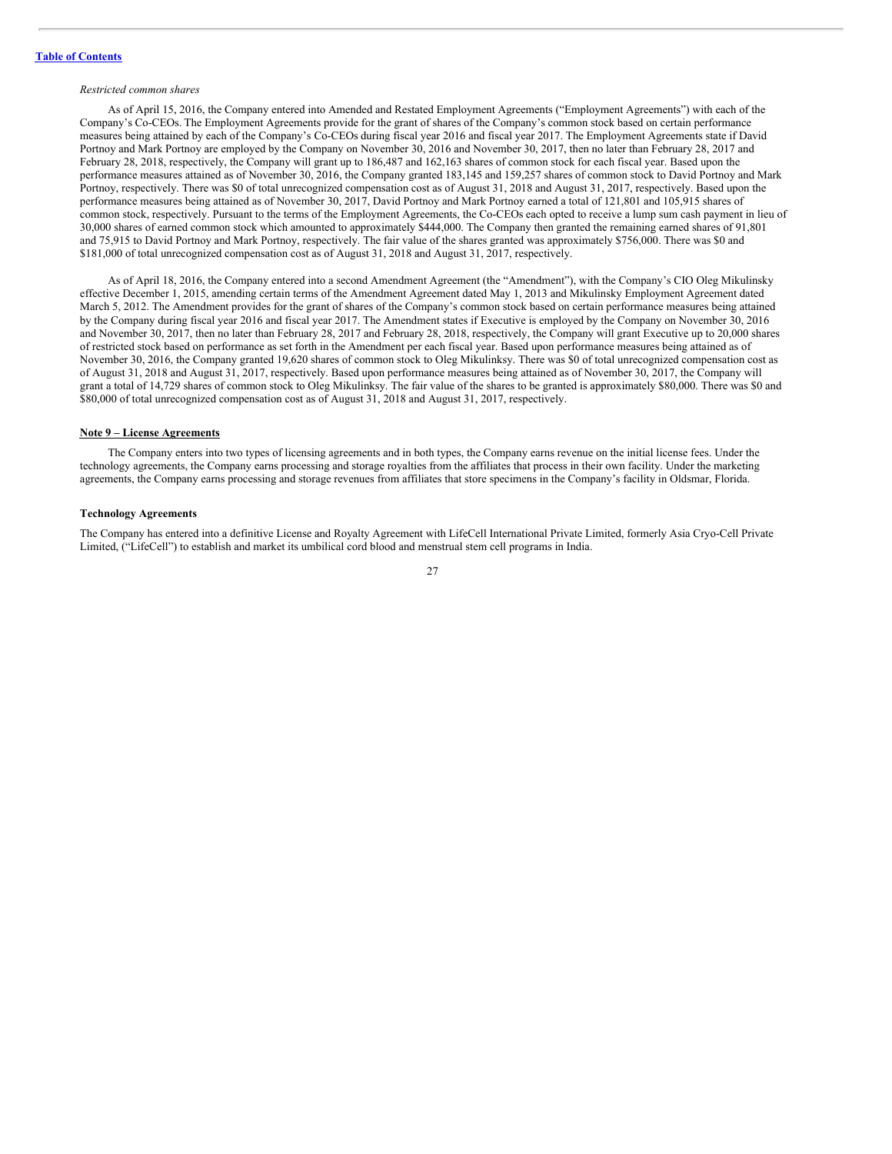#### *Restricted common shares*

As of April 15, 2016, the Company entered into Amended and Restated Employment Agreements ("Employment Agreements") with each of the Company's Co-CEOs. The Employment Agreements provide for the grant of shares of the Company's common stock based on certain performance measures being attained by each of the Company's Co-CEOs during fiscal year 2016 and fiscal year 2017. The Employment Agreements state if David Portnoy and Mark Portnoy are employed by the Company on November 30, 2016 and November 30, 2017, then no later than February 28, 2017 and February 28, 2018, respectively, the Company will grant up to 186,487 and 162,163 shares of common stock for each fiscal year. Based upon the performance measures attained as of November 30, 2016, the Company granted 183,145 and 159,257 shares of common stock to David Portnoy and Mark Portnoy, respectively. There was \$0 of total unrecognized compensation cost as of August 31, 2018 and August 31, 2017, respectively. Based upon the performance measures being attained as of November 30, 2017, David Portnoy and Mark Portnoy earned a total of 121,801 and 105,915 shares of common stock, respectively. Pursuant to the terms of the Employment Agreements, the Co-CEOs each opted to receive a lump sum cash payment in lieu of 30,000 shares of earned common stock which amounted to approximately \$444,000. The Company then granted the remaining earned shares of 91,801 and 75,915 to David Portnoy and Mark Portnoy, respectively. The fair value of the shares granted was approximately \$756,000. There was \$0 and \$181,000 of total unrecognized compensation cost as of August 31, 2018 and August 31, 2017, respectively.

As of April 18, 2016, the Company entered into a second Amendment Agreement (the "Amendment"), with the Company's CIO Oleg Mikulinsky effective December 1, 2015, amending certain terms of the Amendment Agreement dated May 1, 2013 and Mikulinsky Employment Agreement dated March 5, 2012. The Amendment provides for the grant of shares of the Company's common stock based on certain performance measures being attained by the Company during fiscal year 2016 and fiscal year 2017. The Amendment states if Executive is employed by the Company on November 30, 2016 and November 30, 2017, then no later than February 28, 2017 and February 28, 2018, respectively, the Company will grant Executive up to 20,000 shares of restricted stock based on performance as set forth in the Amendment per each fiscal year. Based upon performance measures being attained as of November 30, 2016, the Company granted 19,620 shares of common stock to Oleg Mikulinksy. There was \$0 of total unrecognized compensation cost as of August 31, 2018 and August 31, 2017, respectively. Based upon performance measures being attained as of November 30, 2017, the Company will grant a total of 14,729 shares of common stock to Oleg Mikulinksy. The fair value of the shares to be granted is approximately \$80,000. There was \$0 and \$80,000 of total unrecognized compensation cost as of August 31, 2018 and August 31, 2017, respectively.

#### **Note 9 – License Agreements**

The Company enters into two types of licensing agreements and in both types, the Company earns revenue on the initial license fees. Under the technology agreements, the Company earns processing and storage royalties from the affiliates that process in their own facility. Under the marketing agreements, the Company earns processing and storage revenues from affiliates that store specimens in the Company's facility in Oldsmar, Florida.

#### **Technology Agreements**

The Company has entered into a definitive License and Royalty Agreement with LifeCell International Private Limited, formerly Asia Cryo-Cell Private Limited, ("LifeCell") to establish and market its umbilical cord blood and menstrual stem cell programs in India.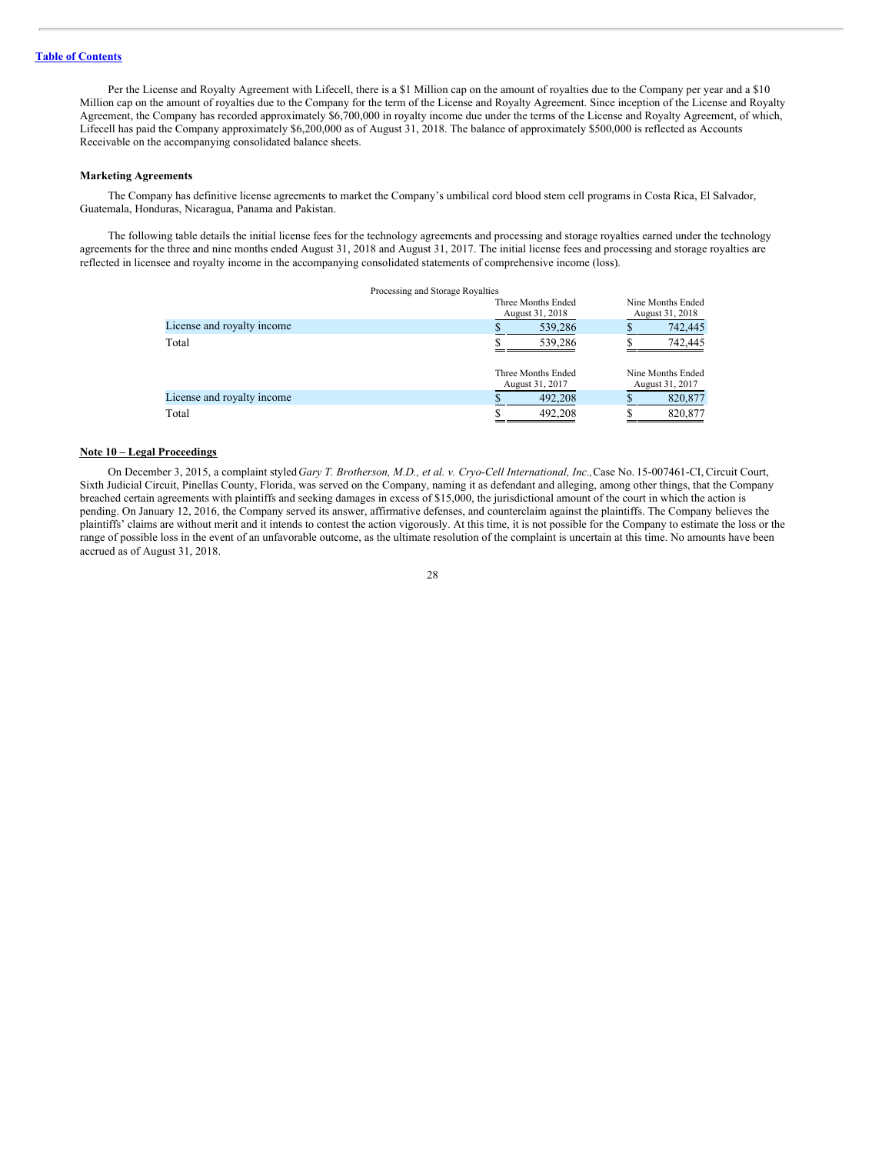Per the License and Royalty Agreement with Lifecell, there is a \$1 Million cap on the amount of royalties due to the Company per year and a \$10 Million cap on the amount of royalties due to the Company for the term of the License and Royalty Agreement. Since inception of the License and Royalty Agreement, the Company has recorded approximately \$6,700,000 in royalty income due under the terms of the License and Royalty Agreement, of which, Lifecell has paid the Company approximately \$6,200,000 as of August 31, 2018. The balance of approximately \$500,000 is reflected as Accounts Receivable on the accompanying consolidated balance sheets.

#### **Marketing Agreements**

The Company has definitive license agreements to market the Company's umbilical cord blood stem cell programs in Costa Rica, El Salvador, Guatemala, Honduras, Nicaragua, Panama and Pakistan.

The following table details the initial license fees for the technology agreements and processing and storage royalties earned under the technology agreements for the three and nine months ended August 31, 2018 and August 31, 2017. The initial license fees and processing and storage royalties are reflected in licensee and royalty income in the accompanying consolidated statements of comprehensive income (loss).

|                            | Processing and Storage Royalties      |                                      |
|----------------------------|---------------------------------------|--------------------------------------|
|                            | Three Months Ended                    | Nine Months Ended                    |
|                            | August 31, 2018                       | August 31, 2018                      |
| License and royalty income | 539,286                               | 742,445                              |
| Total                      | 539.286                               | 742,445                              |
|                            | Three Months Ended<br>August 31, 2017 | Nine Months Ended<br>August 31, 2017 |
| License and royalty income | 492,208                               | 820,877                              |
| Total                      | 492,208                               | 820,877                              |

#### **Note 10 – Legal Proceedings**

On December 3, 2015, a complaint styled*Gary T. Brotherson, M.D., et al. v. Cryo-Cell International, Inc.,*Case No. 15-007461-CI, Circuit Court, Sixth Judicial Circuit, Pinellas County, Florida, was served on the Company, naming it as defendant and alleging, among other things, that the Company breached certain agreements with plaintiffs and seeking damages in excess of \$15,000, the jurisdictional amount of the court in which the action is pending. On January 12, 2016, the Company served its answer, affirmative defenses, and counterclaim against the plaintiffs. The Company believes the plaintiffs' claims are without merit and it intends to contest the action vigorously. At this time, it is not possible for the Company to estimate the loss or the range of possible loss in the event of an unfavorable outcome, as the ultimate resolution of the complaint is uncertain at this time. No amounts have been accrued as of August 31, 2018.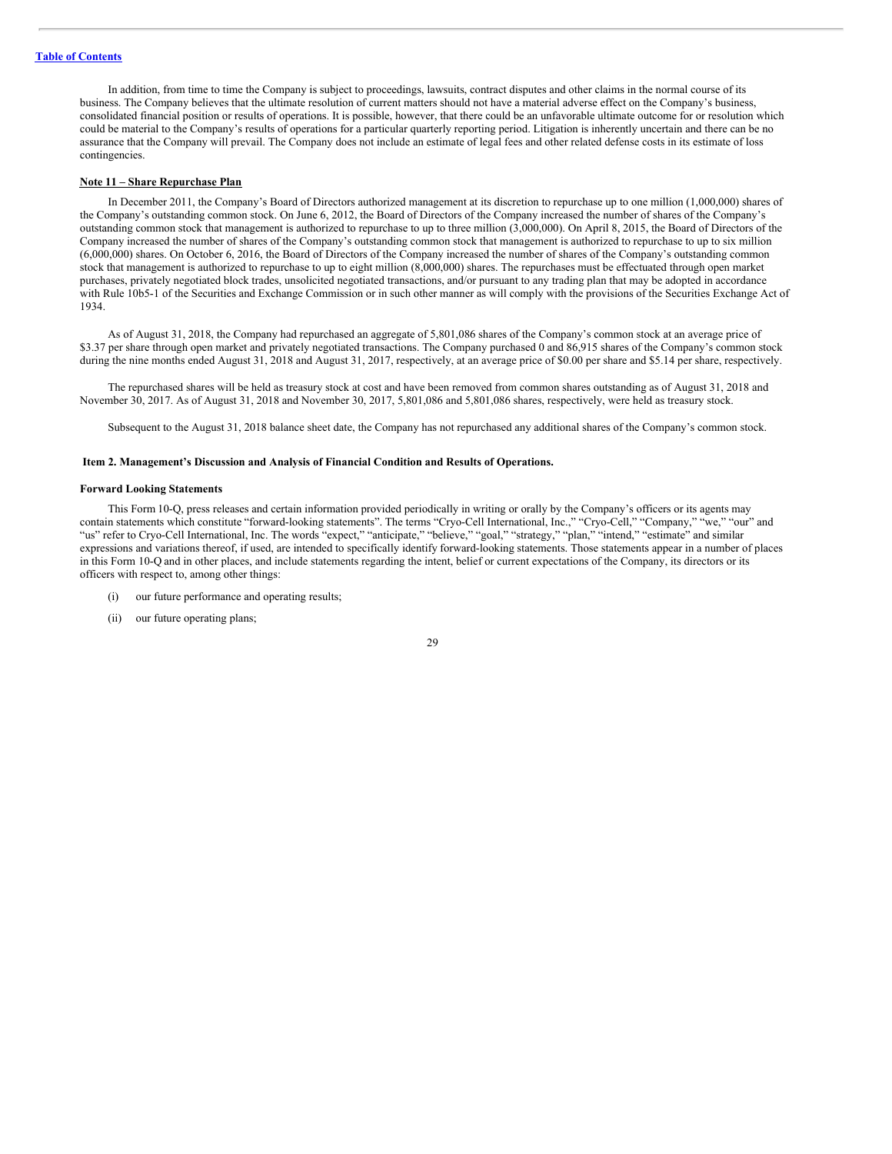In addition, from time to time the Company is subject to proceedings, lawsuits, contract disputes and other claims in the normal course of its business. The Company believes that the ultimate resolution of current matters should not have a material adverse effect on the Company's business, consolidated financial position or results of operations. It is possible, however, that there could be an unfavorable ultimate outcome for or resolution which could be material to the Company's results of operations for a particular quarterly reporting period. Litigation is inherently uncertain and there can be no assurance that the Company will prevail. The Company does not include an estimate of legal fees and other related defense costs in its estimate of loss contingencies.

#### **Note 11 – Share Repurchase Plan**

In December 2011, the Company's Board of Directors authorized management at its discretion to repurchase up to one million (1,000,000) shares of the Company's outstanding common stock. On June 6, 2012, the Board of Directors of the Company increased the number of shares of the Company's outstanding common stock that management is authorized to repurchase to up to three million (3,000,000). On April 8, 2015, the Board of Directors of the Company increased the number of shares of the Company's outstanding common stock that management is authorized to repurchase to up to six million (6,000,000) shares. On October 6, 2016, the Board of Directors of the Company increased the number of shares of the Company's outstanding common stock that management is authorized to repurchase to up to eight million (8,000,000) shares. The repurchases must be effectuated through open market purchases, privately negotiated block trades, unsolicited negotiated transactions, and/or pursuant to any trading plan that may be adopted in accordance with Rule 10b5-1 of the Securities and Exchange Commission or in such other manner as will comply with the provisions of the Securities Exchange Act of 1934.

As of August 31, 2018, the Company had repurchased an aggregate of 5,801,086 shares of the Company's common stock at an average price of \$3.37 per share through open market and privately negotiated transactions. The Company purchased 0 and 86,915 shares of the Company's common stock during the nine months ended August 31, 2018 and August 31, 2017, respectively, at an average price of \$0.00 per share and \$5.14 per share, respectively.

The repurchased shares will be held as treasury stock at cost and have been removed from common shares outstanding as of August 31, 2018 and November 30, 2017. As of August 31, 2018 and November 30, 2017, 5,801,086 and 5,801,086 shares, respectively, were held as treasury stock.

Subsequent to the August 31, 2018 balance sheet date, the Company has not repurchased any additional shares of the Company's common stock.

### <span id="page-28-0"></span>**Item 2. Management's Discussion and Analysis of Financial Condition and Results of Operations.**

#### **Forward Looking Statements**

This Form 10-Q, press releases and certain information provided periodically in writing or orally by the Company's officers or its agents may contain statements which constitute "forward-looking statements". The terms "Cryo-Cell International, Inc.," "Cryo-Cell," "Company," "we," "our" and "us" refer to Cryo-Cell International, Inc. The words "expect," "anticipate," "believe," "goal," "strategy," "plan," "intend," "estimate" and similar expressions and variations thereof, if used, are intended to specifically identify forward-looking statements. Those statements appear in a number of places in this Form 10-Q and in other places, and include statements regarding the intent, belief or current expectations of the Company, its directors or its officers with respect to, among other things:

- (i) our future performance and operating results;
- (ii) our future operating plans;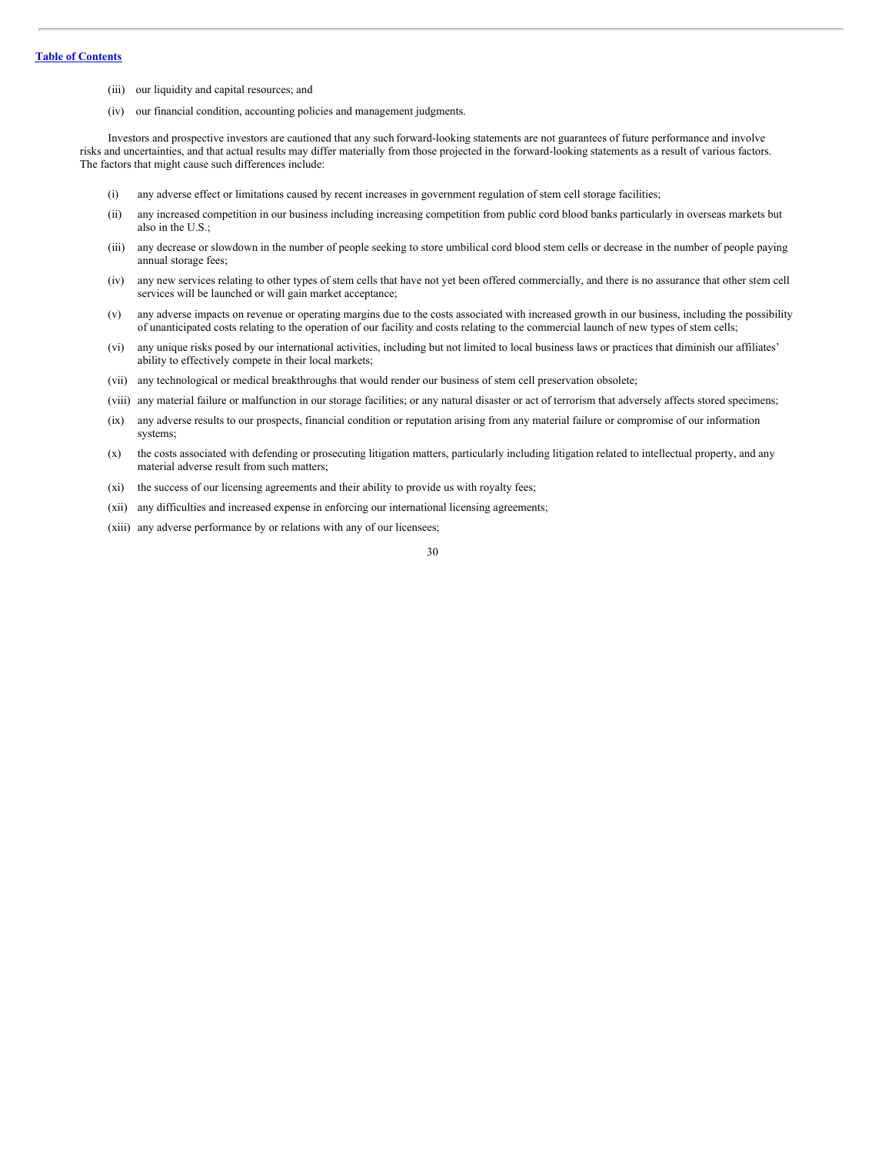- (iii) our liquidity and capital resources; and
- (iv) our financial condition, accounting policies and management judgments.

Investors and prospective investors are cautioned that any such forward-looking statements are not guarantees of future performance and involve risks and uncertainties, and that actual results may differ materially from those projected in the forward-looking statements as a result of various factors. The factors that might cause such differences include:

- (i) any adverse effect or limitations caused by recent increases in government regulation of stem cell storage facilities;
- (ii) any increased competition in our business including increasing competition from public cord blood banks particularly in overseas markets but also in the U.S.;
- (iii) any decrease or slowdown in the number of people seeking to store umbilical cord blood stem cells or decrease in the number of people paying annual storage fees;
- (iv) any new services relating to other types of stem cells that have not yet been offered commercially, and there is no assurance that other stem cell services will be launched or will gain market acceptance;
- (v) any adverse impacts on revenue or operating margins due to the costs associated with increased growth in our business, including the possibility of unanticipated costs relating to the operation of our facility and costs relating to the commercial launch of new types of stem cells;
- (vi) any unique risks posed by our international activities, including but not limited to local business laws or practices that diminish our affiliates' ability to effectively compete in their local markets;
- (vii) any technological or medical breakthroughs that would render our business of stem cell preservation obsolete;
- (viii) any material failure or malfunction in our storage facilities; or any natural disaster or act of terrorism that adversely affects stored specimens;
- (ix) any adverse results to our prospects, financial condition or reputation arising from any material failure or compromise of our information systems;
- (x) the costs associated with defending or prosecuting litigation matters, particularly including litigation related to intellectual property, and any material adverse result from such matters;
- (xi) the success of our licensing agreements and their ability to provide us with royalty fees;
- (xii) any difficulties and increased expense in enforcing our international licensing agreements;
- (xiii) any adverse performance by or relations with any of our licensees;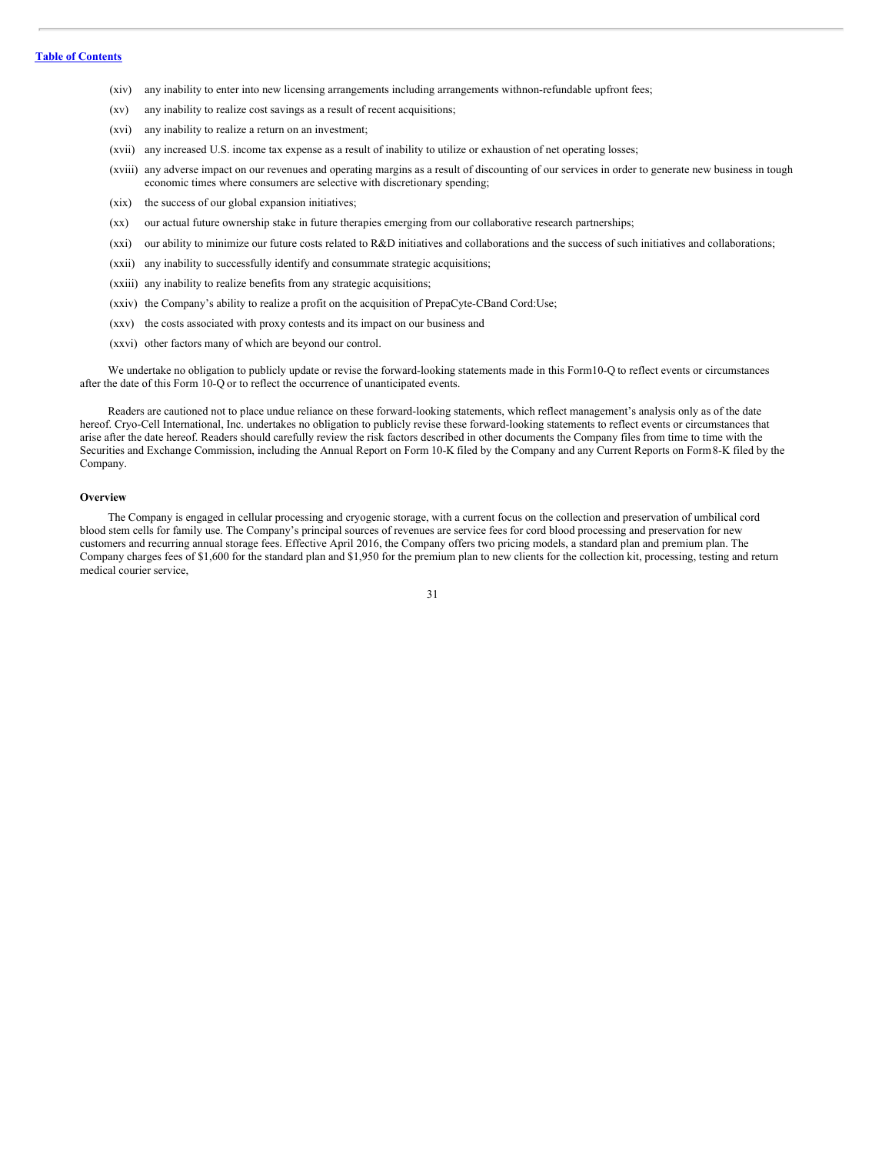- (xiv) any inability to enter into new licensing arrangements including arrangements withnon-refundable upfront fees;
- (xv) any inability to realize cost savings as a result of recent acquisitions;
- (xvi) any inability to realize a return on an investment;
- (xvii) any increased U.S. income tax expense as a result of inability to utilize or exhaustion of net operating losses;
- (xviii) any adverse impact on our revenues and operating margins as a result of discounting of our services in order to generate new business in tough economic times where consumers are selective with discretionary spending;
- (xix) the success of our global expansion initiatives;
- (xx) our actual future ownership stake in future therapies emerging from our collaborative research partnerships;
- (xxi) our ability to minimize our future costs related to R&D initiatives and collaborations and the success of such initiatives and collaborations;
- (xxii) any inability to successfully identify and consummate strategic acquisitions;
- (xxiii) any inability to realize benefits from any strategic acquisitions;
- (xxiv) the Company's ability to realize a profit on the acquisition of PrepaCyte-CBand Cord:Use;
- (xxv) the costs associated with proxy contests and its impact on our business and
- (xxvi) other factors many of which are beyond our control.

We undertake no obligation to publicly update or revise the forward-looking statements made in this Form10-Q to reflect events or circumstances after the date of this Form 10-Q or to reflect the occurrence of unanticipated events.

Readers are cautioned not to place undue reliance on these forward-looking statements, which reflect management's analysis only as of the date hereof. Cryo-Cell International, Inc. undertakes no obligation to publicly revise these forward-looking statements to reflect events or circumstances that arise after the date hereof. Readers should carefully review the risk factors described in other documents the Company files from time to time with the Securities and Exchange Commission, including the Annual Report on Form 10-K filed by the Company and any Current Reports on Form8-K filed by the Company.

#### **Overview**

The Company is engaged in cellular processing and cryogenic storage, with a current focus on the collection and preservation of umbilical cord blood stem cells for family use. The Company's principal sources of revenues are service fees for cord blood processing and preservation for new customers and recurring annual storage fees. Effective April 2016, the Company offers two pricing models, a standard plan and premium plan. The Company charges fees of \$1,600 for the standard plan and \$1,950 for the premium plan to new clients for the collection kit, processing, testing and return medical courier service,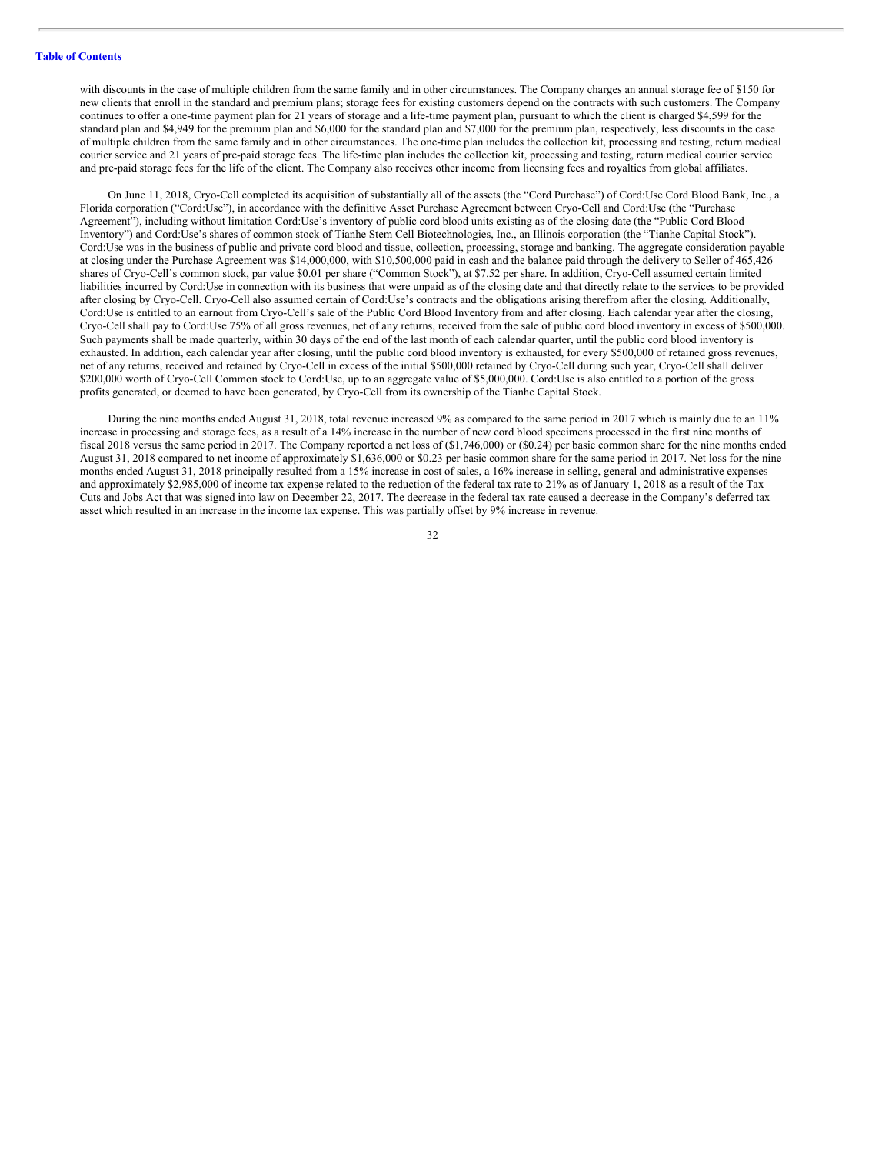with discounts in the case of multiple children from the same family and in other circumstances. The Company charges an annual storage fee of \$150 for new clients that enroll in the standard and premium plans; storage fees for existing customers depend on the contracts with such customers. The Company continues to offer a one-time payment plan for 21 years of storage and a life-time payment plan, pursuant to which the client is charged \$4,599 for the standard plan and \$4,949 for the premium plan and \$6,000 for the standard plan and \$7,000 for the premium plan, respectively, less discounts in the case of multiple children from the same family and in other circumstances. The one-time plan includes the collection kit, processing and testing, return medical courier service and 21 years of pre-paid storage fees. The life-time plan includes the collection kit, processing and testing, return medical courier service and pre-paid storage fees for the life of the client. The Company also receives other income from licensing fees and royalties from global affiliates.

On June 11, 2018, Cryo-Cell completed its acquisition of substantially all of the assets (the "Cord Purchase") of Cord:Use Cord Blood Bank, Inc., a Florida corporation ("Cord:Use"), in accordance with the definitive Asset Purchase Agreement between Cryo-Cell and Cord:Use (the "Purchase Agreement"), including without limitation Cord:Use's inventory of public cord blood units existing as of the closing date (the "Public Cord Blood Inventory") and Cord:Use's shares of common stock of Tianhe Stem Cell Biotechnologies, Inc., an Illinois corporation (the "Tianhe Capital Stock"). Cord:Use was in the business of public and private cord blood and tissue, collection, processing, storage and banking. The aggregate consideration payable at closing under the Purchase Agreement was \$14,000,000, with \$10,500,000 paid in cash and the balance paid through the delivery to Seller of 465,426 shares of Cryo-Cell's common stock, par value \$0.01 per share ("Common Stock"), at \$7.52 per share. In addition, Cryo-Cell assumed certain limited liabilities incurred by Cord:Use in connection with its business that were unpaid as of the closing date and that directly relate to the services to be provided after closing by Cryo-Cell. Cryo-Cell also assumed certain of Cord:Use's contracts and the obligations arising therefrom after the closing. Additionally, Cord:Use is entitled to an earnout from Cryo-Cell's sale of the Public Cord Blood Inventory from and after closing. Each calendar year after the closing, Cryo-Cell shall pay to Cord:Use 75% of all gross revenues, net of any returns, received from the sale of public cord blood inventory in excess of \$500,000. Such payments shall be made quarterly, within 30 days of the end of the last month of each calendar quarter, until the public cord blood inventory is exhausted. In addition, each calendar year after closing, until the public cord blood inventory is exhausted, for every \$500,000 of retained gross revenues, net of any returns, received and retained by Cryo-Cell in excess of the initial \$500,000 retained by Cryo-Cell during such year, Cryo-Cell shall deliver \$200,000 worth of Cryo-Cell Common stock to Cord:Use, up to an aggregate value of \$5,000,000. Cord:Use is also entitled to a portion of the gross profits generated, or deemed to have been generated, by Cryo-Cell from its ownership of the Tianhe Capital Stock.

During the nine months ended August 31, 2018, total revenue increased 9% as compared to the same period in 2017 which is mainly due to an 11% increase in processing and storage fees, as a result of a 14% increase in the number of new cord blood specimens processed in the first nine months of fiscal 2018 versus the same period in 2017. The Company reported a net loss of (\$1,746,000) or (\$0.24) per basic common share for the nine months ended August 31, 2018 compared to net income of approximately \$1,636,000 or \$0.23 per basic common share for the same period in 2017. Net loss for the nine months ended August 31, 2018 principally resulted from a 15% increase in cost of sales, a 16% increase in selling, general and administrative expenses and approximately \$2,985,000 of income tax expense related to the reduction of the federal tax rate to 21% as of January 1, 2018 as a result of the Tax Cuts and Jobs Act that was signed into law on December 22, 2017. The decrease in the federal tax rate caused a decrease in the Company's deferred tax asset which resulted in an increase in the income tax expense. This was partially offset by 9% increase in revenue.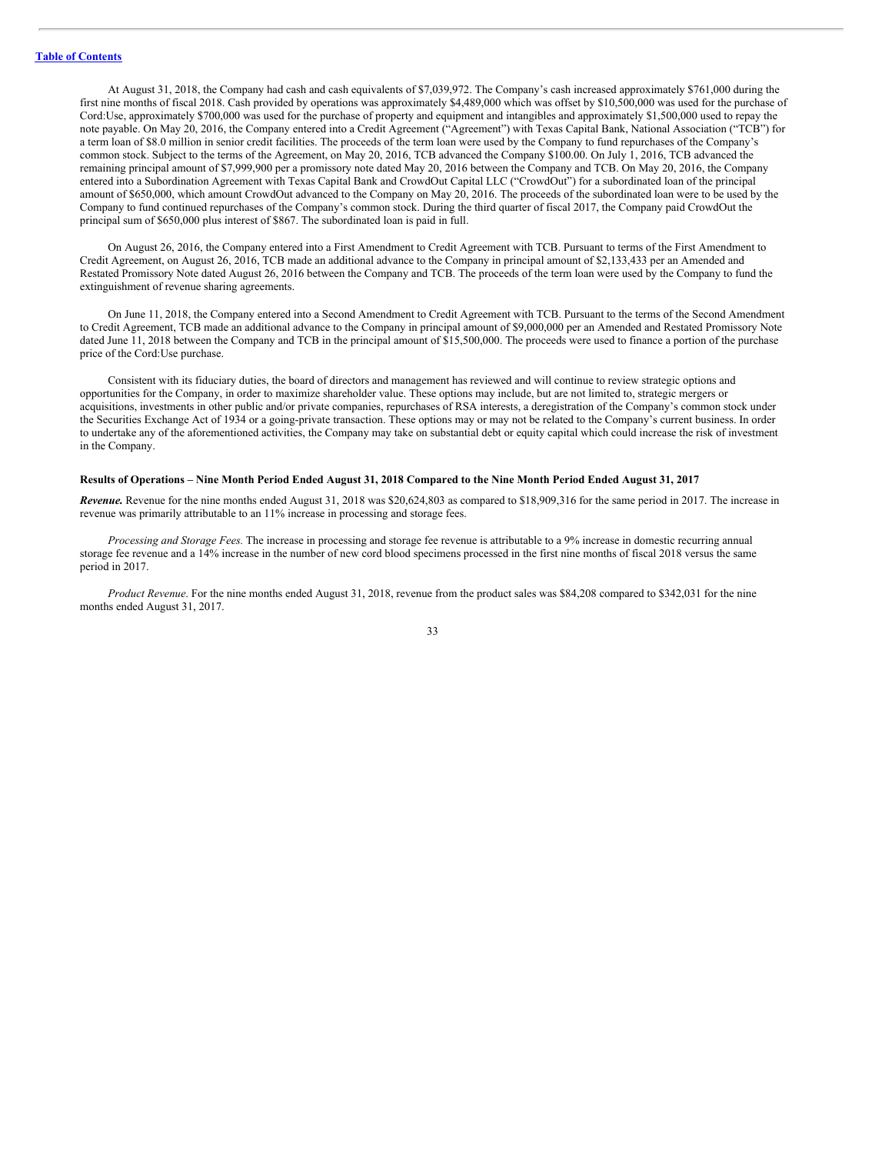At August 31, 2018, the Company had cash and cash equivalents of \$7,039,972. The Company's cash increased approximately \$761,000 during the first nine months of fiscal 2018. Cash provided by operations was approximately \$4,489,000 which was offset by \$10,500,000 was used for the purchase of Cord:Use, approximately \$700,000 was used for the purchase of property and equipment and intangibles and approximately \$1,500,000 used to repay the note payable. On May 20, 2016, the Company entered into a Credit Agreement ("Agreement") with Texas Capital Bank, National Association ("TCB") for a term loan of \$8.0 million in senior credit facilities. The proceeds of the term loan were used by the Company to fund repurchases of the Company's common stock. Subject to the terms of the Agreement, on May 20, 2016, TCB advanced the Company \$100.00. On July 1, 2016, TCB advanced the remaining principal amount of \$7,999,900 per a promissory note dated May 20, 2016 between the Company and TCB. On May 20, 2016, the Company entered into a Subordination Agreement with Texas Capital Bank and CrowdOut Capital LLC ("CrowdOut") for a subordinated loan of the principal amount of \$650,000, which amount CrowdOut advanced to the Company on May 20, 2016. The proceeds of the subordinated loan were to be used by the Company to fund continued repurchases of the Company's common stock. During the third quarter of fiscal 2017, the Company paid CrowdOut the principal sum of \$650,000 plus interest of \$867. The subordinated loan is paid in full.

On August 26, 2016, the Company entered into a First Amendment to Credit Agreement with TCB. Pursuant to terms of the First Amendment to Credit Agreement, on August 26, 2016, TCB made an additional advance to the Company in principal amount of \$2,133,433 per an Amended and Restated Promissory Note dated August 26, 2016 between the Company and TCB. The proceeds of the term loan were used by the Company to fund the extinguishment of revenue sharing agreements.

On June 11, 2018, the Company entered into a Second Amendment to Credit Agreement with TCB. Pursuant to the terms of the Second Amendment to Credit Agreement, TCB made an additional advance to the Company in principal amount of \$9,000,000 per an Amended and Restated Promissory Note dated June 11, 2018 between the Company and TCB in the principal amount of \$15,500,000. The proceeds were used to finance a portion of the purchase price of the Cord:Use purchase.

Consistent with its fiduciary duties, the board of directors and management has reviewed and will continue to review strategic options and opportunities for the Company, in order to maximize shareholder value. These options may include, but are not limited to, strategic mergers or acquisitions, investments in other public and/or private companies, repurchases of RSA interests, a deregistration of the Company's common stock under the Securities Exchange Act of 1934 or a going-private transaction. These options may or may not be related to the Company's current business. In order to undertake any of the aforementioned activities, the Company may take on substantial debt or equity capital which could increase the risk of investment in the Company.

### Results of Operations - Nine Month Period Ended August 31, 2018 Compared to the Nine Month Period Ended August 31, 2017

*Revenue.* Revenue for the nine months ended August 31, 2018 was \$20,624,803 as compared to \$18,909,316 for the same period in 2017. The increase in revenue was primarily attributable to an 11% increase in processing and storage fees.

*Processing and Storage Fees.* The increase in processing and storage fee revenue is attributable to a 9% increase in domestic recurring annual storage fee revenue and a 14% increase in the number of new cord blood specimens processed in the first nine months of fiscal 2018 versus the same period in 2017.

*Product Revenue*. For the nine months ended August 31, 2018, revenue from the product sales was \$84,208 compared to \$342,031 for the nine months ended August 31, 2017.

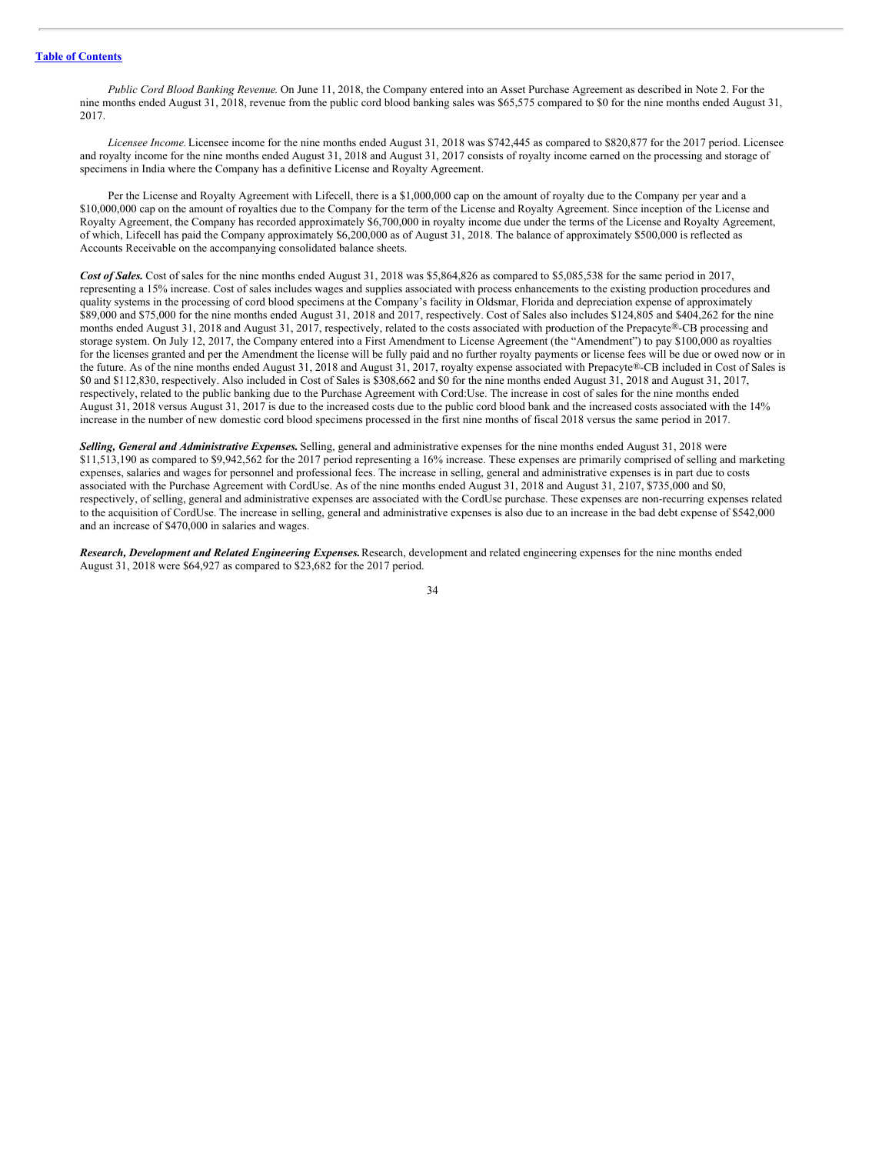*Public Cord Blood Banking Revenue*. On June 11, 2018, the Company entered into an Asset Purchase Agreement as described in Note 2. For the nine months ended August 31, 2018, revenue from the public cord blood banking sales was \$65,575 compared to \$0 for the nine months ended August 31, 2017.

*Licensee Income.*Licensee income for the nine months ended August 31, 2018 was \$742,445 as compared to \$820,877 for the 2017 period. Licensee and royalty income for the nine months ended August 31, 2018 and August 31, 2017 consists of royalty income earned on the processing and storage of specimens in India where the Company has a definitive License and Royalty Agreement.

Per the License and Royalty Agreement with Lifecell, there is a \$1,000,000 cap on the amount of royalty due to the Company per year and a \$10,000,000 cap on the amount of royalties due to the Company for the term of the License and Royalty Agreement. Since inception of the License and Royalty Agreement, the Company has recorded approximately \$6,700,000 in royalty income due under the terms of the License and Royalty Agreement, of which, Lifecell has paid the Company approximately \$6,200,000 as of August 31, 2018. The balance of approximately \$500,000 is reflected as Accounts Receivable on the accompanying consolidated balance sheets.

*Cost of Sales.* Cost of sales for the nine months ended August 31, 2018 was \$5,864,826 as compared to \$5,085,538 for the same period in 2017, representing a 15% increase. Cost of sales includes wages and supplies associated with process enhancements to the existing production procedures and quality systems in the processing of cord blood specimens at the Company's facility in Oldsmar, Florida and depreciation expense of approximately \$89,000 and \$75,000 for the nine months ended August 31, 2018 and 2017, respectively. Cost of Sales also includes \$124,805 and \$404,262 for the nine months ended August 31, 2018 and August 31, 2017, respectively, related to the costs associated with production of the Prepacyte®-CB processing and storage system. On July 12, 2017, the Company entered into a First Amendment to License Agreement (the "Amendment") to pay \$100,000 as royalties for the licenses granted and per the Amendment the license will be fully paid and no further royalty payments or license fees will be due or owed now or in the future. As of the nine months ended August 31, 2018 and August 31, 2017, royalty expense associated with Prepacyte®-CB included in Cost of Sales is \$0 and \$112,830, respectively. Also included in Cost of Sales is \$308,662 and \$0 for the nine months ended August 31, 2018 and August 31, 2017, respectively, related to the public banking due to the Purchase Agreement with Cord:Use. The increase in cost of sales for the nine months ended August 31, 2018 versus August 31, 2017 is due to the increased costs due to the public cord blood bank and the increased costs associated with the 14% increase in the number of new domestic cord blood specimens processed in the first nine months of fiscal 2018 versus the same period in 2017.

*Selling, General and Administrative Expenses.* Selling, general and administrative expenses for the nine months ended August 31, 2018 were \$11,513,190 as compared to \$9,942,562 for the 2017 period representing a 16% increase. These expenses are primarily comprised of selling and marketing expenses, salaries and wages for personnel and professional fees. The increase in selling, general and administrative expenses is in part due to costs associated with the Purchase Agreement with CordUse. As of the nine months ended August 31, 2018 and August 31, 2107, \$735,000 and \$0, respectively, of selling, general and administrative expenses are associated with the CordUse purchase. These expenses are non-recurring expenses related to the acquisition of CordUse. The increase in selling, general and administrative expenses is also due to an increase in the bad debt expense of \$542,000 and an increase of \$470,000 in salaries and wages.

*Research, Development and Related Engineering Expenses.*Research, development and related engineering expenses for the nine months ended August 31, 2018 were \$64,927 as compared to \$23,682 for the 2017 period.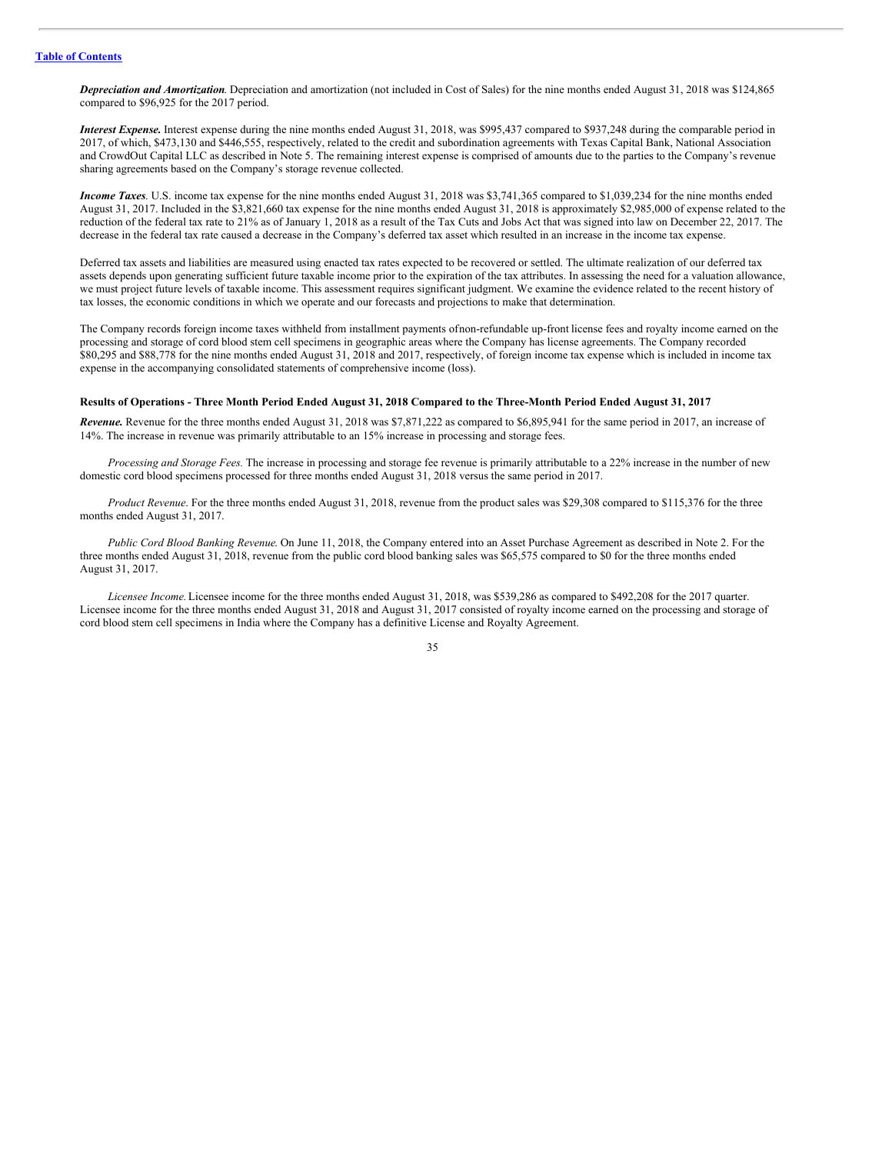*Depreciation and Amortization*. Depreciation and amortization (not included in Cost of Sales) for the nine months ended August 31, 2018 was \$124,865 compared to \$96,925 for the 2017 period.

*Interest Expense.* Interest expense during the nine months ended August 31, 2018, was \$995,437 compared to \$937,248 during the comparable period in 2017, of which, \$473,130 and \$446,555, respectively, related to the credit and subordination agreements with Texas Capital Bank, National Association and CrowdOut Capital LLC as described in Note 5. The remaining interest expense is comprised of amounts due to the parties to the Company's revenue sharing agreements based on the Company's storage revenue collected.

*Income Taxes*. U.S. income tax expense for the nine months ended August 31, 2018 was \$3,741,365 compared to \$1,039,234 for the nine months ended August 31, 2017. Included in the \$3,821,660 tax expense for the nine months ended August 31, 2018 is approximately \$2,985,000 of expense related to the reduction of the federal tax rate to 21% as of January 1, 2018 as a result of the Tax Cuts and Jobs Act that was signed into law on December 22, 2017. The decrease in the federal tax rate caused a decrease in the Company's deferred tax asset which resulted in an increase in the income tax expense.

Deferred tax assets and liabilities are measured using enacted tax rates expected to be recovered or settled. The ultimate realization of our deferred tax assets depends upon generating sufficient future taxable income prior to the expiration of the tax attributes. In assessing the need for a valuation allowance, we must project future levels of taxable income. This assessment requires significant judgment. We examine the evidence related to the recent history of tax losses, the economic conditions in which we operate and our forecasts and projections to make that determination.

The Company records foreign income taxes withheld from installment payments ofnon-refundable up-front license fees and royalty income earned on the processing and storage of cord blood stem cell specimens in geographic areas where the Company has license agreements. The Company recorded \$80,295 and \$88,778 for the nine months ended August 31, 2018 and 2017, respectively, of foreign income tax expense which is included in income tax expense in the accompanying consolidated statements of comprehensive income (loss).

#### Results of Operations - Three Month Period Ended August 31, 2018 Compared to the Three-Month Period Ended August 31, 2017

*Revenue.* Revenue for the three months ended August 31, 2018 was \$7,871,222 as compared to \$6,895,941 for the same period in 2017, an increase of 14%. The increase in revenue was primarily attributable to an 15% increase in processing and storage fees.

*Processing and Storage Fees.* The increase in processing and storage fee revenue is primarily attributable to a 22% increase in the number of new domestic cord blood specimens processed for three months ended August 31, 2018 versus the same period in 2017.

*Product Revenue*. For the three months ended August 31, 2018, revenue from the product sales was \$29,308 compared to \$115,376 for the three months ended August 31, 2017.

*Public Cord Blood Banking Revenue*. On June 11, 2018, the Company entered into an Asset Purchase Agreement as described in Note 2. For the three months ended August 31, 2018, revenue from the public cord blood banking sales was \$65,575 compared to \$0 for the three months ended August 31, 2017.

*Licensee Income.*Licensee income for the three months ended August 31, 2018, was \$539,286 as compared to \$492,208 for the 2017 quarter. Licensee income for the three months ended August 31, 2018 and August 31, 2017 consisted of royalty income earned on the processing and storage of cord blood stem cell specimens in India where the Company has a definitive License and Royalty Agreement.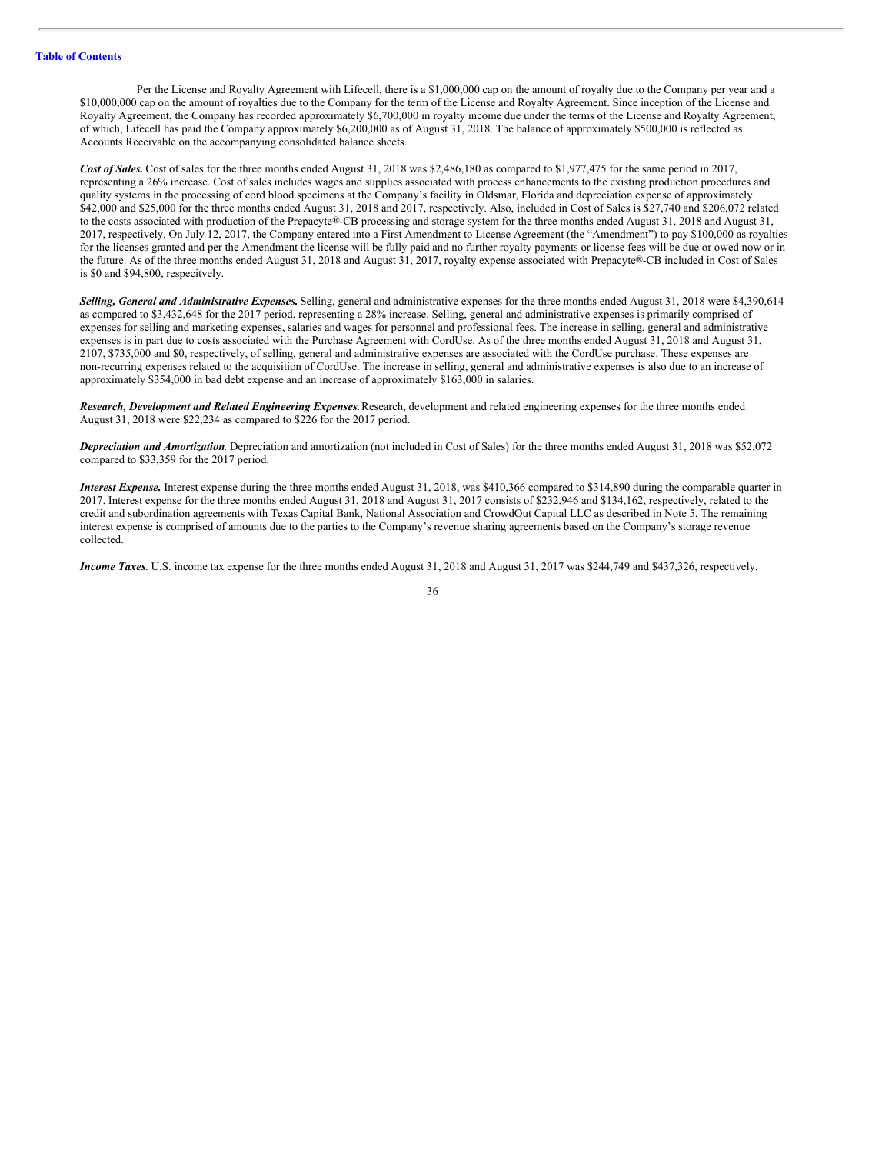Per the License and Royalty Agreement with Lifecell, there is a \$1,000,000 cap on the amount of royalty due to the Company per year and a \$10,000,000 cap on the amount of royalties due to the Company for the term of the License and Royalty Agreement. Since inception of the License and Royalty Agreement, the Company has recorded approximately \$6,700,000 in royalty income due under the terms of the License and Royalty Agreement, of which, Lifecell has paid the Company approximately \$6,200,000 as of August 31, 2018. The balance of approximately \$500,000 is reflected as Accounts Receivable on the accompanying consolidated balance sheets.

*Cost of Sales.* Cost of sales for the three months ended August 31, 2018 was \$2,486,180 as compared to \$1,977,475 for the same period in 2017, representing a 26% increase. Cost of sales includes wages and supplies associated with process enhancements to the existing production procedures and quality systems in the processing of cord blood specimens at the Company's facility in Oldsmar, Florida and depreciation expense of approximately \$42,000 and \$25,000 for the three months ended August 31, 2018 and 2017, respectively. Also, included in Cost of Sales is \$27,740 and \$206,072 related to the costs associated with production of the Prepacyte®-CB processing and storage system for the three months ended August 31, 2018 and August 31, 2017, respectively. On July 12, 2017, the Company entered into a First Amendment to License Agreement (the "Amendment") to pay \$100,000 as royalties for the licenses granted and per the Amendment the license will be fully paid and no further royalty payments or license fees will be due or owed now or in the future. As of the three months ended August 31, 2018 and August 31, 2017, royalty expense associated with Prepacyte®-CB included in Cost of Sales is \$0 and \$94,800, respecitvely.

*Selling, General and Administrative Expenses.* Selling, general and administrative expenses for the three months ended August 31, 2018 were \$4,390,614 as compared to \$3,432,648 for the 2017 period, representing a 28% increase. Selling, general and administrative expenses is primarily comprised of expenses for selling and marketing expenses, salaries and wages for personnel and professional fees. The increase in selling, general and administrative expenses is in part due to costs associated with the Purchase Agreement with CordUse. As of the three months ended August 31, 2018 and August 31, 2107, \$735,000 and \$0, respectively, of selling, general and administrative expenses are associated with the CordUse purchase. These expenses are non-recurring expenses related to the acquisition of CordUse. The increase in selling, general and administrative expenses is also due to an increase of approximately \$354,000 in bad debt expense and an increase of approximately \$163,000 in salaries.

*Research, Development and Related Engineering Expenses.*Research, development and related engineering expenses for the three months ended August 31, 2018 were \$22,234 as compared to \$226 for the 2017 period.

*Depreciation and Amortization*. Depreciation and amortization (not included in Cost of Sales) for the three months ended August 31, 2018 was \$52,072 compared to \$33,359 for the 2017 period.

*Interest Expense.* Interest expense during the three months ended August 31, 2018, was \$410,366 compared to \$314,890 during the comparable quarter in 2017. Interest expense for the three months ended August 31, 2018 and August 31, 2017 consists of \$232,946 and \$134,162, respectively, related to the credit and subordination agreements with Texas Capital Bank, National Association and CrowdOut Capital LLC as described in Note 5. The remaining interest expense is comprised of amounts due to the parties to the Company's revenue sharing agreements based on the Company's storage revenue collected.

*Income Taxes*. U.S. income tax expense for the three months ended August 31, 2018 and August 31, 2017 was \$244,749 and \$437,326, respectively.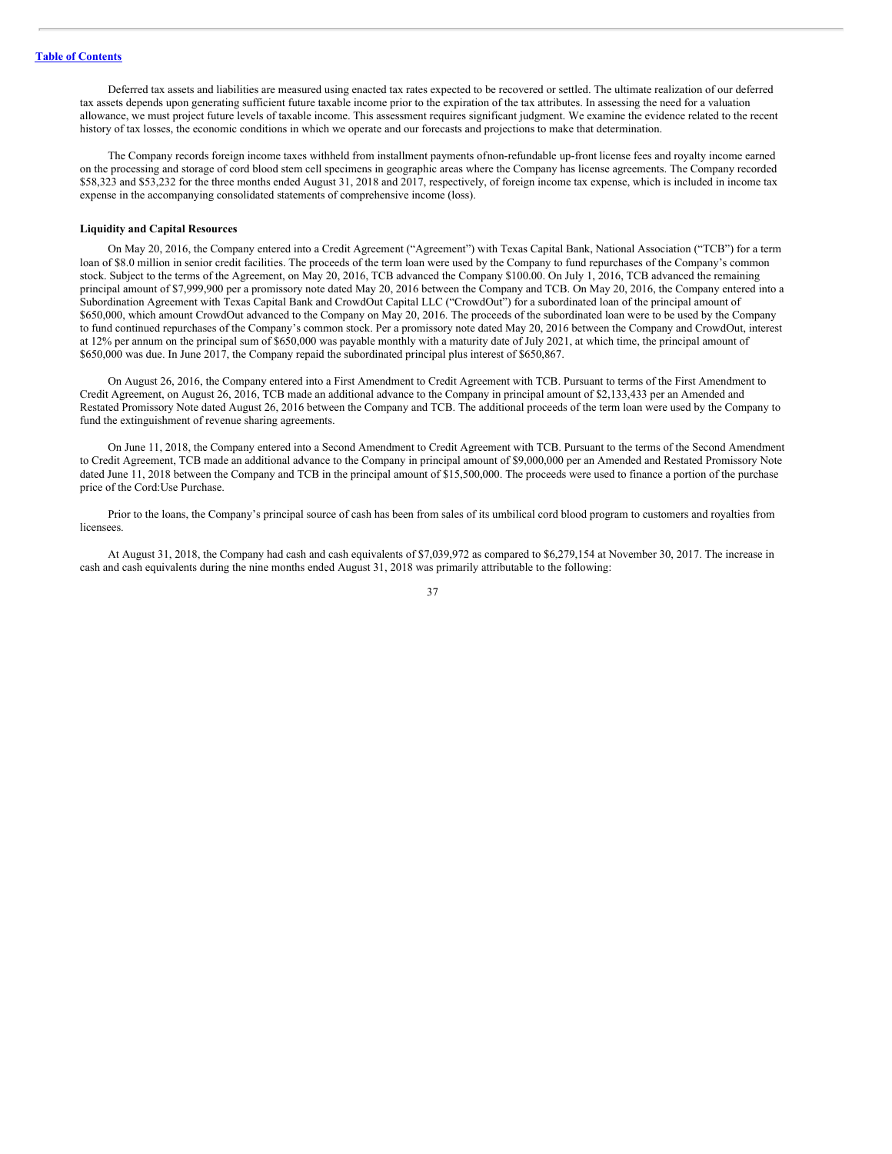Deferred tax assets and liabilities are measured using enacted tax rates expected to be recovered or settled. The ultimate realization of our deferred tax assets depends upon generating sufficient future taxable income prior to the expiration of the tax attributes. In assessing the need for a valuation allowance, we must project future levels of taxable income. This assessment requires significant judgment. We examine the evidence related to the recent history of tax losses, the economic conditions in which we operate and our forecasts and projections to make that determination.

The Company records foreign income taxes withheld from installment payments ofnon-refundable up-front license fees and royalty income earned on the processing and storage of cord blood stem cell specimens in geographic areas where the Company has license agreements. The Company recorded \$58,323 and \$53,232 for the three months ended August 31, 2018 and 2017, respectively, of foreign income tax expense, which is included in income tax expense in the accompanying consolidated statements of comprehensive income (loss).

#### **Liquidity and Capital Resources**

On May 20, 2016, the Company entered into a Credit Agreement ("Agreement") with Texas Capital Bank, National Association ("TCB") for a term loan of \$8.0 million in senior credit facilities. The proceeds of the term loan were used by the Company to fund repurchases of the Company's common stock. Subject to the terms of the Agreement, on May 20, 2016, TCB advanced the Company \$100.00. On July 1, 2016, TCB advanced the remaining principal amount of \$7,999,900 per a promissory note dated May 20, 2016 between the Company and TCB. On May 20, 2016, the Company entered into a Subordination Agreement with Texas Capital Bank and CrowdOut Capital LLC ("CrowdOut") for a subordinated loan of the principal amount of \$650,000, which amount CrowdOut advanced to the Company on May 20, 2016. The proceeds of the subordinated loan were to be used by the Company to fund continued repurchases of the Company's common stock. Per a promissory note dated May 20, 2016 between the Company and CrowdOut, interest at 12% per annum on the principal sum of \$650,000 was payable monthly with a maturity date of July 2021, at which time, the principal amount of \$650,000 was due. In June 2017, the Company repaid the subordinated principal plus interest of \$650,867.

On August 26, 2016, the Company entered into a First Amendment to Credit Agreement with TCB. Pursuant to terms of the First Amendment to Credit Agreement, on August 26, 2016, TCB made an additional advance to the Company in principal amount of \$2,133,433 per an Amended and Restated Promissory Note dated August 26, 2016 between the Company and TCB. The additional proceeds of the term loan were used by the Company to fund the extinguishment of revenue sharing agreements.

On June 11, 2018, the Company entered into a Second Amendment to Credit Agreement with TCB. Pursuant to the terms of the Second Amendment to Credit Agreement, TCB made an additional advance to the Company in principal amount of \$9,000,000 per an Amended and Restated Promissory Note dated June 11, 2018 between the Company and TCB in the principal amount of \$15,500,000. The proceeds were used to finance a portion of the purchase price of the Cord:Use Purchase.

Prior to the loans, the Company's principal source of cash has been from sales of its umbilical cord blood program to customers and royalties from licensees.

At August 31, 2018, the Company had cash and cash equivalents of \$7,039,972 as compared to \$6,279,154 at November 30, 2017. The increase in cash and cash equivalents during the nine months ended August 31, 2018 was primarily attributable to the following: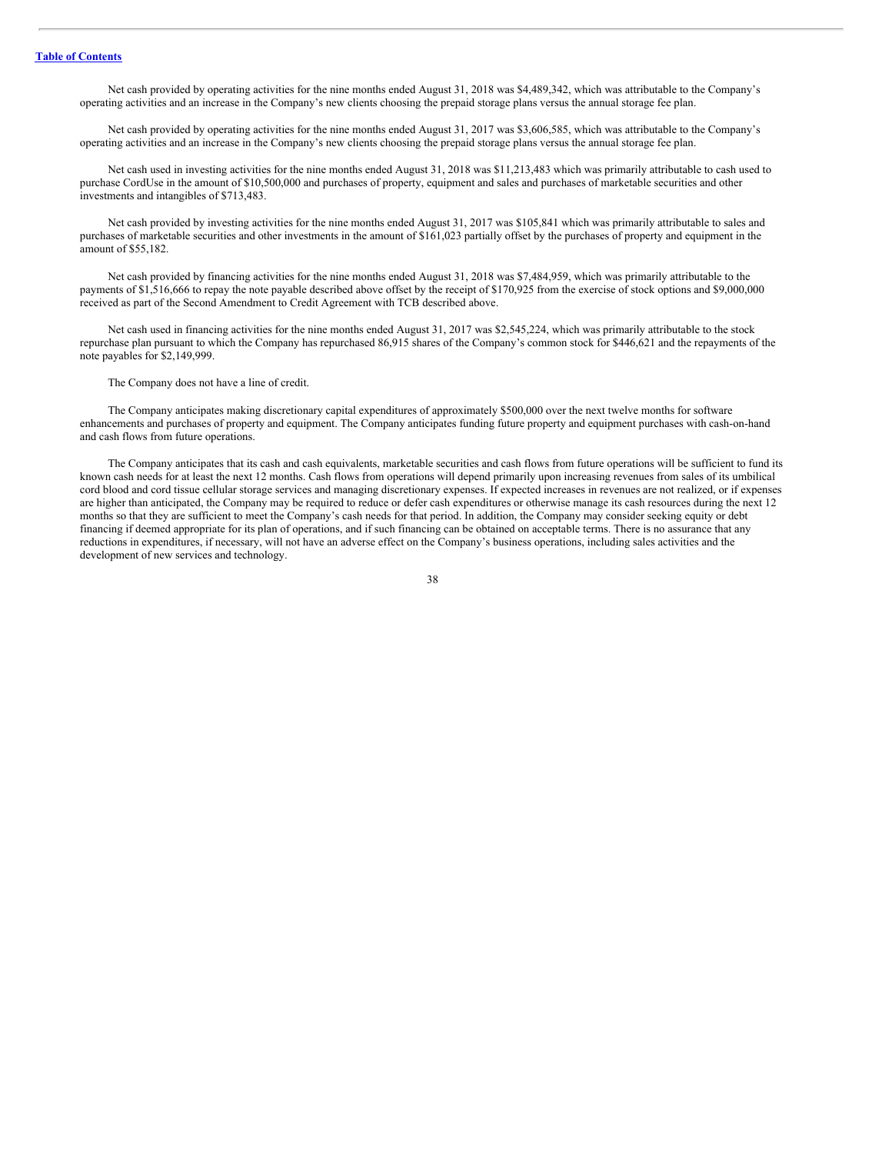Net cash provided by operating activities for the nine months ended August 31, 2018 was \$4,489,342, which was attributable to the Company's operating activities and an increase in the Company's new clients choosing the prepaid storage plans versus the annual storage fee plan.

Net cash provided by operating activities for the nine months ended August 31, 2017 was \$3,606,585, which was attributable to the Company's operating activities and an increase in the Company's new clients choosing the prepaid storage plans versus the annual storage fee plan.

Net cash used in investing activities for the nine months ended August 31, 2018 was \$11,213,483 which was primarily attributable to cash used to purchase CordUse in the amount of \$10,500,000 and purchases of property, equipment and sales and purchases of marketable securities and other investments and intangibles of \$713,483.

Net cash provided by investing activities for the nine months ended August 31, 2017 was \$105,841 which was primarily attributable to sales and purchases of marketable securities and other investments in the amount of \$161,023 partially offset by the purchases of property and equipment in the amount of \$55,182.

Net cash provided by financing activities for the nine months ended August 31, 2018 was \$7,484,959, which was primarily attributable to the payments of \$1,516,666 to repay the note payable described above offset by the receipt of \$170,925 from the exercise of stock options and \$9,000,000 received as part of the Second Amendment to Credit Agreement with TCB described above.

Net cash used in financing activities for the nine months ended August 31, 2017 was \$2,545,224, which was primarily attributable to the stock repurchase plan pursuant to which the Company has repurchased 86,915 shares of the Company's common stock for \$446,621 and the repayments of the note payables for \$2,149,999.

The Company does not have a line of credit.

The Company anticipates making discretionary capital expenditures of approximately \$500,000 over the next twelve months for software enhancements and purchases of property and equipment. The Company anticipates funding future property and equipment purchases with cash-on-hand and cash flows from future operations.

The Company anticipates that its cash and cash equivalents, marketable securities and cash flows from future operations will be sufficient to fund its known cash needs for at least the next 12 months. Cash flows from operations will depend primarily upon increasing revenues from sales of its umbilical cord blood and cord tissue cellular storage services and managing discretionary expenses. If expected increases in revenues are not realized, or if expenses are higher than anticipated, the Company may be required to reduce or defer cash expenditures or otherwise manage its cash resources during the next 12 months so that they are sufficient to meet the Company's cash needs for that period. In addition, the Company may consider seeking equity or debt financing if deemed appropriate for its plan of operations, and if such financing can be obtained on acceptable terms. There is no assurance that any reductions in expenditures, if necessary, will not have an adverse effect on the Company's business operations, including sales activities and the development of new services and technology.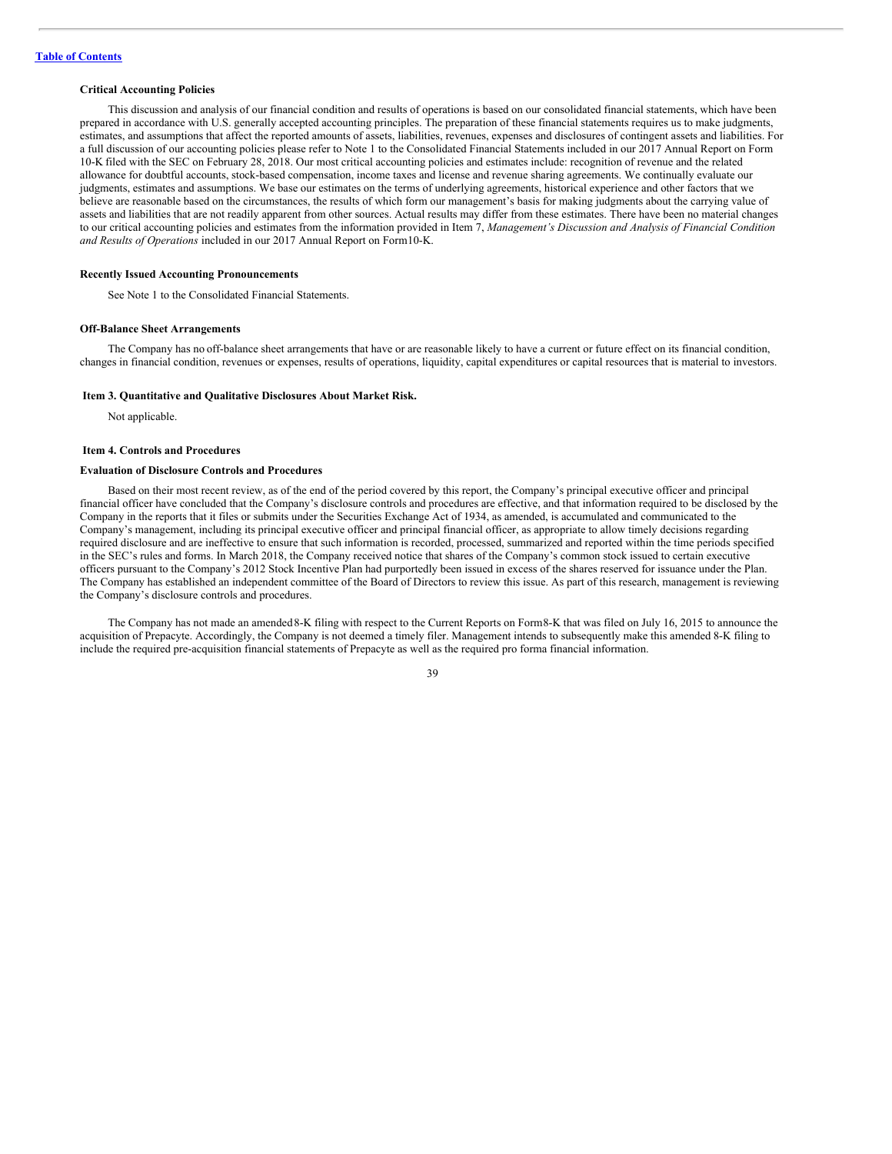#### **Critical Accounting Policies**

This discussion and analysis of our financial condition and results of operations is based on our consolidated financial statements, which have been prepared in accordance with U.S. generally accepted accounting principles. The preparation of these financial statements requires us to make judgments, estimates, and assumptions that affect the reported amounts of assets, liabilities, revenues, expenses and disclosures of contingent assets and liabilities. For a full discussion of our accounting policies please refer to Note 1 to the Consolidated Financial Statements included in our 2017 Annual Report on Form 10-K filed with the SEC on February 28, 2018. Our most critical accounting policies and estimates include: recognition of revenue and the related allowance for doubtful accounts, stock-based compensation, income taxes and license and revenue sharing agreements. We continually evaluate our judgments, estimates and assumptions. We base our estimates on the terms of underlying agreements, historical experience and other factors that we believe are reasonable based on the circumstances, the results of which form our management's basis for making judgments about the carrying value of assets and liabilities that are not readily apparent from other sources. Actual results may differ from these estimates. There have been no material changes to our critical accounting policies and estimates from the information provided in Item 7, *Management's Discussion and Analysis of Financial Condition and Results of Operations* included in our 2017 Annual Report on Form10-K.

#### **Recently Issued Accounting Pronouncements**

See Note 1 to the Consolidated Financial Statements.

#### **Off-Balance Sheet Arrangements**

The Company has no off-balance sheet arrangements that have or are reasonable likely to have a current or future effect on its financial condition, changes in financial condition, revenues or expenses, results of operations, liquidity, capital expenditures or capital resources that is material to investors.

#### <span id="page-38-0"></span>**Item 3. Quantitative and Qualitative Disclosures About Market Risk.**

Not applicable.

### <span id="page-38-1"></span>**Item 4. Controls and Procedures**

### **Evaluation of Disclosure Controls and Procedures**

Based on their most recent review, as of the end of the period covered by this report, the Company's principal executive officer and principal financial officer have concluded that the Company's disclosure controls and procedures are effective, and that information required to be disclosed by the Company in the reports that it files or submits under the Securities Exchange Act of 1934, as amended, is accumulated and communicated to the Company's management, including its principal executive officer and principal financial officer, as appropriate to allow timely decisions regarding required disclosure and are ineffective to ensure that such information is recorded, processed, summarized and reported within the time periods specified in the SEC's rules and forms. In March 2018, the Company received notice that shares of the Company's common stock issued to certain executive officers pursuant to the Company's 2012 Stock Incentive Plan had purportedly been issued in excess of the shares reserved for issuance under the Plan. The Company has established an independent committee of the Board of Directors to review this issue. As part of this research, management is reviewing the Company's disclosure controls and procedures.

The Company has not made an amended8-K filing with respect to the Current Reports on Form8-K that was filed on July 16, 2015 to announce the acquisition of Prepacyte. Accordingly, the Company is not deemed a timely filer. Management intends to subsequently make this amended 8-K filing to include the required pre-acquisition financial statements of Prepacyte as well as the required pro forma financial information.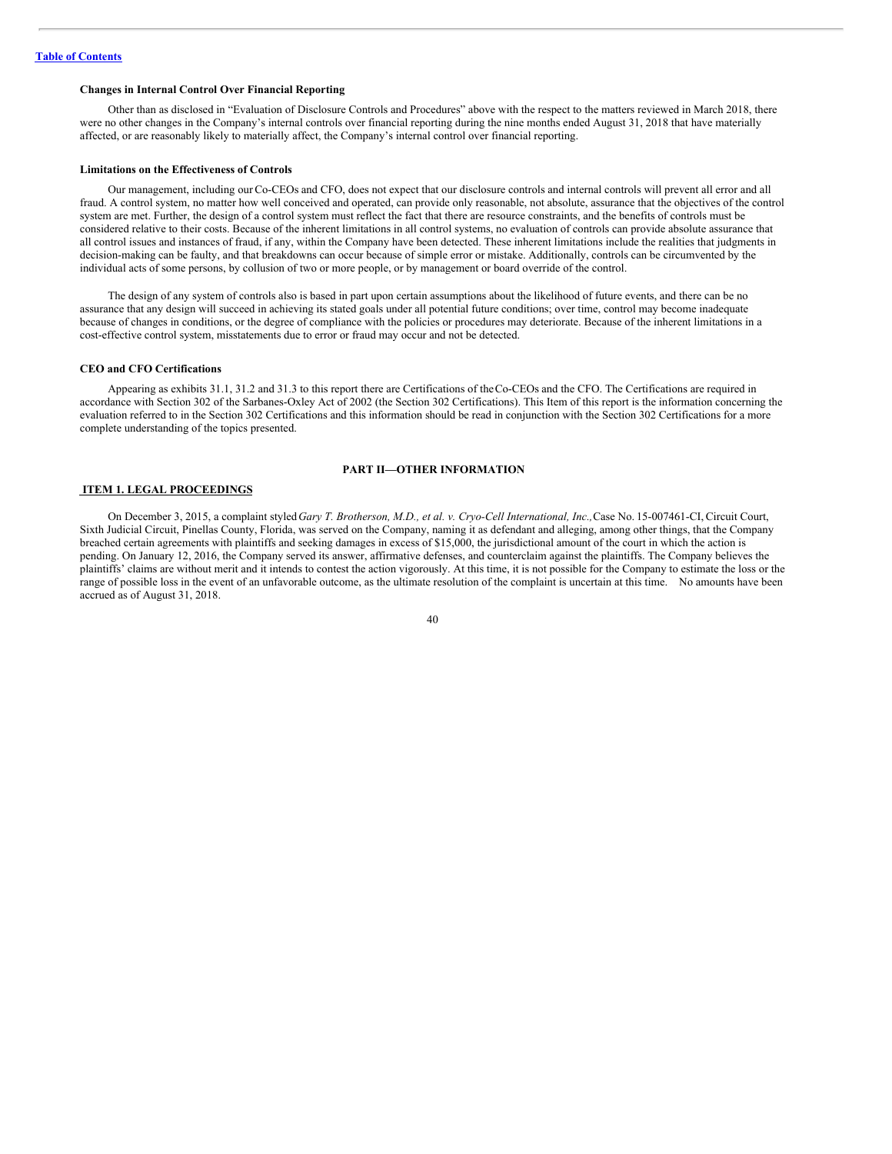### **Changes in Internal Control Over Financial Reporting**

Other than as disclosed in "Evaluation of Disclosure Controls and Procedures" above with the respect to the matters reviewed in March 2018, there were no other changes in the Company's internal controls over financial reporting during the nine months ended August 31, 2018 that have materially affected, or are reasonably likely to materially affect, the Company's internal control over financial reporting.

### **Limitations on the Effectiveness of Controls**

Our management, including ourCo-CEOs and CFO, does not expect that our disclosure controls and internal controls will prevent all error and all fraud. A control system, no matter how well conceived and operated, can provide only reasonable, not absolute, assurance that the objectives of the control system are met. Further, the design of a control system must reflect the fact that there are resource constraints, and the benefits of controls must be considered relative to their costs. Because of the inherent limitations in all control systems, no evaluation of controls can provide absolute assurance that all control issues and instances of fraud, if any, within the Company have been detected. These inherent limitations include the realities that judgments in decision-making can be faulty, and that breakdowns can occur because of simple error or mistake. Additionally, controls can be circumvented by the individual acts of some persons, by collusion of two or more people, or by management or board override of the control.

The design of any system of controls also is based in part upon certain assumptions about the likelihood of future events, and there can be no assurance that any design will succeed in achieving its stated goals under all potential future conditions; over time, control may become inadequate because of changes in conditions, or the degree of compliance with the policies or procedures may deteriorate. Because of the inherent limitations in a cost-effective control system, misstatements due to error or fraud may occur and not be detected.

#### **CEO and CFO Certifications**

Appearing as exhibits 31.1, 31.2 and 31.3 to this report there are Certifications of theCo-CEOs and the CFO. The Certifications are required in accordance with Section 302 of the Sarbanes-Oxley Act of 2002 (the Section 302 Certifications). This Item of this report is the information concerning the evaluation referred to in the Section 302 Certifications and this information should be read in conjunction with the Section 302 Certifications for a more complete understanding of the topics presented.

#### <span id="page-39-0"></span>**PART II—OTHER INFORMATION**

### <span id="page-39-1"></span>**ITEM 1. LEGAL PROCEEDINGS**

On December 3, 2015, a complaint styled*Gary T. Brotherson, M.D., et al. v. Cryo-Cell International, Inc.,*Case No. 15-007461-CI, Circuit Court, Sixth Judicial Circuit, Pinellas County, Florida, was served on the Company, naming it as defendant and alleging, among other things, that the Company breached certain agreements with plaintiffs and seeking damages in excess of \$15,000, the jurisdictional amount of the court in which the action is pending. On January 12, 2016, the Company served its answer, affirmative defenses, and counterclaim against the plaintiffs. The Company believes the plaintiffs' claims are without merit and it intends to contest the action vigorously. At this time, it is not possible for the Company to estimate the loss or the range of possible loss in the event of an unfavorable outcome, as the ultimate resolution of the complaint is uncertain at this time. No amounts have been accrued as of August 31, 2018.

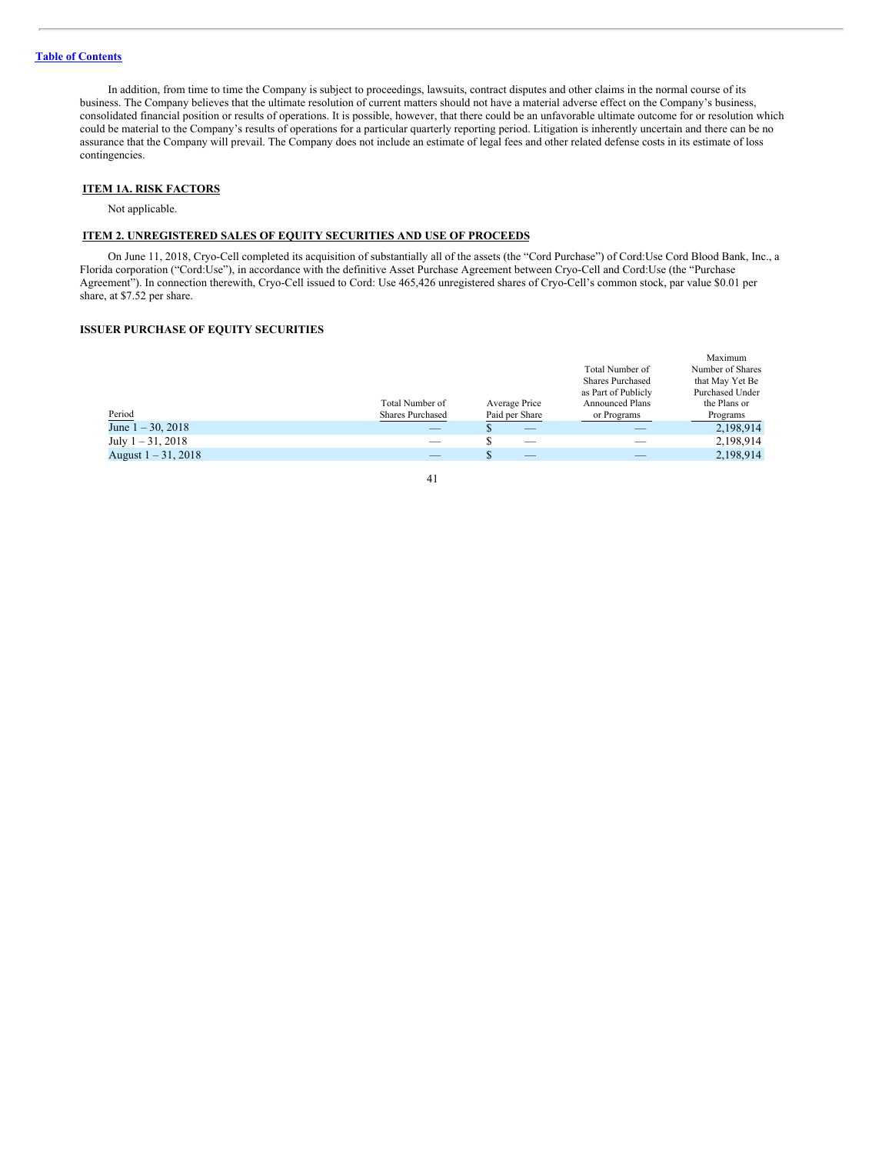In addition, from time to time the Company is subject to proceedings, lawsuits, contract disputes and other claims in the normal course of its business. The Company believes that the ultimate resolution of current matters should not have a material adverse effect on the Company's business, consolidated financial position or results of operations. It is possible, however, that there could be an unfavorable ultimate outcome for or resolution which could be material to the Company's results of operations for a particular quarterly reporting period. Litigation is inherently uncertain and there can be no assurance that the Company will prevail. The Company does not include an estimate of legal fees and other related defense costs in its estimate of loss contingencies.

### <span id="page-40-0"></span>**ITEM 1A. RISK FACTORS**

Not applicable.

### <span id="page-40-1"></span>**ITEM 2. UNREGISTERED SALES OF EQUITY SECURITIES AND USE OF PROCEEDS**

On June 11, 2018, Cryo-Cell completed its acquisition of substantially all of the assets (the "Cord Purchase") of Cord:Use Cord Blood Bank, Inc., a Florida corporation ("Cord:Use"), in accordance with the definitive Asset Purchase Agreement between Cryo-Cell and Cord:Use (the "Purchase Agreement"). In connection therewith, Cryo-Cell issued to Cord: Use 465,426 unregistered shares of Cryo-Cell's common stock, par value \$0.01 per share, at \$7.52 per share.

### **ISSUER PURCHASE OF EQUITY SECURITIES**

|                        |                         |                          |                         | Maximum                |
|------------------------|-------------------------|--------------------------|-------------------------|------------------------|
|                        |                         |                          | Total Number of         | Number of Shares       |
|                        |                         |                          | <b>Shares Purchased</b> | that May Yet Be        |
|                        |                         |                          | as Part of Publicly     | <b>Purchased Under</b> |
|                        | Total Number of         | Average Price            | <b>Announced Plans</b>  | the Plans or           |
| Period                 | <b>Shares Purchased</b> | Paid per Share           | or Programs             | Programs               |
| June $1 - 30, 2018$    |                         | $\overline{\phantom{a}}$ |                         | 2,198,914              |
| July $1 - 31$ , 2018   |                         |                          |                         | 2,198,914              |
| August $1 - 31$ , 2018 |                         | _                        |                         | 2,198,914              |
|                        |                         |                          |                         |                        |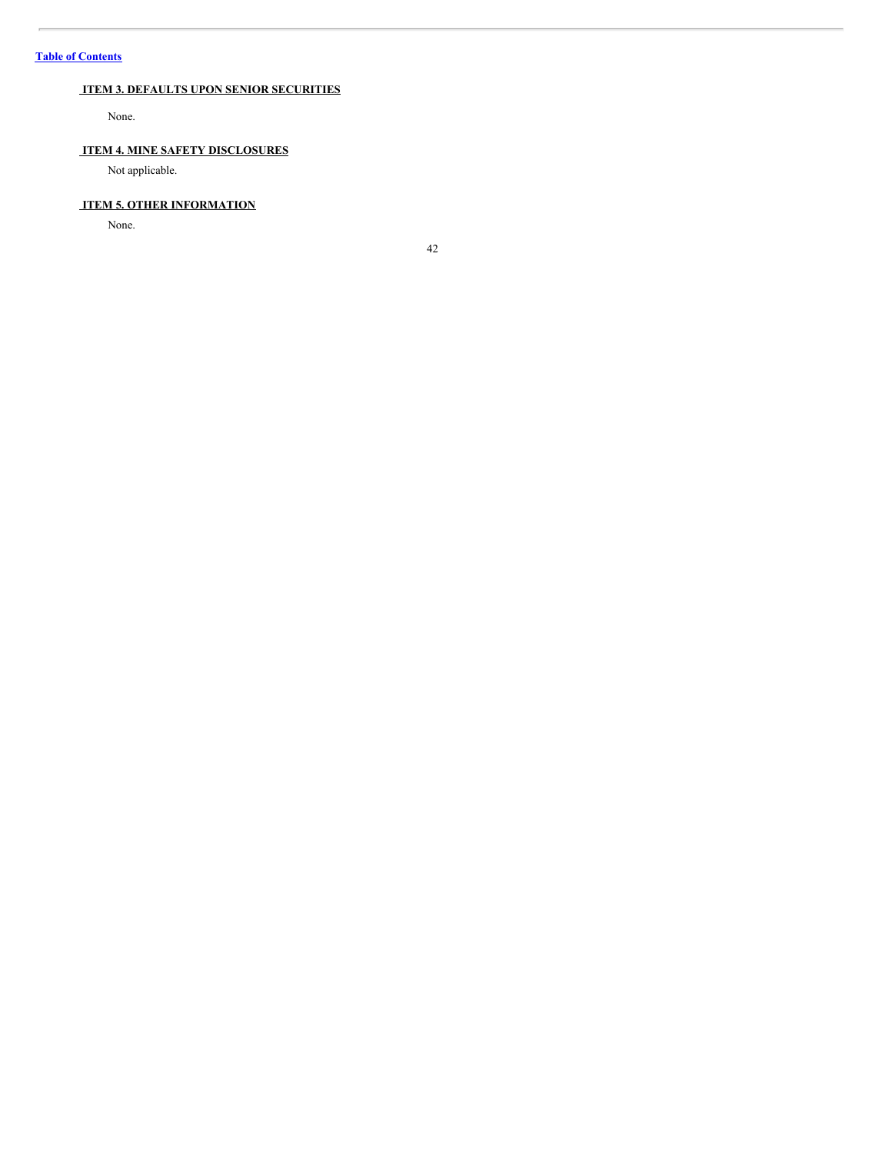# <span id="page-41-0"></span>**ITEM 3. DEFAULTS UPON SENIOR SECURITIES**

None.

# <span id="page-41-1"></span>**ITEM 4. MINE SAFETY DISCLOSURES**

Not applicable.

# <span id="page-41-2"></span>**ITEM 5. OTHER INFORMATION**

None.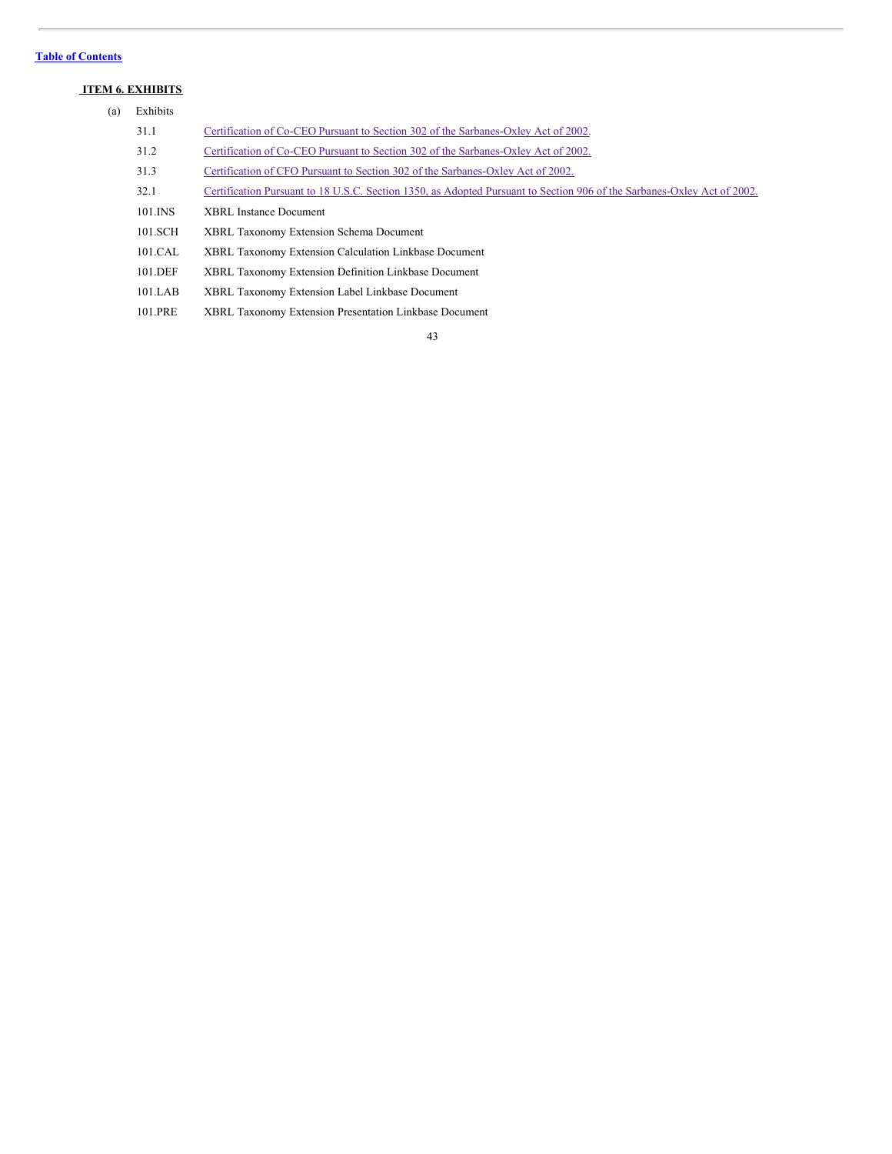# <span id="page-42-0"></span>**ITEM 6. EXHIBITS**

 $(a)$ 

| Exhibits |                                                                                                                         |
|----------|-------------------------------------------------------------------------------------------------------------------------|
| 31.1     | Certification of Co-CEO Pursuant to Section 302 of the Sarbanes-Oxley Act of 2002.                                      |
| 31.2     | Certification of Co-CEO Pursuant to Section 302 of the Sarbanes-Oxley Act of 2002.                                      |
| 31.3     | Certification of CFO Pursuant to Section 302 of the Sarbanes-Oxley Act of 2002.                                         |
| 32.1     | Certification Pursuant to 18 U.S.C. Section 1350, as Adopted Pursuant to Section 906 of the Sarbanes-Oxley Act of 2002. |
| 101.INS  | <b>XBRL Instance Document</b>                                                                                           |
| 101.SCH  | XBRL Taxonomy Extension Schema Document                                                                                 |
| 101.CAL  | <b>XBRL Taxonomy Extension Calculation Linkbase Document</b>                                                            |
| 101.DEF  | XBRL Taxonomy Extension Definition Linkbase Document                                                                    |
| 101.LAB  | XBRL Taxonomy Extension Label Linkbase Document                                                                         |
| 101.PRE  | XBRL Taxonomy Extension Presentation Linkbase Document                                                                  |
|          |                                                                                                                         |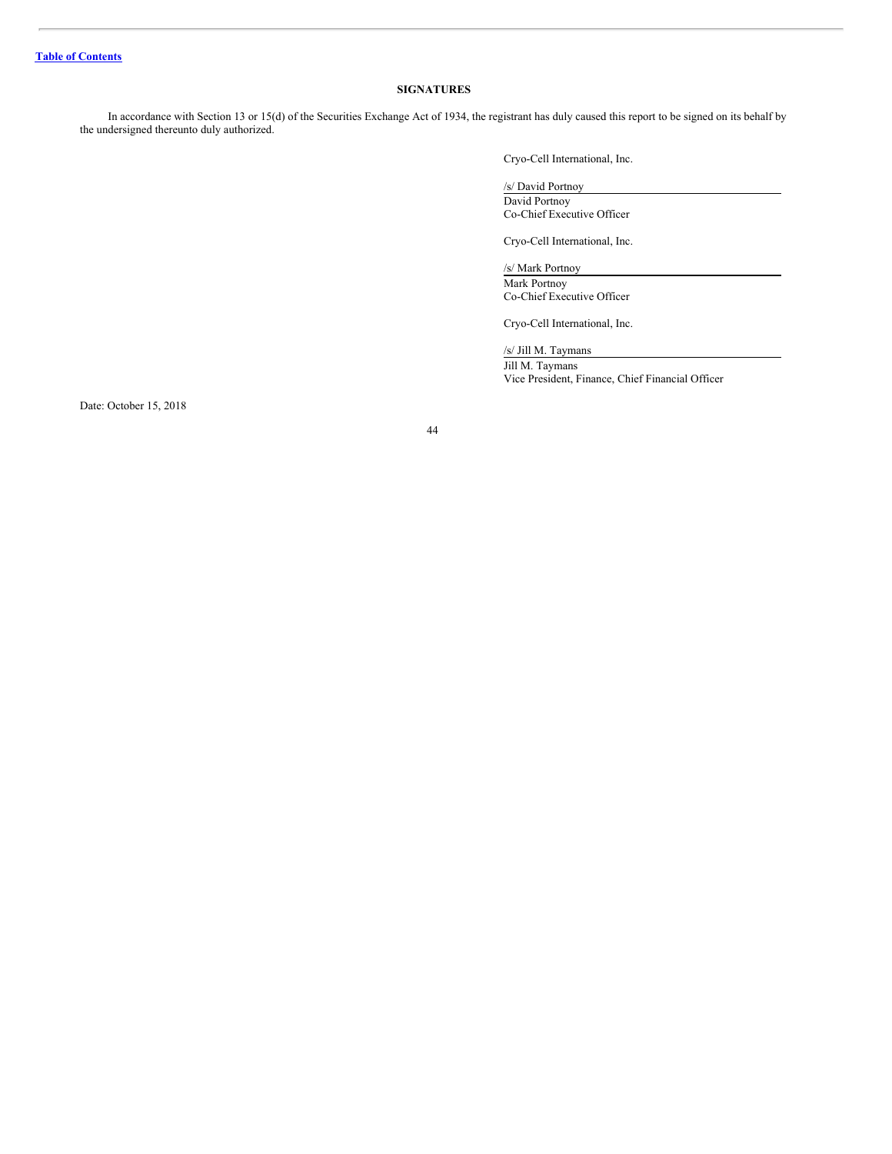### <span id="page-43-0"></span>**SIGNATURES**

In accordance with Section 13 or 15(d) of the Securities Exchange Act of 1934, the registrant has duly caused this report to be signed on its behalf by the undersigned thereunto duly authorized.

Cryo-Cell International, Inc.

/s/ David Portnoy

David Portnoy Co-Chief Executive Officer

Cryo-Cell International, Inc.

/s/ Mark Portnoy Mark Portnoy Co-Chief Executive Officer

Cryo-Cell International, Inc.

/s/ Jill M. Taymans

Jill M. Taymans Vice President, Finance, Chief Financial Officer

Date: October 15, 2018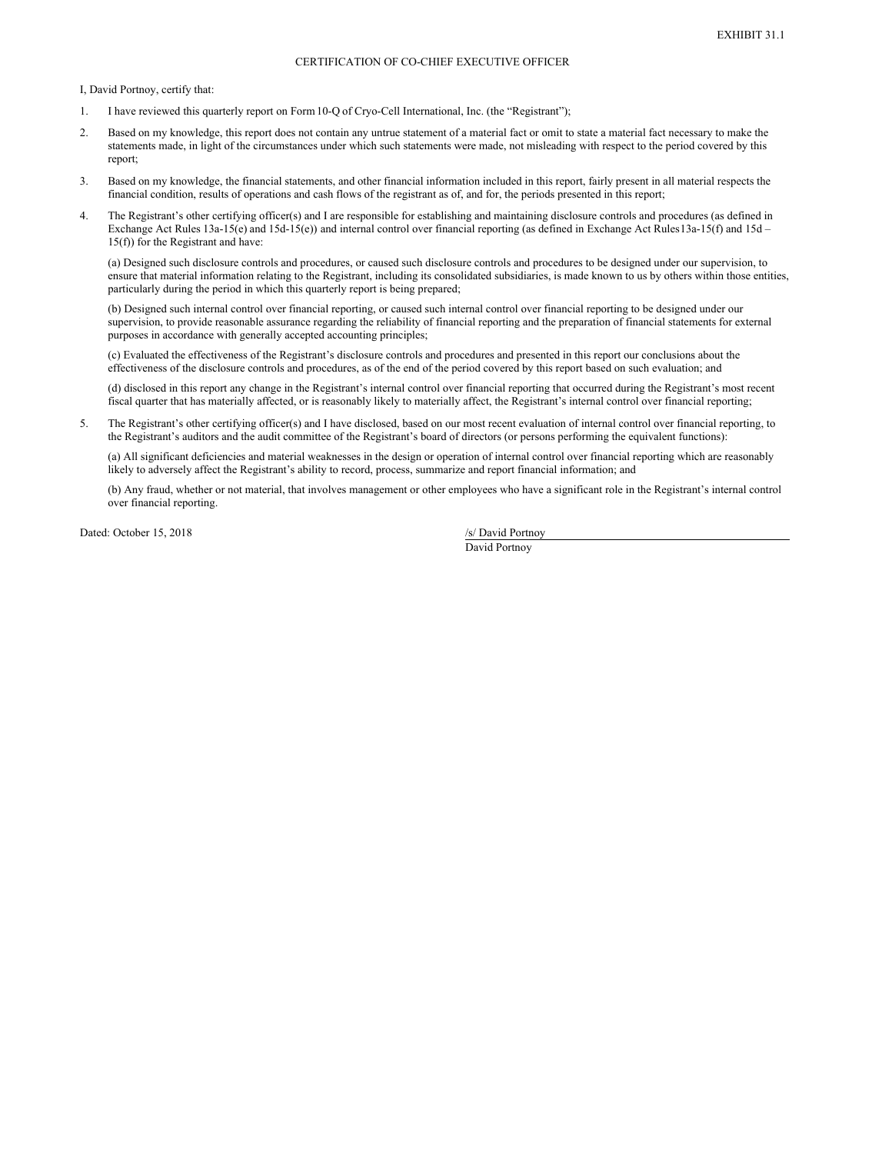### CERTIFICATION OF CO-CHIEF EXECUTIVE OFFICER

<span id="page-44-0"></span>I, David Portnoy, certify that:

- 1. I have reviewed this quarterly report on Form10-Q of Cryo-Cell International, Inc. (the "Registrant");
- 2. Based on my knowledge, this report does not contain any untrue statement of a material fact or omit to state a material fact necessary to make the statements made, in light of the circumstances under which such statements were made, not misleading with respect to the period covered by this report;
- 3. Based on my knowledge, the financial statements, and other financial information included in this report, fairly present in all material respects the financial condition, results of operations and cash flows of the registrant as of, and for, the periods presented in this report;
- 4. The Registrant's other certifying officer(s) and I are responsible for establishing and maintaining disclosure controls and procedures (as defined in Exchange Act Rules 13a-15(e) and 15d-15(e)) and internal control over financial reporting (as defined in Exchange Act Rules13a-15(f) and 15d-15(f)) for the Registrant and have:

(a) Designed such disclosure controls and procedures, or caused such disclosure controls and procedures to be designed under our supervision, to ensure that material information relating to the Registrant, including its consolidated subsidiaries, is made known to us by others within those entities, particularly during the period in which this quarterly report is being prepared;

(b) Designed such internal control over financial reporting, or caused such internal control over financial reporting to be designed under our supervision, to provide reasonable assurance regarding the reliability of financial reporting and the preparation of financial statements for external purposes in accordance with generally accepted accounting principles;

(c) Evaluated the effectiveness of the Registrant's disclosure controls and procedures and presented in this report our conclusions about the effectiveness of the disclosure controls and procedures, as of the end of the period covered by this report based on such evaluation; and

(d) disclosed in this report any change in the Registrant's internal control over financial reporting that occurred during the Registrant's most recent fiscal quarter that has materially affected, or is reasonably likely to materially affect, the Registrant's internal control over financial reporting;

5. The Registrant's other certifying officer(s) and I have disclosed, based on our most recent evaluation of internal control over financial reporting, to the Registrant's auditors and the audit committee of the Registrant's board of directors (or persons performing the equivalent functions):

(a) All significant deficiencies and material weaknesses in the design or operation of internal control over financial reporting which are reasonably likely to adversely affect the Registrant's ability to record, process, summarize and report financial information; and

(b) Any fraud, whether or not material, that involves management or other employees who have a significant role in the Registrant's internal control over financial reporting.

Dated: October 15, 2018 /s/ David Portnoy

David Portnoy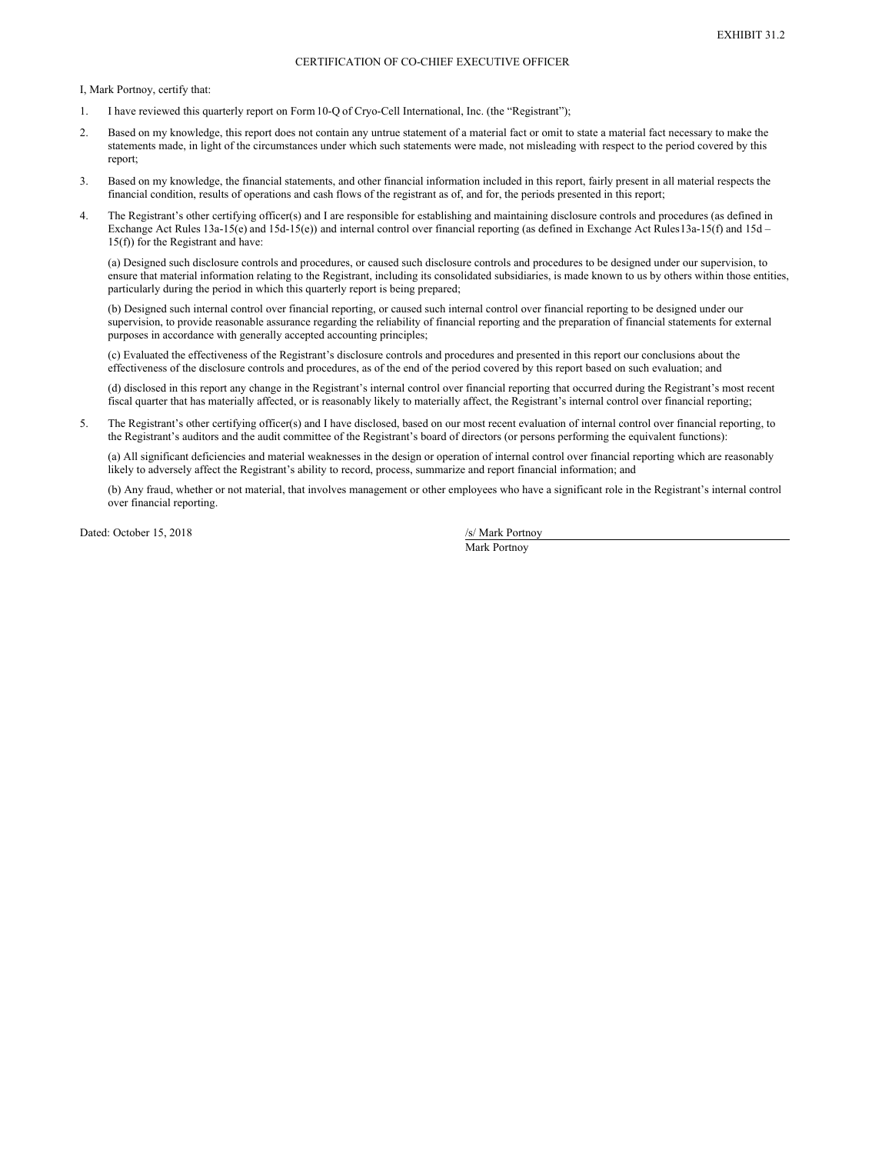### CERTIFICATION OF CO-CHIEF EXECUTIVE OFFICER

<span id="page-45-0"></span>I, Mark Portnoy, certify that:

- 1. I have reviewed this quarterly report on Form10-Q of Cryo-Cell International, Inc. (the "Registrant");
- 2. Based on my knowledge, this report does not contain any untrue statement of a material fact or omit to state a material fact necessary to make the statements made, in light of the circumstances under which such statements were made, not misleading with respect to the period covered by this report;
- 3. Based on my knowledge, the financial statements, and other financial information included in this report, fairly present in all material respects the financial condition, results of operations and cash flows of the registrant as of, and for, the periods presented in this report;
- 4. The Registrant's other certifying officer(s) and I are responsible for establishing and maintaining disclosure controls and procedures (as defined in Exchange Act Rules 13a-15(e) and 15d-15(e)) and internal control over financial reporting (as defined in Exchange Act Rules13a-15(f) and 15d-15(f)) for the Registrant and have:

(a) Designed such disclosure controls and procedures, or caused such disclosure controls and procedures to be designed under our supervision, to ensure that material information relating to the Registrant, including its consolidated subsidiaries, is made known to us by others within those entities, particularly during the period in which this quarterly report is being prepared;

(b) Designed such internal control over financial reporting, or caused such internal control over financial reporting to be designed under our supervision, to provide reasonable assurance regarding the reliability of financial reporting and the preparation of financial statements for external purposes in accordance with generally accepted accounting principles;

(c) Evaluated the effectiveness of the Registrant's disclosure controls and procedures and presented in this report our conclusions about the effectiveness of the disclosure controls and procedures, as of the end of the period covered by this report based on such evaluation; and

(d) disclosed in this report any change in the Registrant's internal control over financial reporting that occurred during the Registrant's most recent fiscal quarter that has materially affected, or is reasonably likely to materially affect, the Registrant's internal control over financial reporting;

5. The Registrant's other certifying officer(s) and I have disclosed, based on our most recent evaluation of internal control over financial reporting, to the Registrant's auditors and the audit committee of the Registrant's board of directors (or persons performing the equivalent functions):

(a) All significant deficiencies and material weaknesses in the design or operation of internal control over financial reporting which are reasonably likely to adversely affect the Registrant's ability to record, process, summarize and report financial information; and

(b) Any fraud, whether or not material, that involves management or other employees who have a significant role in the Registrant's internal control over financial reporting.

Dated: October 15, 2018 /s/ Mark Portnoy

Mark Portnoy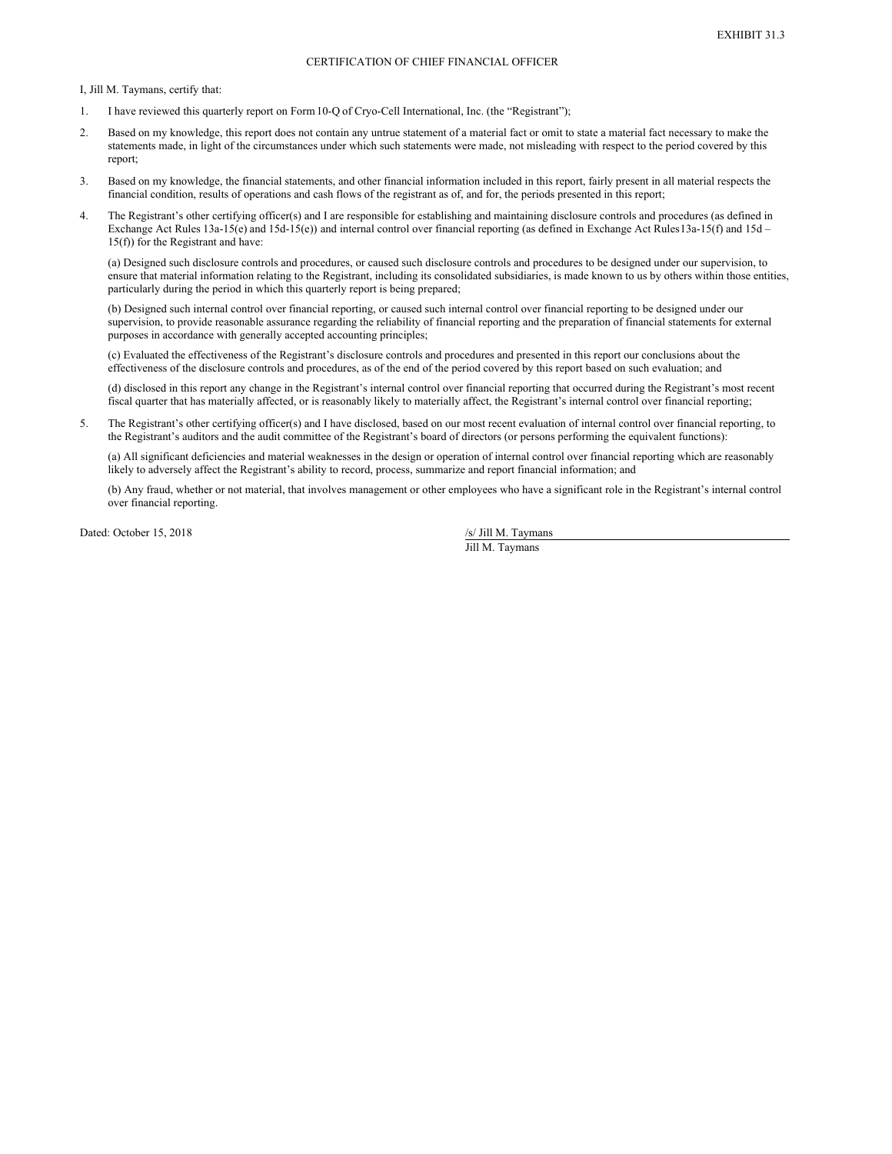### CERTIFICATION OF CHIEF FINANCIAL OFFICER

<span id="page-46-0"></span>I, Jill M. Taymans, certify that:

- 1. I have reviewed this quarterly report on Form10-Q of Cryo-Cell International, Inc. (the "Registrant");
- 2. Based on my knowledge, this report does not contain any untrue statement of a material fact or omit to state a material fact necessary to make the statements made, in light of the circumstances under which such statements were made, not misleading with respect to the period covered by this report;
- 3. Based on my knowledge, the financial statements, and other financial information included in this report, fairly present in all material respects the financial condition, results of operations and cash flows of the registrant as of, and for, the periods presented in this report;
- 4. The Registrant's other certifying officer(s) and I are responsible for establishing and maintaining disclosure controls and procedures (as defined in Exchange Act Rules 13a-15(e) and 15d-15(e)) and internal control over financial reporting (as defined in Exchange Act Rules13a-15(f) and 15d-15(f)) for the Registrant and have:

(a) Designed such disclosure controls and procedures, or caused such disclosure controls and procedures to be designed under our supervision, to ensure that material information relating to the Registrant, including its consolidated subsidiaries, is made known to us by others within those entities, particularly during the period in which this quarterly report is being prepared;

(b) Designed such internal control over financial reporting, or caused such internal control over financial reporting to be designed under our supervision, to provide reasonable assurance regarding the reliability of financial reporting and the preparation of financial statements for external purposes in accordance with generally accepted accounting principles;

(c) Evaluated the effectiveness of the Registrant's disclosure controls and procedures and presented in this report our conclusions about the effectiveness of the disclosure controls and procedures, as of the end of the period covered by this report based on such evaluation; and

(d) disclosed in this report any change in the Registrant's internal control over financial reporting that occurred during the Registrant's most recent fiscal quarter that has materially affected, or is reasonably likely to materially affect, the Registrant's internal control over financial reporting;

5. The Registrant's other certifying officer(s) and I have disclosed, based on our most recent evaluation of internal control over financial reporting, to the Registrant's auditors and the audit committee of the Registrant's board of directors (or persons performing the equivalent functions):

(a) All significant deficiencies and material weaknesses in the design or operation of internal control over financial reporting which are reasonably likely to adversely affect the Registrant's ability to record, process, summarize and report financial information; and

(b) Any fraud, whether or not material, that involves management or other employees who have a significant role in the Registrant's internal control over financial reporting.

Dated: October 15, 2018 /s/ Jill M. Taymans

Jill M. Taymans